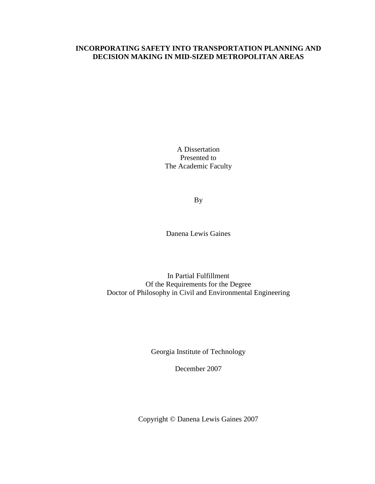# **INCORPORATING SAFETY INTO TRANSPORTATION PLANNING AND DECISION MAKING IN MID-SIZED METROPOLITAN AREAS**

A Dissertation Presented to The Academic Faculty

By

Danena Lewis Gaines

In Partial Fulfillment Of the Requirements for the Degree Doctor of Philosophy in Civil and Environmental Engineering

Georgia Institute of Technology

December 2007

Copyright © Danena Lewis Gaines 2007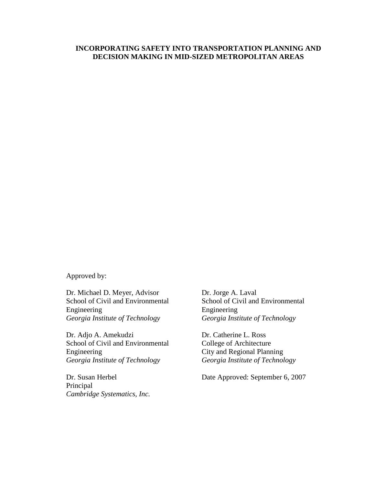## **INCORPORATING SAFETY INTO TRANSPORTATION PLANNING AND DECISION MAKING IN MID-SIZED METROPOLITAN AREAS**

Approved by:

Dr. Michael D. Meyer, Advisor Dr. Jorge A. Laval Engineering Engineering

Dr. Adjo A. Amekudzi Dr. Catherine L. Ross School of Civil and Environmental College of Architecture Engineering<br>
Georgia Institute of Technology<br>
Georgia Institute of Technology<br>
Georgia Institute of Technology

Principal *Cambridge Systematics, Inc.* 

School of Civil and Environmental School of Civil and Environmental *Georgia Institute of Technology Georgia Institute of Technology* 

*Georgia Institute of Technology Georgia Institute of Technology* 

Dr. Susan Herbel Date Approved: September 6, 2007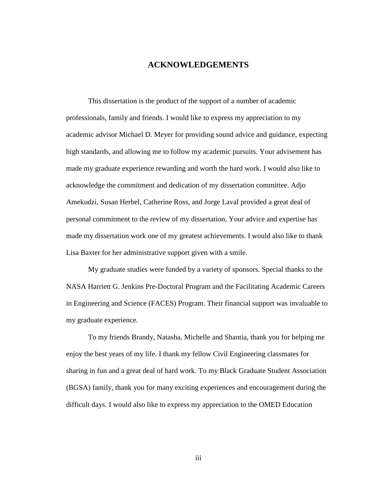# **ACKNOWLEDGEMENTS**

 This dissertation is the product of the support of a number of academic professionals, family and friends. I would like to express my appreciation to my academic advisor Michael D. Meyer for providing sound advice and guidance, expecting high standards, and allowing me to follow my academic pursuits. Your advisement has made my graduate experience rewarding and worth the hard work. I would also like to acknowledge the commitment and dedication of my dissertation committee. Adjo Amekudzi, Susan Herbel, Catherine Ross, and Jorge Laval provided a great deal of personal commitment to the review of my dissertation. Your advice and expertise has made my dissertation work one of my greatest achievements. I would also like to thank Lisa Baxter for her administrative support given with a smile.

 My graduate studies were funded by a variety of sponsors. Special thanks to the NASA Harriett G. Jenkins Pre-Doctoral Program and the Facilitating Academic Careers in Engineering and Science (FACES) Program. Their financial support was invaluable to my graduate experience.

 To my friends Brandy, Natasha, Michelle and Shantia, thank you for helping me enjoy the best years of my life. I thank my fellow Civil Engineering classmates for sharing in fun and a great deal of hard work. To my Black Graduate Student Association (BGSA) family, thank you for many exciting experiences and encouragement during the difficult days. I would also like to express my appreciation to the OMED Education

iii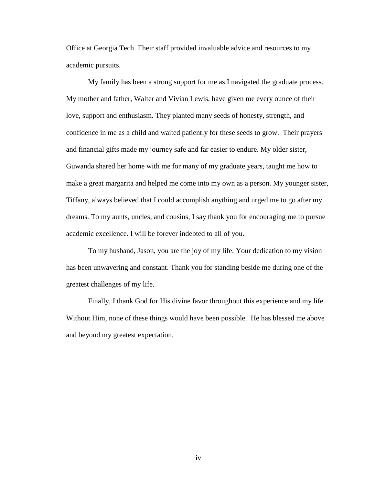Office at Georgia Tech. Their staff provided invaluable advice and resources to my academic pursuits.

 My family has been a strong support for me as I navigated the graduate process. My mother and father, Walter and Vivian Lewis, have given me every ounce of their love, support and enthusiasm. They planted many seeds of honesty, strength, and confidence in me as a child and waited patiently for these seeds to grow. Their prayers and financial gifts made my journey safe and far easier to endure. My older sister, Guwanda shared her home with me for many of my graduate years, taught me how to make a great margarita and helped me come into my own as a person. My younger sister, Tiffany, always believed that I could accomplish anything and urged me to go after my dreams. To my aunts, uncles, and cousins, I say thank you for encouraging me to pursue academic excellence. I will be forever indebted to all of you.

 To my husband, Jason, you are the joy of my life. Your dedication to my vision has been unwavering and constant. Thank you for standing beside me during one of the greatest challenges of my life.

 Finally, I thank God for His divine favor throughout this experience and my life. Without Him, none of these things would have been possible. He has blessed me above and beyond my greatest expectation.

iv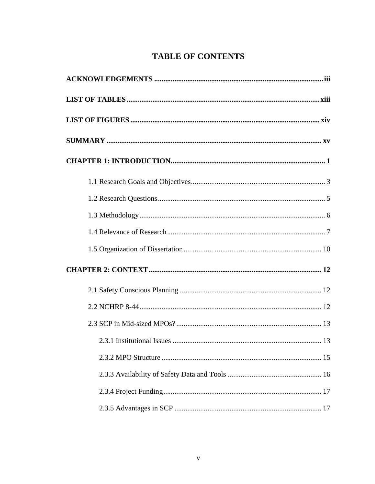# **TABLE OF CONTENTS**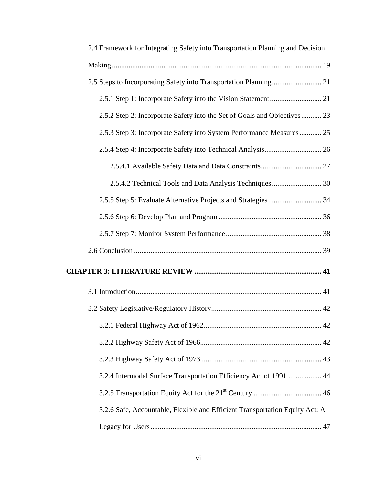| 2.4 Framework for Integrating Safety into Transportation Planning and Decision |
|--------------------------------------------------------------------------------|
|                                                                                |
|                                                                                |
|                                                                                |
| 2.5.2 Step 2: Incorporate Safety into the Set of Goals and Objectives 23       |
| 2.5.3 Step 3: Incorporate Safety into System Performance Measures 25           |
|                                                                                |
|                                                                                |
|                                                                                |
|                                                                                |
|                                                                                |
|                                                                                |
|                                                                                |
|                                                                                |
|                                                                                |
|                                                                                |
|                                                                                |
|                                                                                |
|                                                                                |
| 3.2.4 Intermodal Surface Transportation Efficiency Act of 1991  44             |
|                                                                                |
| 3.2.6 Safe, Accountable, Flexible and Efficient Transportation Equity Act: A   |
|                                                                                |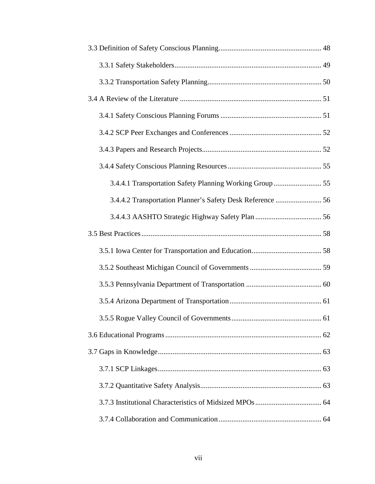| 3.4.4.2 Transportation Planner's Safety Desk Reference  56 |  |
|------------------------------------------------------------|--|
|                                                            |  |
|                                                            |  |
|                                                            |  |
|                                                            |  |
|                                                            |  |
|                                                            |  |
|                                                            |  |
|                                                            |  |
|                                                            |  |
|                                                            |  |
|                                                            |  |
|                                                            |  |
|                                                            |  |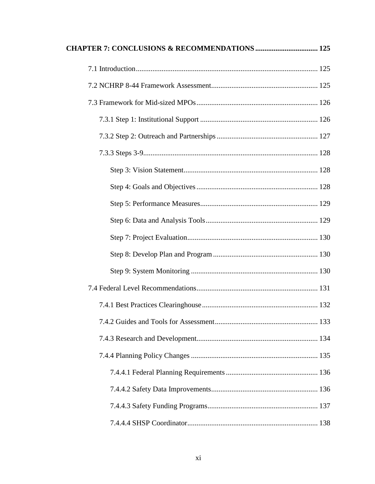| <b>CHAPTER 7: CONCLUSIONS &amp; RECOMMENDATIONS  125</b> |  |
|----------------------------------------------------------|--|
|                                                          |  |
|                                                          |  |
|                                                          |  |
|                                                          |  |
|                                                          |  |
|                                                          |  |
|                                                          |  |
|                                                          |  |
|                                                          |  |
|                                                          |  |
|                                                          |  |
|                                                          |  |
|                                                          |  |
|                                                          |  |
|                                                          |  |
|                                                          |  |
|                                                          |  |
|                                                          |  |
|                                                          |  |
|                                                          |  |
|                                                          |  |
|                                                          |  |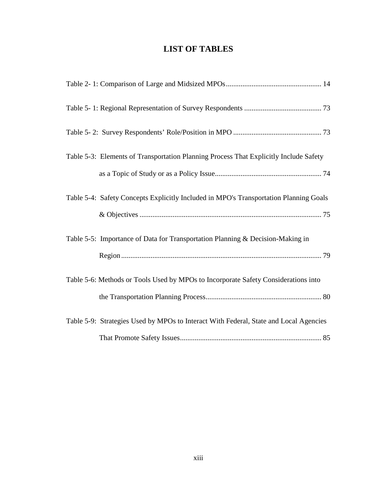# **LIST OF TABLES**

| Table 5-3: Elements of Transportation Planning Process That Explicitly Include Safety |
|---------------------------------------------------------------------------------------|
|                                                                                       |
| Table 5-4: Safety Concepts Explicitly Included in MPO's Transportation Planning Goals |
|                                                                                       |
| Table 5-5: Importance of Data for Transportation Planning & Decision-Making in        |
|                                                                                       |
| Table 5-6: Methods or Tools Used by MPOs to Incorporate Safety Considerations into    |
|                                                                                       |
| Table 5-9: Strategies Used by MPOs to Interact With Federal, State and Local Agencies |
|                                                                                       |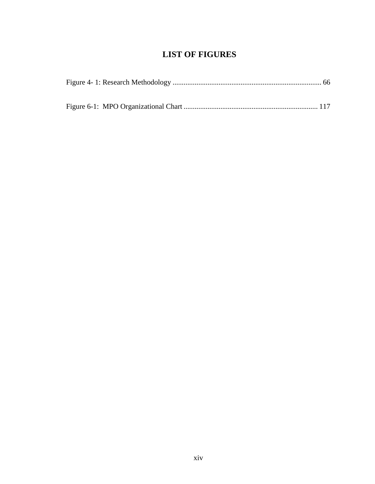# **LIST OF FIGURES**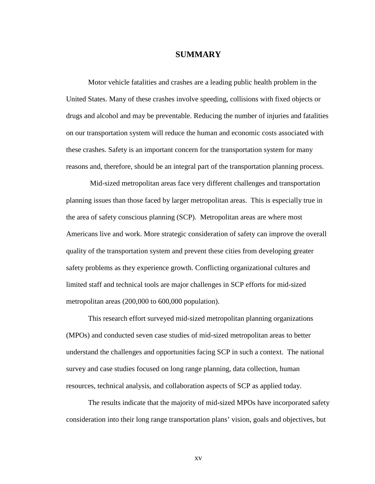# **SUMMARY**

Motor vehicle fatalities and crashes are a leading public health problem in the United States. Many of these crashes involve speeding, collisions with fixed objects or drugs and alcohol and may be preventable. Reducing the number of injuries and fatalities on our transportation system will reduce the human and economic costs associated with these crashes. Safety is an important concern for the transportation system for many reasons and, therefore, should be an integral part of the transportation planning process.

 Mid-sized metropolitan areas face very different challenges and transportation planning issues than those faced by larger metropolitan areas. This is especially true in the area of safety conscious planning (SCP). Metropolitan areas are where most Americans live and work. More strategic consideration of safety can improve the overall quality of the transportation system and prevent these cities from developing greater safety problems as they experience growth. Conflicting organizational cultures and limited staff and technical tools are major challenges in SCP efforts for mid-sized metropolitan areas (200,000 to 600,000 population).

This research effort surveyed mid-sized metropolitan planning organizations (MPOs) and conducted seven case studies of mid-sized metropolitan areas to better understand the challenges and opportunities facing SCP in such a context. The national survey and case studies focused on long range planning, data collection, human resources, technical analysis, and collaboration aspects of SCP as applied today.

The results indicate that the majority of mid-sized MPOs have incorporated safety consideration into their long range transportation plans' vision, goals and objectives, but

xv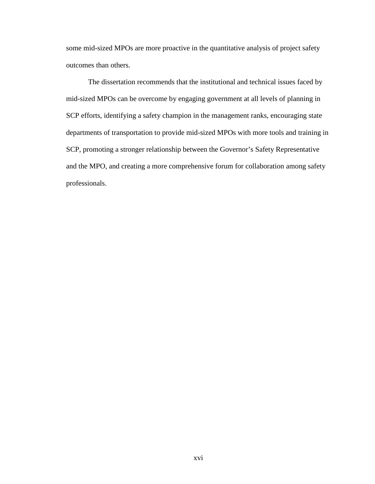some mid-sized MPOs are more proactive in the quantitative analysis of project safety outcomes than others.

The dissertation recommends that the institutional and technical issues faced by mid-sized MPOs can be overcome by engaging government at all levels of planning in SCP efforts, identifying a safety champion in the management ranks, encouraging state departments of transportation to provide mid-sized MPOs with more tools and training in SCP, promoting a stronger relationship between the Governor's Safety Representative and the MPO, and creating a more comprehensive forum for collaboration among safety professionals.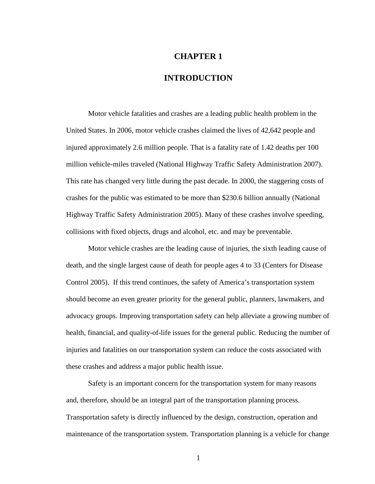# **CHAPTER 1**

# **INTRODUCTION**

Motor vehicle fatalities and crashes are a leading public health problem in the United States. In 2006, motor vehicle crashes claimed the lives of 42,642 people and injured approximately 2.6 million people. That is a fatality rate of 1.42 deaths per 100 million vehicle-miles traveled (National Highway Traffic Safety Administration 2007). This rate has changed very little during the past decade. In 2000, the staggering costs of crashes for the public was estimated to be more than \$230.6 billion annually (National Highway Traffic Safety Administration 2005). Many of these crashes involve speeding, collisions with fixed objects, drugs and alcohol, etc. and may be preventable.

Motor vehicle crashes are the leading cause of injuries, the sixth leading cause of death, and the single largest cause of death for people ages 4 to 33 (Centers for Disease Control 2005). If this trend continues, the safety of America's transportation system should become an even greater priority for the general public, planners, lawmakers, and advocacy groups. Improving transportation safety can help alleviate a growing number of health, financial, and quality-of-life issues for the general public. Reducing the number of injuries and fatalities on our transportation system can reduce the costs associated with these crashes and address a major public health issue.

 Safety is an important concern for the transportation system for many reasons and, therefore, should be an integral part of the transportation planning process. Transportation safety is directly influenced by the design, construction, operation and maintenance of the transportation system. Transportation planning is a vehicle for change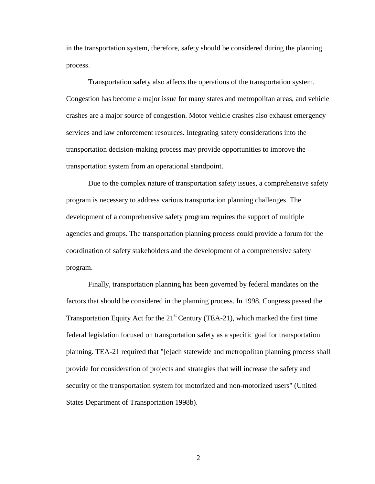in the transportation system, therefore, safety should be considered during the planning process.

Transportation safety also affects the operations of the transportation system. Congestion has become a major issue for many states and metropolitan areas, and vehicle crashes are a major source of congestion. Motor vehicle crashes also exhaust emergency services and law enforcement resources. Integrating safety considerations into the transportation decision-making process may provide opportunities to improve the transportation system from an operational standpoint.

Due to the complex nature of transportation safety issues, a comprehensive safety program is necessary to address various transportation planning challenges. The development of a comprehensive safety program requires the support of multiple agencies and groups. The transportation planning process could provide a forum for the coordination of safety stakeholders and the development of a comprehensive safety program.

Finally, transportation planning has been governed by federal mandates on the factors that should be considered in the planning process. In 1998, Congress passed the Transportation Equity Act for the  $21<sup>st</sup>$  Century (TEA-21), which marked the first time federal legislation focused on transportation safety as a specific goal for transportation planning. TEA-21 required that "[e]ach statewide and metropolitan planning process shall provide for consideration of projects and strategies that will increase the safety and security of the transportation system for motorized and non-motorized users" (United States Department of Transportation 1998b).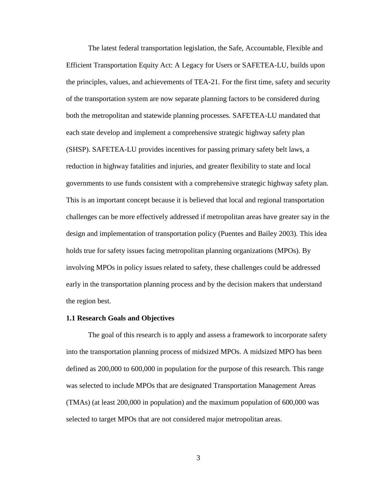The latest federal transportation legislation, the Safe, Accountable, Flexible and Efficient Transportation Equity Act: A Legacy for Users or SAFETEA-LU, builds upon the principles, values, and achievements of TEA-21. For the first time, safety and security of the transportation system are now separate planning factors to be considered during both the metropolitan and statewide planning processes. SAFETEA-LU mandated that each state develop and implement a comprehensive strategic highway safety plan (SHSP). SAFETEA-LU provides incentives for passing primary safety belt laws, a reduction in highway fatalities and injuries, and greater flexibility to state and local governments to use funds consistent with a comprehensive strategic highway safety plan. This is an important concept because it is believed that local and regional transportation challenges can be more effectively addressed if metropolitan areas have greater say in the design and implementation of transportation policy (Puentes and Bailey 2003). This idea holds true for safety issues facing metropolitan planning organizations (MPOs). By involving MPOs in policy issues related to safety, these challenges could be addressed early in the transportation planning process and by the decision makers that understand the region best.

### **1.1 Research Goals and Objectives**

The goal of this research is to apply and assess a framework to incorporate safety into the transportation planning process of midsized MPOs. A midsized MPO has been defined as 200,000 to 600,000 in population for the purpose of this research. This range was selected to include MPOs that are designated Transportation Management Areas (TMAs) (at least 200,000 in population) and the maximum population of 600,000 was selected to target MPOs that are not considered major metropolitan areas.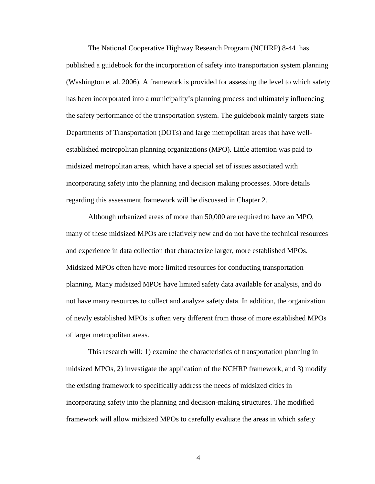The National Cooperative Highway Research Program (NCHRP) 8-44 has published a guidebook for the incorporation of safety into transportation system planning (Washington et al. 2006). A framework is provided for assessing the level to which safety has been incorporated into a municipality's planning process and ultimately influencing the safety performance of the transportation system. The guidebook mainly targets state Departments of Transportation (DOTs) and large metropolitan areas that have wellestablished metropolitan planning organizations (MPO). Little attention was paid to midsized metropolitan areas, which have a special set of issues associated with incorporating safety into the planning and decision making processes. More details regarding this assessment framework will be discussed in Chapter 2.

Although urbanized areas of more than 50,000 are required to have an MPO, many of these midsized MPOs are relatively new and do not have the technical resources and experience in data collection that characterize larger, more established MPOs. Midsized MPOs often have more limited resources for conducting transportation planning. Many midsized MPOs have limited safety data available for analysis, and do not have many resources to collect and analyze safety data. In addition, the organization of newly established MPOs is often very different from those of more established MPOs of larger metropolitan areas.

This research will: 1) examine the characteristics of transportation planning in midsized MPOs, 2) investigate the application of the NCHRP framework, and 3) modify the existing framework to specifically address the needs of midsized cities in incorporating safety into the planning and decision-making structures. The modified framework will allow midsized MPOs to carefully evaluate the areas in which safety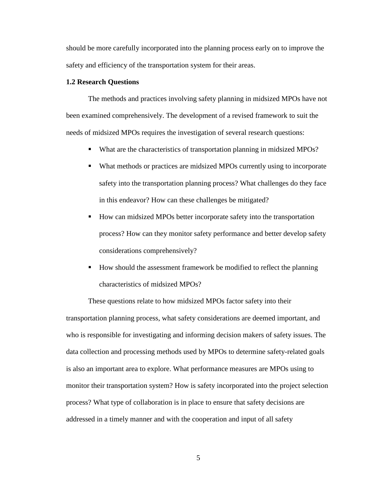should be more carefully incorporated into the planning process early on to improve the safety and efficiency of the transportation system for their areas.

## **1.2 Research Questions**

The methods and practices involving safety planning in midsized MPOs have not been examined comprehensively. The development of a revised framework to suit the needs of midsized MPOs requires the investigation of several research questions:

- What are the characteristics of transportation planning in midsized MPOs?
- What methods or practices are midsized MPOs currently using to incorporate safety into the transportation planning process? What challenges do they face in this endeavor? How can these challenges be mitigated?
- How can midsized MPOs better incorporate safety into the transportation process? How can they monitor safety performance and better develop safety considerations comprehensively?
- How should the assessment framework be modified to reflect the planning characteristics of midsized MPOs?

These questions relate to how midsized MPOs factor safety into their transportation planning process, what safety considerations are deemed important, and who is responsible for investigating and informing decision makers of safety issues. The data collection and processing methods used by MPOs to determine safety-related goals is also an important area to explore. What performance measures are MPOs using to monitor their transportation system? How is safety incorporated into the project selection process? What type of collaboration is in place to ensure that safety decisions are addressed in a timely manner and with the cooperation and input of all safety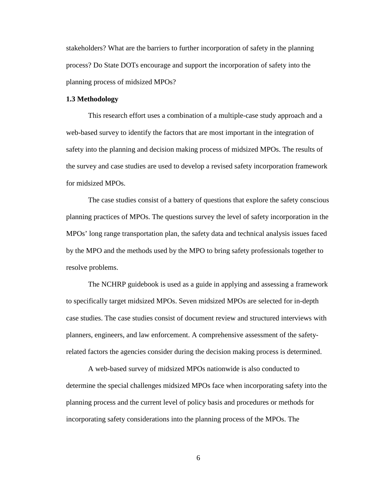stakeholders? What are the barriers to further incorporation of safety in the planning process? Do State DOTs encourage and support the incorporation of safety into the planning process of midsized MPOs?

### **1.3 Methodology**

 This research effort uses a combination of a multiple-case study approach and a web-based survey to identify the factors that are most important in the integration of safety into the planning and decision making process of midsized MPOs. The results of the survey and case studies are used to develop a revised safety incorporation framework for midsized MPOs.

 The case studies consist of a battery of questions that explore the safety conscious planning practices of MPOs. The questions survey the level of safety incorporation in the MPOs' long range transportation plan, the safety data and technical analysis issues faced by the MPO and the methods used by the MPO to bring safety professionals together to resolve problems.

The NCHRP guidebook is used as a guide in applying and assessing a framework to specifically target midsized MPOs. Seven midsized MPOs are selected for in-depth case studies. The case studies consist of document review and structured interviews with planners, engineers, and law enforcement. A comprehensive assessment of the safetyrelated factors the agencies consider during the decision making process is determined.

A web-based survey of midsized MPOs nationwide is also conducted to determine the special challenges midsized MPOs face when incorporating safety into the planning process and the current level of policy basis and procedures or methods for incorporating safety considerations into the planning process of the MPOs. The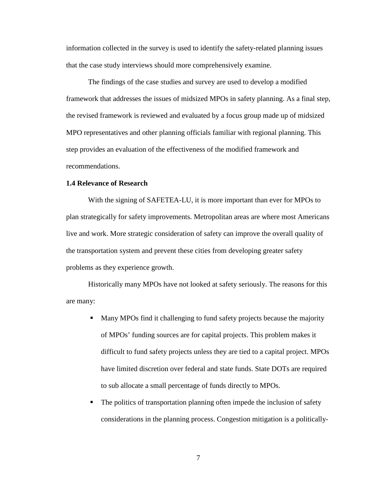information collected in the survey is used to identify the safety-related planning issues that the case study interviews should more comprehensively examine.

The findings of the case studies and survey are used to develop a modified framework that addresses the issues of midsized MPOs in safety planning. As a final step, the revised framework is reviewed and evaluated by a focus group made up of midsized MPO representatives and other planning officials familiar with regional planning. This step provides an evaluation of the effectiveness of the modified framework and recommendations.

### **1.4 Relevance of Research**

With the signing of SAFETEA-LU, it is more important than ever for MPOs to plan strategically for safety improvements. Metropolitan areas are where most Americans live and work. More strategic consideration of safety can improve the overall quality of the transportation system and prevent these cities from developing greater safety problems as they experience growth.

Historically many MPOs have not looked at safety seriously. The reasons for this are many:

- Many MPOs find it challenging to fund safety projects because the majority of MPOs' funding sources are for capital projects. This problem makes it difficult to fund safety projects unless they are tied to a capital project. MPOs have limited discretion over federal and state funds. State DOTs are required to sub allocate a small percentage of funds directly to MPOs.
- The politics of transportation planning often impede the inclusion of safety considerations in the planning process. Congestion mitigation is a politically-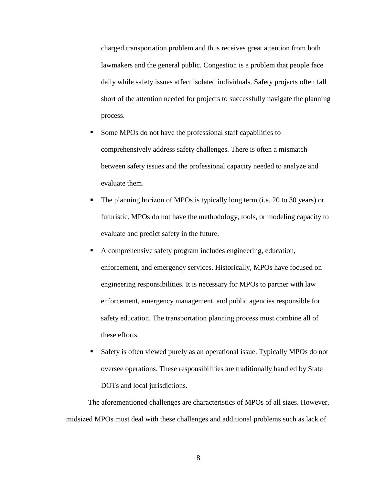charged transportation problem and thus receives great attention from both lawmakers and the general public. Congestion is a problem that people face daily while safety issues affect isolated individuals. Safety projects often fall short of the attention needed for projects to successfully navigate the planning process.

- Some MPOs do not have the professional staff capabilities to comprehensively address safety challenges. There is often a mismatch between safety issues and the professional capacity needed to analyze and evaluate them.
- The planning horizon of MPOs is typically long term (i.e. 20 to 30 years) or futuristic. MPOs do not have the methodology, tools, or modeling capacity to evaluate and predict safety in the future.
- A comprehensive safety program includes engineering, education, enforcement, and emergency services. Historically, MPOs have focused on engineering responsibilities. It is necessary for MPOs to partner with law enforcement, emergency management, and public agencies responsible for safety education. The transportation planning process must combine all of these efforts.
- Safety is often viewed purely as an operational issue. Typically MPOs do not oversee operations. These responsibilities are traditionally handled by State DOTs and local jurisdictions.

The aforementioned challenges are characteristics of MPOs of all sizes. However, midsized MPOs must deal with these challenges and additional problems such as lack of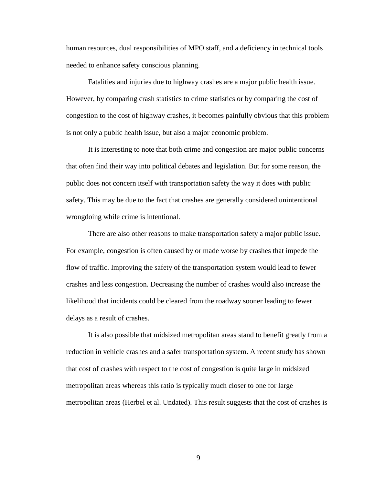human resources, dual responsibilities of MPO staff, and a deficiency in technical tools needed to enhance safety conscious planning.

Fatalities and injuries due to highway crashes are a major public health issue. However, by comparing crash statistics to crime statistics or by comparing the cost of congestion to the cost of highway crashes, it becomes painfully obvious that this problem is not only a public health issue, but also a major economic problem.

It is interesting to note that both crime and congestion are major public concerns that often find their way into political debates and legislation. But for some reason, the public does not concern itself with transportation safety the way it does with public safety. This may be due to the fact that crashes are generally considered unintentional wrongdoing while crime is intentional.

There are also other reasons to make transportation safety a major public issue. For example, congestion is often caused by or made worse by crashes that impede the flow of traffic. Improving the safety of the transportation system would lead to fewer crashes and less congestion. Decreasing the number of crashes would also increase the likelihood that incidents could be cleared from the roadway sooner leading to fewer delays as a result of crashes.

It is also possible that midsized metropolitan areas stand to benefit greatly from a reduction in vehicle crashes and a safer transportation system. A recent study has shown that cost of crashes with respect to the cost of congestion is quite large in midsized metropolitan areas whereas this ratio is typically much closer to one for large metropolitan areas (Herbel et al. Undated). This result suggests that the cost of crashes is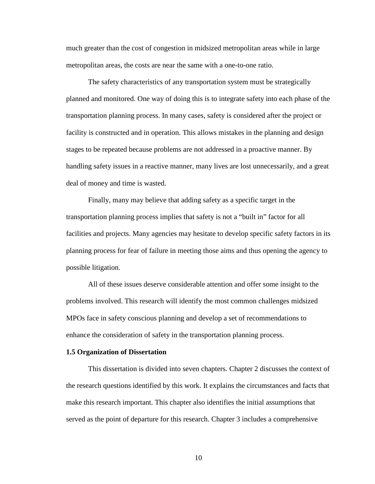much greater than the cost of congestion in midsized metropolitan areas while in large metropolitan areas, the costs are near the same with a one-to-one ratio.

The safety characteristics of any transportation system must be strategically planned and monitored. One way of doing this is to integrate safety into each phase of the transportation planning process. In many cases, safety is considered after the project or facility is constructed and in operation. This allows mistakes in the planning and design stages to be repeated because problems are not addressed in a proactive manner. By handling safety issues in a reactive manner, many lives are lost unnecessarily, and a great deal of money and time is wasted.

Finally, many may believe that adding safety as a specific target in the transportation planning process implies that safety is not a "built in" factor for all facilities and projects. Many agencies may hesitate to develop specific safety factors in its planning process for fear of failure in meeting those aims and thus opening the agency to possible litigation.

 All of these issues deserve considerable attention and offer some insight to the problems involved. This research will identify the most common challenges midsized MPOs face in safety conscious planning and develop a set of recommendations to enhance the consideration of safety in the transportation planning process.

#### **1.5 Organization of Dissertation**

 This dissertation is divided into seven chapters. Chapter 2 discusses the context of the research questions identified by this work. It explains the circumstances and facts that make this research important. This chapter also identifies the initial assumptions that served as the point of departure for this research. Chapter 3 includes a comprehensive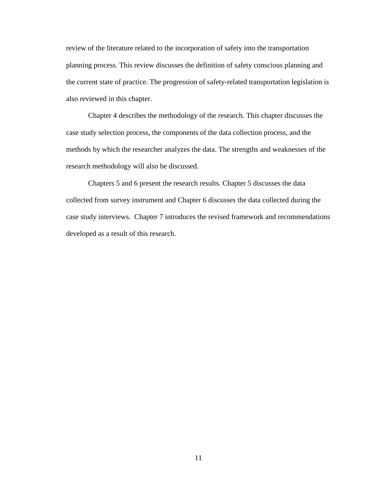review of the literature related to the incorporation of safety into the transportation planning process. This review discusses the definition of safety conscious planning and the current state of practice. The progression of safety-related transportation legislation is also reviewed in this chapter.

 Chapter 4 describes the methodology of the research. This chapter discusses the case study selection process, the components of the data collection process, and the methods by which the researcher analyzes the data. The strengths and weaknesses of the research methodology will also be discussed.

 Chapters 5 and 6 present the research results. Chapter 5 discusses the data collected from survey instrument and Chapter 6 discusses the data collected during the case study interviews. Chapter 7 introduces the revised framework and recommendations developed as a result of this research.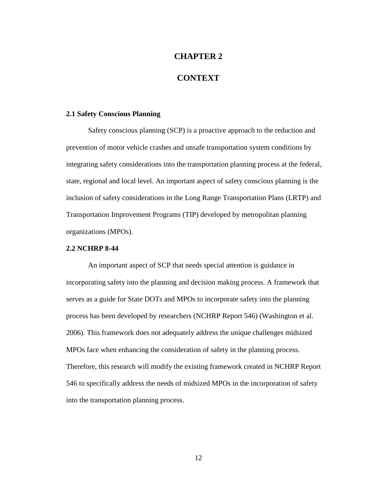# **CHAPTER 2**

# **CONTEXT**

### **2.1 Safety Conscious Planning**

 Safety conscious planning (SCP) is a proactive approach to the reduction and prevention of motor vehicle crashes and unsafe transportation system conditions by integrating safety considerations into the transportation planning process at the federal, state, regional and local level. An important aspect of safety conscious planning is the inclusion of safety considerations in the Long Range Transportation Plans (LRTP) and Transportation Improvement Programs (TIP) developed by metropolitan planning organizations (MPOs).

## **2.2 NCHRP 8-44**

 An important aspect of SCP that needs special attention is guidance in incorporating safety into the planning and decision making process. A framework that serves as a guide for State DOTs and MPOs to incorporate safety into the planning process has been developed by researchers (NCHRP Report 546) (Washington et al. 2006). This framework does not adequately address the unique challenges midsized MPOs face when enhancing the consideration of safety in the planning process. Therefore, this research will modify the existing framework created in NCHRP Report 546 to specifically address the needs of midsized MPOs in the incorporation of safety into the transportation planning process.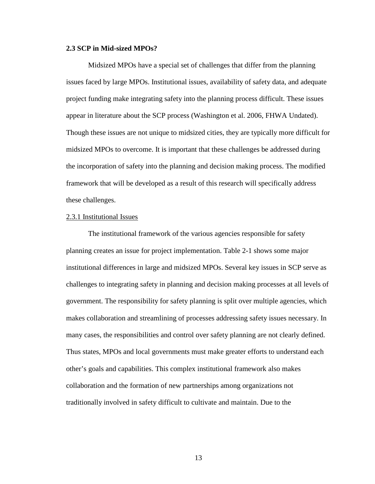### **2.3 SCP in Mid-sized MPOs?**

Midsized MPOs have a special set of challenges that differ from the planning issues faced by large MPOs. Institutional issues, availability of safety data, and adequate project funding make integrating safety into the planning process difficult. These issues appear in literature about the SCP process (Washington et al. 2006, FHWA Undated). Though these issues are not unique to midsized cities, they are typically more difficult for midsized MPOs to overcome. It is important that these challenges be addressed during the incorporation of safety into the planning and decision making process. The modified framework that will be developed as a result of this research will specifically address these challenges.

#### 2.3.1 Institutional Issues

The institutional framework of the various agencies responsible for safety planning creates an issue for project implementation. Table 2-1 shows some major institutional differences in large and midsized MPOs. Several key issues in SCP serve as challenges to integrating safety in planning and decision making processes at all levels of government. The responsibility for safety planning is split over multiple agencies, which makes collaboration and streamlining of processes addressing safety issues necessary. In many cases, the responsibilities and control over safety planning are not clearly defined. Thus states, MPOs and local governments must make greater efforts to understand each other's goals and capabilities. This complex institutional framework also makes collaboration and the formation of new partnerships among organizations not traditionally involved in safety difficult to cultivate and maintain. Due to the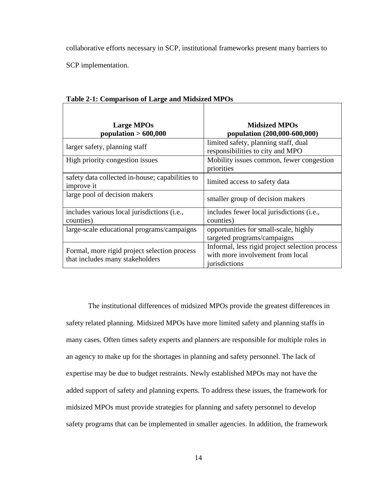collaborative efforts necessary in SCP, institutional frameworks present many barriers to

SCP implementation.

| <b>Large MPOs</b><br>population $> 600,000$                                     | <b>Midsized MPOs</b><br>population (200,000-600,000)                                                |  |
|---------------------------------------------------------------------------------|-----------------------------------------------------------------------------------------------------|--|
| larger safety, planning staff                                                   | limited safety, planning staff, dual<br>responsibilities to city and MPO                            |  |
| High priority congestion issues                                                 | Mobility issues common, fewer congestion<br>priorities                                              |  |
| safety data collected in-house; capabilities to<br>improve it                   | limited access to safety data                                                                       |  |
| large pool of decision makers                                                   | smaller group of decision makers                                                                    |  |
| includes various local jurisdictions (i.e.,<br>counties)                        | includes fewer local jurisdictions (i.e.,<br>counties)                                              |  |
| large-scale educational programs/campaigns                                      | opportunities for small-scale, highly<br>targeted programs/campaigns                                |  |
| Formal, more rigid project selection process<br>that includes many stakeholders | Informal, less rigid project selection process<br>with more involvement from local<br>jurisdictions |  |

**Table 2-1: Comparison of Large and Midsized MPOs** 

The institutional differences of midsized MPOs provide the greatest differences in safety related planning. Midsized MPOs have more limited safety and planning staffs in many cases. Often times safety experts and planners are responsible for multiple roles in an agency to make up for the shortages in planning and safety personnel. The lack of expertise may be due to budget restraints. Newly established MPOs may not have the added support of safety and planning experts. To address these issues, the framework for midsized MPOs must provide strategies for planning and safety personnel to develop safety programs that can be implemented in smaller agencies. In addition, the framework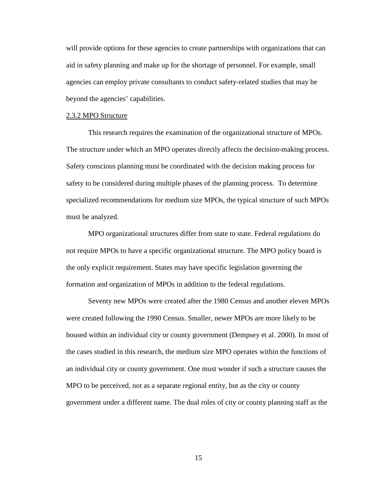will provide options for these agencies to create partnerships with organizations that can aid in safety planning and make up for the shortage of personnel. For example, small agencies can employ private consultants to conduct safety-related studies that may be beyond the agencies' capabilities.

#### 2.3.2 MPO Structure

 This research requires the examination of the organizational structure of MPOs. The structure under which an MPO operates directly affects the decision-making process. Safety conscious planning must be coordinated with the decision making process for safety to be considered during multiple phases of the planning process. To determine specialized recommendations for medium size MPOs, the typical structure of such MPOs must be analyzed.

 MPO organizational structures differ from state to state. Federal regulations do not require MPOs to have a specific organizational structure. The MPO policy board is the only explicit requirement. States may have specific legislation governing the formation and organization of MPOs in addition to the federal regulations.

 Seventy new MPOs were created after the 1980 Census and another eleven MPOs were created following the 1990 Census. Smaller, newer MPOs are more likely to be housed within an individual city or county government (Dempsey et al. 2000). In most of the cases studied in this research, the medium size MPO operates within the functions of an individual city or county government. One must wonder if such a structure causes the MPO to be perceived, not as a separate regional entity, but as the city or county government under a different name. The dual roles of city or county planning staff as the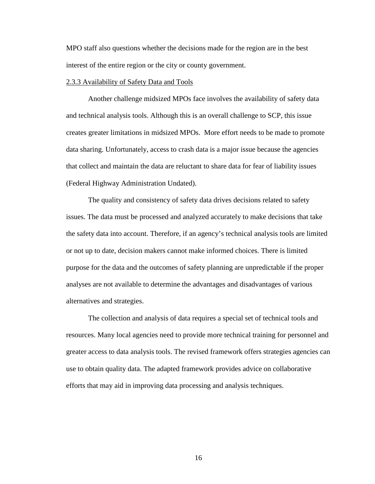MPO staff also questions whether the decisions made for the region are in the best interest of the entire region or the city or county government.

### 2.3.3 Availability of Safety Data and Tools

Another challenge midsized MPOs face involves the availability of safety data and technical analysis tools. Although this is an overall challenge to SCP, this issue creates greater limitations in midsized MPOs. More effort needs to be made to promote data sharing. Unfortunately, access to crash data is a major issue because the agencies that collect and maintain the data are reluctant to share data for fear of liability issues (Federal Highway Administration Undated).

The quality and consistency of safety data drives decisions related to safety issues. The data must be processed and analyzed accurately to make decisions that take the safety data into account. Therefore, if an agency's technical analysis tools are limited or not up to date, decision makers cannot make informed choices. There is limited purpose for the data and the outcomes of safety planning are unpredictable if the proper analyses are not available to determine the advantages and disadvantages of various alternatives and strategies.

The collection and analysis of data requires a special set of technical tools and resources. Many local agencies need to provide more technical training for personnel and greater access to data analysis tools. The revised framework offers strategies agencies can use to obtain quality data. The adapted framework provides advice on collaborative efforts that may aid in improving data processing and analysis techniques.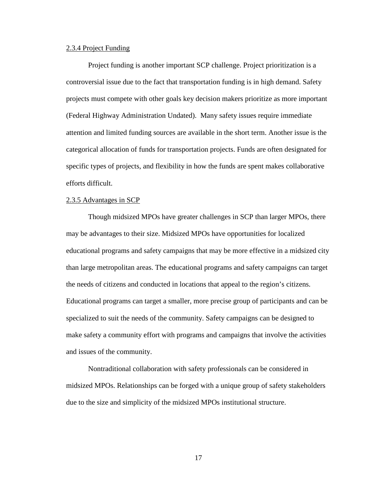#### 2.3.4 Project Funding

Project funding is another important SCP challenge. Project prioritization is a controversial issue due to the fact that transportation funding is in high demand. Safety projects must compete with other goals key decision makers prioritize as more important (Federal Highway Administration Undated). Many safety issues require immediate attention and limited funding sources are available in the short term. Another issue is the categorical allocation of funds for transportation projects. Funds are often designated for specific types of projects, and flexibility in how the funds are spent makes collaborative efforts difficult.

### 2.3.5 Advantages in SCP

Though midsized MPOs have greater challenges in SCP than larger MPOs, there may be advantages to their size. Midsized MPOs have opportunities for localized educational programs and safety campaigns that may be more effective in a midsized city than large metropolitan areas. The educational programs and safety campaigns can target the needs of citizens and conducted in locations that appeal to the region's citizens. Educational programs can target a smaller, more precise group of participants and can be specialized to suit the needs of the community. Safety campaigns can be designed to make safety a community effort with programs and campaigns that involve the activities and issues of the community.

Nontraditional collaboration with safety professionals can be considered in midsized MPOs. Relationships can be forged with a unique group of safety stakeholders due to the size and simplicity of the midsized MPOs institutional structure.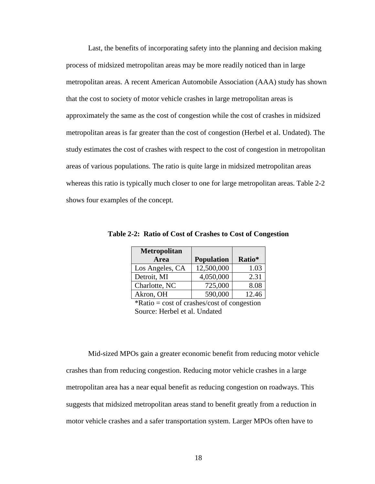Last, the benefits of incorporating safety into the planning and decision making process of midsized metropolitan areas may be more readily noticed than in large metropolitan areas. A recent American Automobile Association (AAA) study has shown that the cost to society of motor vehicle crashes in large metropolitan areas is approximately the same as the cost of congestion while the cost of crashes in midsized metropolitan areas is far greater than the cost of congestion (Herbel et al. Undated). The study estimates the cost of crashes with respect to the cost of congestion in metropolitan areas of various populations. The ratio is quite large in midsized metropolitan areas whereas this ratio is typically much closer to one for large metropolitan areas. Table 2-2 shows four examples of the concept.

| <b>Metropolitan</b> |                   |        |
|---------------------|-------------------|--------|
| Area                | <b>Population</b> | Ratio* |
| Los Angeles, CA     | 12,500,000        | 1.03   |
| Detroit, MI         | 4,050,000         | 2.31   |
| Charlotte, NC       | 725,000           | 8.08   |
| Akron, OH           | 590,000           | 12.46  |

**Table 2-2: Ratio of Cost of Crashes to Cost of Congestion** 

 $*Ratio = cost of crashes/cost of congestion$ Source: Herbel et al. Undated

 Mid-sized MPOs gain a greater economic benefit from reducing motor vehicle crashes than from reducing congestion. Reducing motor vehicle crashes in a large metropolitan area has a near equal benefit as reducing congestion on roadways. This suggests that midsized metropolitan areas stand to benefit greatly from a reduction in motor vehicle crashes and a safer transportation system. Larger MPOs often have to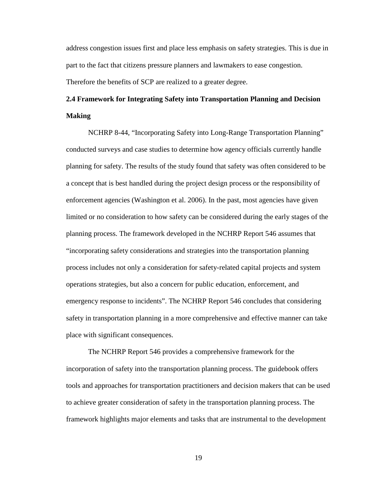address congestion issues first and place less emphasis on safety strategies. This is due in part to the fact that citizens pressure planners and lawmakers to ease congestion. Therefore the benefits of SCP are realized to a greater degree.

# **2.4 Framework for Integrating Safety into Transportation Planning and Decision Making**

 NCHRP 8-44, "Incorporating Safety into Long-Range Transportation Planning" conducted surveys and case studies to determine how agency officials currently handle planning for safety. The results of the study found that safety was often considered to be a concept that is best handled during the project design process or the responsibility of enforcement agencies (Washington et al. 2006). In the past, most agencies have given limited or no consideration to how safety can be considered during the early stages of the planning process. The framework developed in the NCHRP Report 546 assumes that "incorporating safety considerations and strategies into the transportation planning process includes not only a consideration for safety-related capital projects and system operations strategies, but also a concern for public education, enforcement, and emergency response to incidents". The NCHRP Report 546 concludes that considering safety in transportation planning in a more comprehensive and effective manner can take place with significant consequences.

 The NCHRP Report 546 provides a comprehensive framework for the incorporation of safety into the transportation planning process. The guidebook offers tools and approaches for transportation practitioners and decision makers that can be used to achieve greater consideration of safety in the transportation planning process. The framework highlights major elements and tasks that are instrumental to the development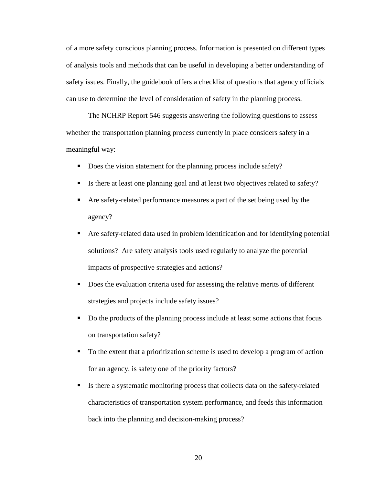of a more safety conscious planning process. Information is presented on different types of analysis tools and methods that can be useful in developing a better understanding of safety issues. Finally, the guidebook offers a checklist of questions that agency officials can use to determine the level of consideration of safety in the planning process.

 The NCHRP Report 546 suggests answering the following questions to assess whether the transportation planning process currently in place considers safety in a meaningful way:

- Does the vision statement for the planning process include safety?
- Is there at least one planning goal and at least two objectives related to safety?
- Are safety-related performance measures a part of the set being used by the agency?
- Are safety-related data used in problem identification and for identifying potential solutions? Are safety analysis tools used regularly to analyze the potential impacts of prospective strategies and actions?
- Does the evaluation criteria used for assessing the relative merits of different strategies and projects include safety issues?
- Do the products of the planning process include at least some actions that focus on transportation safety?
- To the extent that a prioritization scheme is used to develop a program of action for an agency, is safety one of the priority factors?
- If Its there a systematic monitoring process that collects data on the safety-related characteristics of transportation system performance, and feeds this information back into the planning and decision-making process?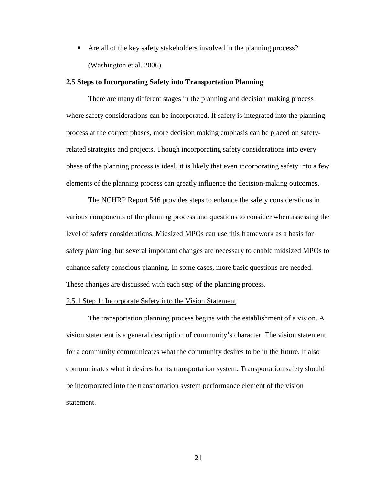Are all of the key safety stakeholders involved in the planning process? (Washington et al. 2006)

## **2.5 Steps to Incorporating Safety into Transportation Planning**

There are many different stages in the planning and decision making process where safety considerations can be incorporated. If safety is integrated into the planning process at the correct phases, more decision making emphasis can be placed on safetyrelated strategies and projects. Though incorporating safety considerations into every phase of the planning process is ideal, it is likely that even incorporating safety into a few elements of the planning process can greatly influence the decision-making outcomes.

The NCHRP Report 546 provides steps to enhance the safety considerations in various components of the planning process and questions to consider when assessing the level of safety considerations. Midsized MPOs can use this framework as a basis for safety planning, but several important changes are necessary to enable midsized MPOs to enhance safety conscious planning. In some cases, more basic questions are needed. These changes are discussed with each step of the planning process.

### 2.5.1 Step 1: Incorporate Safety into the Vision Statement

The transportation planning process begins with the establishment of a vision. A vision statement is a general description of community's character. The vision statement for a community communicates what the community desires to be in the future. It also communicates what it desires for its transportation system. Transportation safety should be incorporated into the transportation system performance element of the vision statement.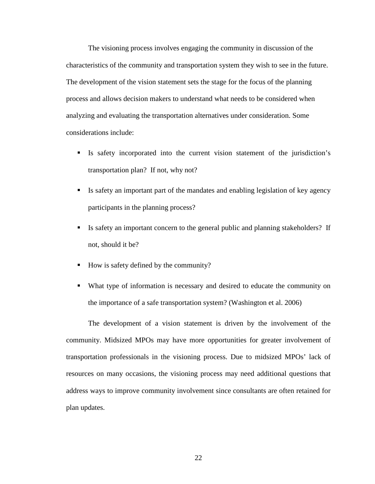The visioning process involves engaging the community in discussion of the characteristics of the community and transportation system they wish to see in the future. The development of the vision statement sets the stage for the focus of the planning process and allows decision makers to understand what needs to be considered when analyzing and evaluating the transportation alternatives under consideration. Some considerations include:

- Is safety incorporated into the current vision statement of the jurisdiction's transportation plan? If not, why not?
- Is safety an important part of the mandates and enabling legislation of key agency participants in the planning process?
- Is safety an important concern to the general public and planning stakeholders? If not, should it be?
- How is safety defined by the community?
- What type of information is necessary and desired to educate the community on the importance of a safe transportation system? (Washington et al. 2006)

The development of a vision statement is driven by the involvement of the community. Midsized MPOs may have more opportunities for greater involvement of transportation professionals in the visioning process. Due to midsized MPOs' lack of resources on many occasions, the visioning process may need additional questions that address ways to improve community involvement since consultants are often retained for plan updates.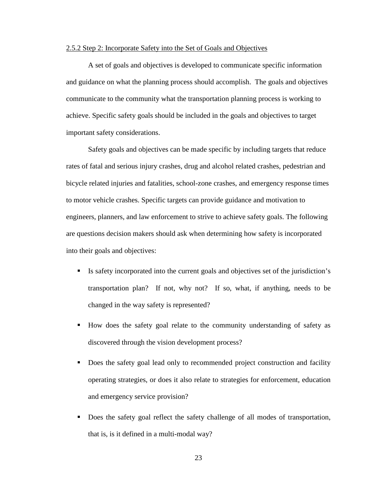### 2.5.2 Step 2: Incorporate Safety into the Set of Goals and Objectives

A set of goals and objectives is developed to communicate specific information and guidance on what the planning process should accomplish. The goals and objectives communicate to the community what the transportation planning process is working to achieve. Specific safety goals should be included in the goals and objectives to target important safety considerations.

Safety goals and objectives can be made specific by including targets that reduce rates of fatal and serious injury crashes, drug and alcohol related crashes, pedestrian and bicycle related injuries and fatalities, school-zone crashes, and emergency response times to motor vehicle crashes. Specific targets can provide guidance and motivation to engineers, planners, and law enforcement to strive to achieve safety goals. The following are questions decision makers should ask when determining how safety is incorporated into their goals and objectives:

- Is safety incorporated into the current goals and objectives set of the jurisdiction's transportation plan? If not, why not? If so, what, if anything, needs to be changed in the way safety is represented?
- How does the safety goal relate to the community understanding of safety as discovered through the vision development process?
- Does the safety goal lead only to recommended project construction and facility operating strategies, or does it also relate to strategies for enforcement, education and emergency service provision?
- Does the safety goal reflect the safety challenge of all modes of transportation, that is, is it defined in a multi-modal way?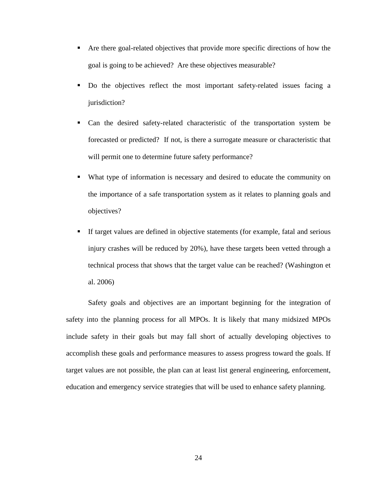- Are there goal-related objectives that provide more specific directions of how the goal is going to be achieved? Are these objectives measurable?
- Do the objectives reflect the most important safety-related issues facing a jurisdiction?
- Can the desired safety-related characteristic of the transportation system be forecasted or predicted? If not, is there a surrogate measure or characteristic that will permit one to determine future safety performance?
- What type of information is necessary and desired to educate the community on the importance of a safe transportation system as it relates to planning goals and objectives?
- If target values are defined in objective statements (for example, fatal and serious injury crashes will be reduced by 20%), have these targets been vetted through a technical process that shows that the target value can be reached? (Washington et al. 2006)

Safety goals and objectives are an important beginning for the integration of safety into the planning process for all MPOs. It is likely that many midsized MPOs include safety in their goals but may fall short of actually developing objectives to accomplish these goals and performance measures to assess progress toward the goals. If target values are not possible, the plan can at least list general engineering, enforcement, education and emergency service strategies that will be used to enhance safety planning.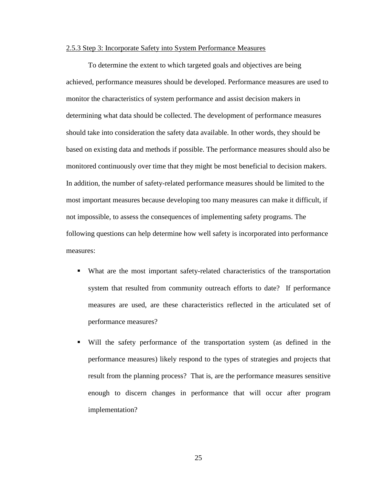## 2.5.3 Step 3: Incorporate Safety into System Performance Measures

To determine the extent to which targeted goals and objectives are being achieved, performance measures should be developed. Performance measures are used to monitor the characteristics of system performance and assist decision makers in determining what data should be collected. The development of performance measures should take into consideration the safety data available. In other words, they should be based on existing data and methods if possible. The performance measures should also be monitored continuously over time that they might be most beneficial to decision makers. In addition, the number of safety-related performance measures should be limited to the most important measures because developing too many measures can make it difficult, if not impossible, to assess the consequences of implementing safety programs. The following questions can help determine how well safety is incorporated into performance measures:

- What are the most important safety-related characteristics of the transportation system that resulted from community outreach efforts to date? If performance measures are used, are these characteristics reflected in the articulated set of performance measures?
- Will the safety performance of the transportation system (as defined in the performance measures) likely respond to the types of strategies and projects that result from the planning process? That is, are the performance measures sensitive enough to discern changes in performance that will occur after program implementation?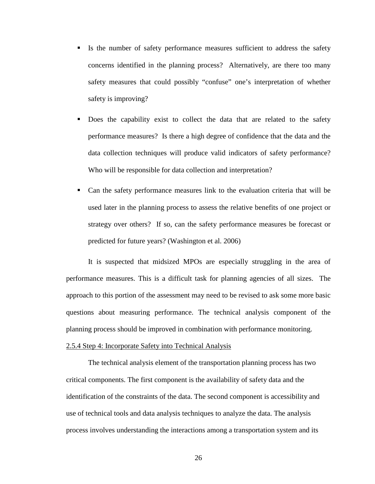- If Is the number of safety performance measures sufficient to address the safety concerns identified in the planning process? Alternatively, are there too many safety measures that could possibly "confuse" one's interpretation of whether safety is improving?
- Does the capability exist to collect the data that are related to the safety performance measures? Is there a high degree of confidence that the data and the data collection techniques will produce valid indicators of safety performance? Who will be responsible for data collection and interpretation?
- Can the safety performance measures link to the evaluation criteria that will be used later in the planning process to assess the relative benefits of one project or strategy over others? If so, can the safety performance measures be forecast or predicted for future years? (Washington et al. 2006)

It is suspected that midsized MPOs are especially struggling in the area of performance measures. This is a difficult task for planning agencies of all sizes. The approach to this portion of the assessment may need to be revised to ask some more basic questions about measuring performance. The technical analysis component of the planning process should be improved in combination with performance monitoring.

### 2.5.4 Step 4: Incorporate Safety into Technical Analysis

The technical analysis element of the transportation planning process has two critical components. The first component is the availability of safety data and the identification of the constraints of the data. The second component is accessibility and use of technical tools and data analysis techniques to analyze the data. The analysis process involves understanding the interactions among a transportation system and its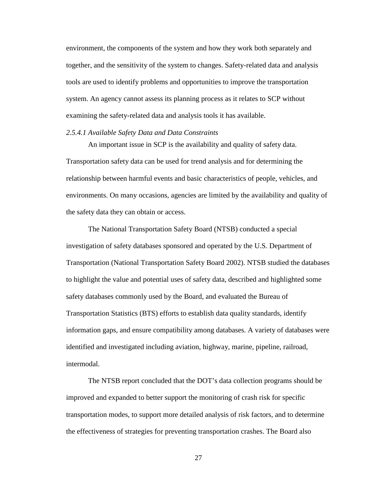environment, the components of the system and how they work both separately and together, and the sensitivity of the system to changes. Safety-related data and analysis tools are used to identify problems and opportunities to improve the transportation system. An agency cannot assess its planning process as it relates to SCP without examining the safety-related data and analysis tools it has available.

## *2.5.4.1 Available Safety Data and Data Constraints*

An important issue in SCP is the availability and quality of safety data. Transportation safety data can be used for trend analysis and for determining the relationship between harmful events and basic characteristics of people, vehicles, and environments. On many occasions, agencies are limited by the availability and quality of the safety data they can obtain or access.

The National Transportation Safety Board (NTSB) conducted a special investigation of safety databases sponsored and operated by the U.S. Department of Transportation (National Transportation Safety Board 2002). NTSB studied the databases to highlight the value and potential uses of safety data, described and highlighted some safety databases commonly used by the Board, and evaluated the Bureau of Transportation Statistics (BTS) efforts to establish data quality standards, identify information gaps, and ensure compatibility among databases. A variety of databases were identified and investigated including aviation, highway, marine, pipeline, railroad, intermodal.

The NTSB report concluded that the DOT's data collection programs should be improved and expanded to better support the monitoring of crash risk for specific transportation modes, to support more detailed analysis of risk factors, and to determine the effectiveness of strategies for preventing transportation crashes. The Board also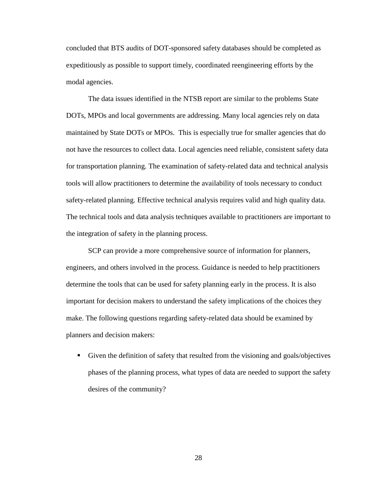concluded that BTS audits of DOT-sponsored safety databases should be completed as expeditiously as possible to support timely, coordinated reengineering efforts by the modal agencies.

The data issues identified in the NTSB report are similar to the problems State DOTs, MPOs and local governments are addressing. Many local agencies rely on data maintained by State DOTs or MPOs. This is especially true for smaller agencies that do not have the resources to collect data. Local agencies need reliable, consistent safety data for transportation planning. The examination of safety-related data and technical analysis tools will allow practitioners to determine the availability of tools necessary to conduct safety-related planning. Effective technical analysis requires valid and high quality data. The technical tools and data analysis techniques available to practitioners are important to the integration of safety in the planning process.

SCP can provide a more comprehensive source of information for planners, engineers, and others involved in the process. Guidance is needed to help practitioners determine the tools that can be used for safety planning early in the process. It is also important for decision makers to understand the safety implications of the choices they make. The following questions regarding safety-related data should be examined by planners and decision makers:

 Given the definition of safety that resulted from the visioning and goals/objectives phases of the planning process, what types of data are needed to support the safety desires of the community?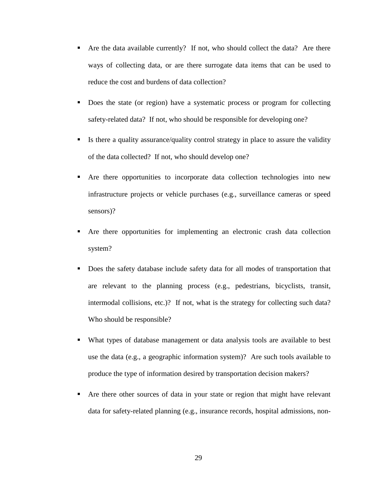- Are the data available currently? If not, who should collect the data? Are there ways of collecting data, or are there surrogate data items that can be used to reduce the cost and burdens of data collection?
- Does the state (or region) have a systematic process or program for collecting safety-related data? If not, who should be responsible for developing one?
- Is there a quality assurance/quality control strategy in place to assure the validity of the data collected? If not, who should develop one?
- Are there opportunities to incorporate data collection technologies into new infrastructure projects or vehicle purchases (e.g., surveillance cameras or speed sensors)?
- Are there opportunities for implementing an electronic crash data collection system?
- Does the safety database include safety data for all modes of transportation that are relevant to the planning process (e.g., pedestrians, bicyclists, transit, intermodal collisions, etc.)? If not, what is the strategy for collecting such data? Who should be responsible?
- What types of database management or data analysis tools are available to best use the data (e.g., a geographic information system)? Are such tools available to produce the type of information desired by transportation decision makers?
- Are there other sources of data in your state or region that might have relevant data for safety-related planning (e.g., insurance records, hospital admissions, non-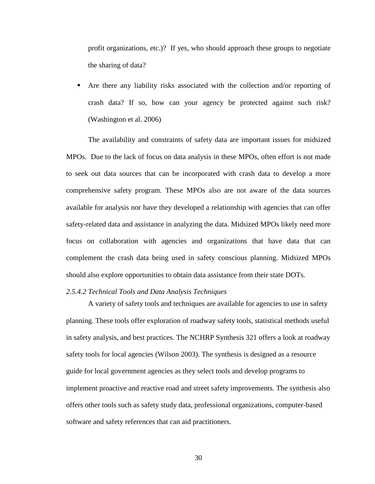profit organizations, etc.)? If yes, who should approach these groups to negotiate the sharing of data?

 Are there any liability risks associated with the collection and/or reporting of crash data? If so, how can your agency be protected against such risk? (Washington et al. 2006)

The availability and constraints of safety data are important issues for midsized MPOs. Due to the lack of focus on data analysis in these MPOs, often effort is not made to seek out data sources that can be incorporated with crash data to develop a more comprehensive safety program. These MPOs also are not aware of the data sources available for analysis nor have they developed a relationship with agencies that can offer safety-related data and assistance in analyzing the data. Midsized MPOs likely need more focus on collaboration with agencies and organizations that have data that can complement the crash data being used in safety conscious planning. Midsized MPOs should also explore opportunities to obtain data assistance from their state DOTs.

### *2.5.4.2 Technical Tools and Data Analysis Techniques*

A variety of safety tools and techniques are available for agencies to use in safety planning. These tools offer exploration of roadway safety tools, statistical methods useful in safety analysis, and best practices. The NCHRP Synthesis 321 offers a look at roadway safety tools for local agencies (Wilson 2003). The synthesis is designed as a resource guide for local government agencies as they select tools and develop programs to implement proactive and reactive road and street safety improvements. The synthesis also offers other tools such as safety study data, professional organizations, computer-based software and safety references that can aid practitioners.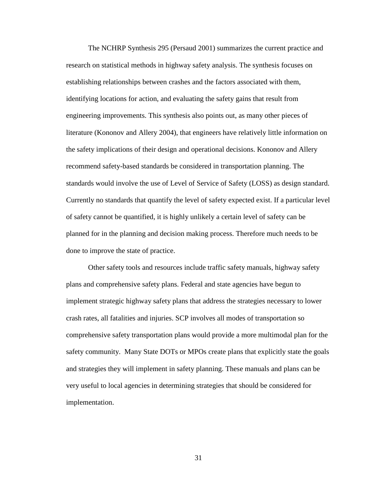The NCHRP Synthesis 295 (Persaud 2001) summarizes the current practice and research on statistical methods in highway safety analysis. The synthesis focuses on establishing relationships between crashes and the factors associated with them, identifying locations for action, and evaluating the safety gains that result from engineering improvements. This synthesis also points out, as many other pieces of literature (Kononov and Allery 2004), that engineers have relatively little information on the safety implications of their design and operational decisions. Kononov and Allery recommend safety-based standards be considered in transportation planning. The standards would involve the use of Level of Service of Safety (LOSS) as design standard. Currently no standards that quantify the level of safety expected exist. If a particular level of safety cannot be quantified, it is highly unlikely a certain level of safety can be planned for in the planning and decision making process. Therefore much needs to be done to improve the state of practice.

Other safety tools and resources include traffic safety manuals, highway safety plans and comprehensive safety plans. Federal and state agencies have begun to implement strategic highway safety plans that address the strategies necessary to lower crash rates, all fatalities and injuries. SCP involves all modes of transportation so comprehensive safety transportation plans would provide a more multimodal plan for the safety community. Many State DOTs or MPOs create plans that explicitly state the goals and strategies they will implement in safety planning. These manuals and plans can be very useful to local agencies in determining strategies that should be considered for implementation.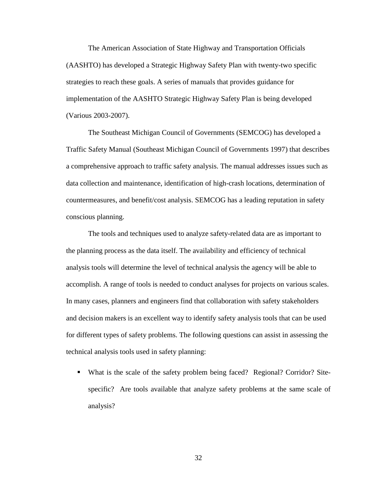The American Association of State Highway and Transportation Officials (AASHTO) has developed a Strategic Highway Safety Plan with twenty-two specific strategies to reach these goals. A series of manuals that provides guidance for implementation of the AASHTO Strategic Highway Safety Plan is being developed (Various 2003-2007).

The Southeast Michigan Council of Governments (SEMCOG) has developed a Traffic Safety Manual (Southeast Michigan Council of Governments 1997) that describes a comprehensive approach to traffic safety analysis. The manual addresses issues such as data collection and maintenance, identification of high-crash locations, determination of countermeasures, and benefit/cost analysis. SEMCOG has a leading reputation in safety conscious planning.

The tools and techniques used to analyze safety-related data are as important to the planning process as the data itself. The availability and efficiency of technical analysis tools will determine the level of technical analysis the agency will be able to accomplish. A range of tools is needed to conduct analyses for projects on various scales. In many cases, planners and engineers find that collaboration with safety stakeholders and decision makers is an excellent way to identify safety analysis tools that can be used for different types of safety problems. The following questions can assist in assessing the technical analysis tools used in safety planning:

 What is the scale of the safety problem being faced? Regional? Corridor? Sitespecific? Are tools available that analyze safety problems at the same scale of analysis?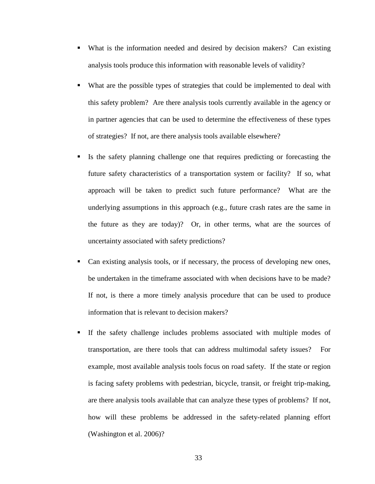- What is the information needed and desired by decision makers? Can existing analysis tools produce this information with reasonable levels of validity?
- What are the possible types of strategies that could be implemented to deal with this safety problem? Are there analysis tools currently available in the agency or in partner agencies that can be used to determine the effectiveness of these types of strategies? If not, are there analysis tools available elsewhere?
- Is the safety planning challenge one that requires predicting or forecasting the future safety characteristics of a transportation system or facility? If so, what approach will be taken to predict such future performance? What are the underlying assumptions in this approach (e.g., future crash rates are the same in the future as they are today)? Or, in other terms, what are the sources of uncertainty associated with safety predictions?
- Can existing analysis tools, or if necessary, the process of developing new ones, be undertaken in the timeframe associated with when decisions have to be made? If not, is there a more timely analysis procedure that can be used to produce information that is relevant to decision makers?
- If the safety challenge includes problems associated with multiple modes of transportation, are there tools that can address multimodal safety issues? For example, most available analysis tools focus on road safety. If the state or region is facing safety problems with pedestrian, bicycle, transit, or freight trip-making, are there analysis tools available that can analyze these types of problems? If not, how will these problems be addressed in the safety-related planning effort (Washington et al. 2006)?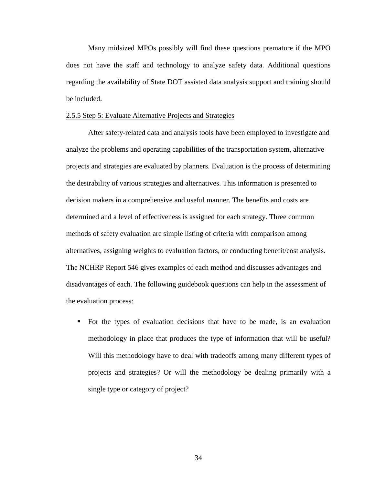Many midsized MPOs possibly will find these questions premature if the MPO does not have the staff and technology to analyze safety data. Additional questions regarding the availability of State DOT assisted data analysis support and training should be included.

### 2.5.5 Step 5: Evaluate Alternative Projects and Strategies

After safety-related data and analysis tools have been employed to investigate and analyze the problems and operating capabilities of the transportation system, alternative projects and strategies are evaluated by planners. Evaluation is the process of determining the desirability of various strategies and alternatives. This information is presented to decision makers in a comprehensive and useful manner. The benefits and costs are determined and a level of effectiveness is assigned for each strategy. Three common methods of safety evaluation are simple listing of criteria with comparison among alternatives, assigning weights to evaluation factors, or conducting benefit/cost analysis. The NCHRP Report 546 gives examples of each method and discusses advantages and disadvantages of each. The following guidebook questions can help in the assessment of the evaluation process:

 For the types of evaluation decisions that have to be made, is an evaluation methodology in place that produces the type of information that will be useful? Will this methodology have to deal with tradeoffs among many different types of projects and strategies? Or will the methodology be dealing primarily with a single type or category of project?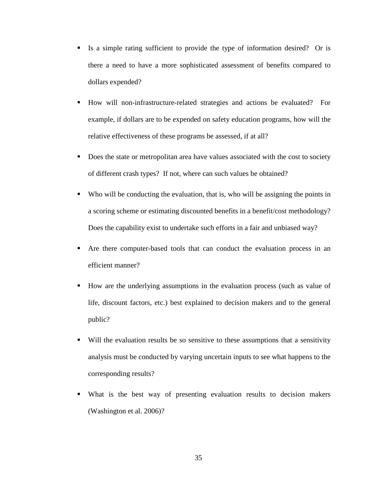- Is a simple rating sufficient to provide the type of information desired? Or is there a need to have a more sophisticated assessment of benefits compared to dollars expended?
- How will non-infrastructure-related strategies and actions be evaluated? For example, if dollars are to be expended on safety education programs, how will the relative effectiveness of these programs be assessed, if at all?
- Does the state or metropolitan area have values associated with the cost to society of different crash types? If not, where can such values be obtained?
- Who will be conducting the evaluation, that is, who will be assigning the points in a scoring scheme or estimating discounted benefits in a benefit/cost methodology? Does the capability exist to undertake such efforts in a fair and unbiased way?
- Are there computer-based tools that can conduct the evaluation process in an efficient manner?
- How are the underlying assumptions in the evaluation process (such as value of life, discount factors, etc.) best explained to decision makers and to the general public?
- Will the evaluation results be so sensitive to these assumptions that a sensitivity analysis must be conducted by varying uncertain inputs to see what happens to the corresponding results?
- What is the best way of presenting evaluation results to decision makers (Washington et al. 2006)?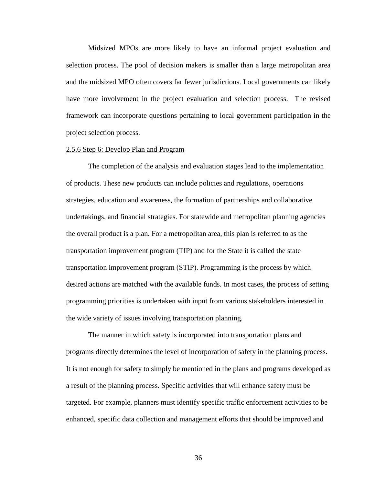Midsized MPOs are more likely to have an informal project evaluation and selection process. The pool of decision makers is smaller than a large metropolitan area and the midsized MPO often covers far fewer jurisdictions. Local governments can likely have more involvement in the project evaluation and selection process. The revised framework can incorporate questions pertaining to local government participation in the project selection process.

## 2.5.6 Step 6: Develop Plan and Program

The completion of the analysis and evaluation stages lead to the implementation of products. These new products can include policies and regulations, operations strategies, education and awareness, the formation of partnerships and collaborative undertakings, and financial strategies. For statewide and metropolitan planning agencies the overall product is a plan. For a metropolitan area, this plan is referred to as the transportation improvement program (TIP) and for the State it is called the state transportation improvement program (STIP). Programming is the process by which desired actions are matched with the available funds. In most cases, the process of setting programming priorities is undertaken with input from various stakeholders interested in the wide variety of issues involving transportation planning.

The manner in which safety is incorporated into transportation plans and programs directly determines the level of incorporation of safety in the planning process. It is not enough for safety to simply be mentioned in the plans and programs developed as a result of the planning process. Specific activities that will enhance safety must be targeted. For example, planners must identify specific traffic enforcement activities to be enhanced, specific data collection and management efforts that should be improved and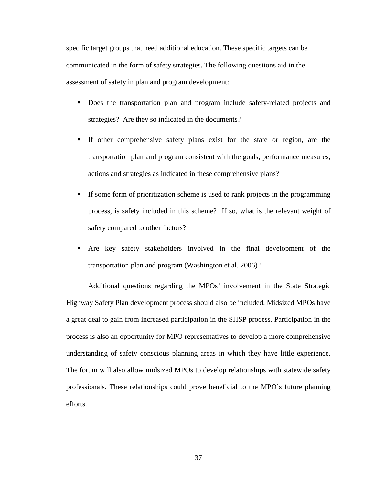specific target groups that need additional education. These specific targets can be communicated in the form of safety strategies. The following questions aid in the assessment of safety in plan and program development:

- Does the transportation plan and program include safety-related projects and strategies? Are they so indicated in the documents?
- If other comprehensive safety plans exist for the state or region, are the transportation plan and program consistent with the goals, performance measures, actions and strategies as indicated in these comprehensive plans?
- If some form of prioritization scheme is used to rank projects in the programming process, is safety included in this scheme? If so, what is the relevant weight of safety compared to other factors?
- Are key safety stakeholders involved in the final development of the transportation plan and program (Washington et al. 2006)?

Additional questions regarding the MPOs' involvement in the State Strategic Highway Safety Plan development process should also be included. Midsized MPOs have a great deal to gain from increased participation in the SHSP process. Participation in the process is also an opportunity for MPO representatives to develop a more comprehensive understanding of safety conscious planning areas in which they have little experience. The forum will also allow midsized MPOs to develop relationships with statewide safety professionals. These relationships could prove beneficial to the MPO's future planning efforts.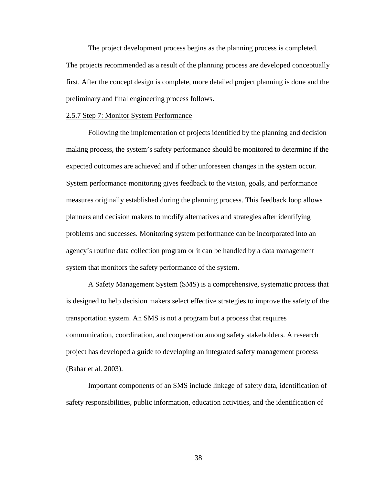The project development process begins as the planning process is completed. The projects recommended as a result of the planning process are developed conceptually first. After the concept design is complete, more detailed project planning is done and the preliminary and final engineering process follows.

### 2.5.7 Step 7: Monitor System Performance

Following the implementation of projects identified by the planning and decision making process, the system's safety performance should be monitored to determine if the expected outcomes are achieved and if other unforeseen changes in the system occur. System performance monitoring gives feedback to the vision, goals, and performance measures originally established during the planning process. This feedback loop allows planners and decision makers to modify alternatives and strategies after identifying problems and successes. Monitoring system performance can be incorporated into an agency's routine data collection program or it can be handled by a data management system that monitors the safety performance of the system.

A Safety Management System (SMS) is a comprehensive, systematic process that is designed to help decision makers select effective strategies to improve the safety of the transportation system. An SMS is not a program but a process that requires communication, coordination, and cooperation among safety stakeholders. A research project has developed a guide to developing an integrated safety management process (Bahar et al. 2003).

Important components of an SMS include linkage of safety data, identification of safety responsibilities, public information, education activities, and the identification of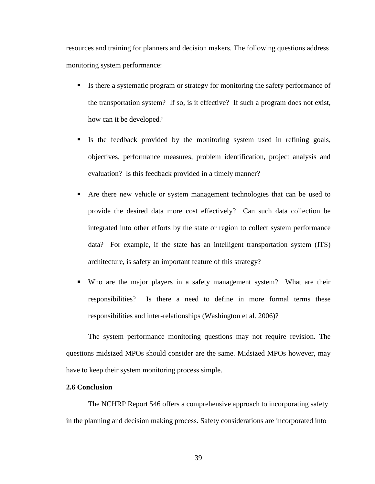resources and training for planners and decision makers. The following questions address monitoring system performance:

- Is there a systematic program or strategy for monitoring the safety performance of the transportation system? If so, is it effective? If such a program does not exist, how can it be developed?
- If Is the feedback provided by the monitoring system used in refining goals, objectives, performance measures, problem identification, project analysis and evaluation? Is this feedback provided in a timely manner?
- Are there new vehicle or system management technologies that can be used to provide the desired data more cost effectively? Can such data collection be integrated into other efforts by the state or region to collect system performance data? For example, if the state has an intelligent transportation system (ITS) architecture, is safety an important feature of this strategy?
- Who are the major players in a safety management system? What are their responsibilities? Is there a need to define in more formal terms these responsibilities and inter-relationships (Washington et al. 2006)?

The system performance monitoring questions may not require revision. The questions midsized MPOs should consider are the same. Midsized MPOs however, may have to keep their system monitoring process simple.

# **2.6 Conclusion**

The NCHRP Report 546 offers a comprehensive approach to incorporating safety in the planning and decision making process. Safety considerations are incorporated into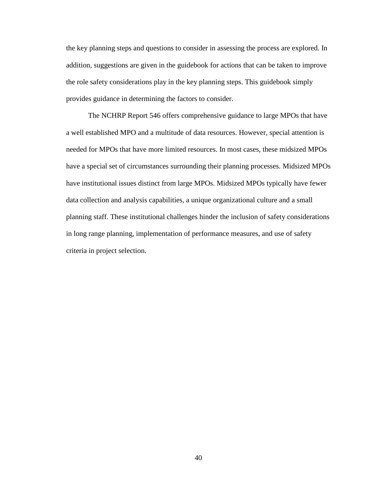the key planning steps and questions to consider in assessing the process are explored. In addition, suggestions are given in the guidebook for actions that can be taken to improve the role safety considerations play in the key planning steps. This guidebook simply provides guidance in determining the factors to consider.

The NCHRP Report 546 offers comprehensive guidance to large MPOs that have a well established MPO and a multitude of data resources. However, special attention is needed for MPOs that have more limited resources. In most cases, these midsized MPOs have a special set of circumstances surrounding their planning processes. Midsized MPOs have institutional issues distinct from large MPOs. Midsized MPOs typically have fewer data collection and analysis capabilities, a unique organizational culture and a small planning staff. These institutional challenges hinder the inclusion of safety considerations in long range planning, implementation of performance measures, and use of safety criteria in project selection.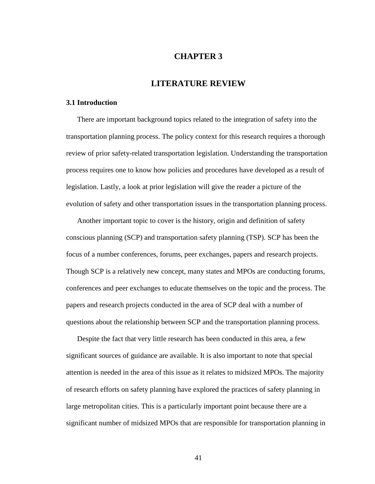# **CHAPTER 3**

# **LITERATURE REVIEW**

### **3.1 Introduction**

There are important background topics related to the integration of safety into the transportation planning process. The policy context for this research requires a thorough review of prior safety-related transportation legislation. Understanding the transportation process requires one to know how policies and procedures have developed as a result of legislation. Lastly, a look at prior legislation will give the reader a picture of the evolution of safety and other transportation issues in the transportation planning process.

Another important topic to cover is the history, origin and definition of safety conscious planning (SCP) and transportation safety planning (TSP). SCP has been the focus of a number conferences, forums, peer exchanges, papers and research projects. Though SCP is a relatively new concept, many states and MPOs are conducting forums, conferences and peer exchanges to educate themselves on the topic and the process. The papers and research projects conducted in the area of SCP deal with a number of questions about the relationship between SCP and the transportation planning process.

Despite the fact that very little research has been conducted in this area, a few significant sources of guidance are available. It is also important to note that special attention is needed in the area of this issue as it relates to midsized MPOs. The majority of research efforts on safety planning have explored the practices of safety planning in large metropolitan cities. This is a particularly important point because there are a significant number of midsized MPOs that are responsible for transportation planning in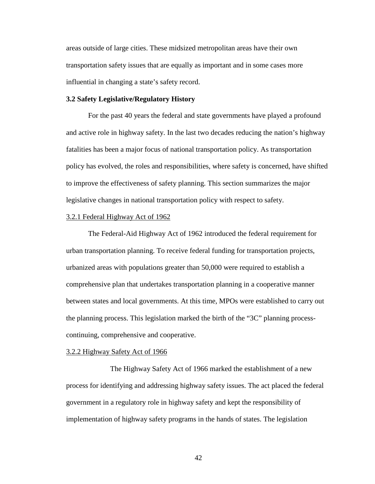areas outside of large cities. These midsized metropolitan areas have their own transportation safety issues that are equally as important and in some cases more influential in changing a state's safety record.

## **3.2 Safety Legislative/Regulatory History**

 For the past 40 years the federal and state governments have played a profound and active role in highway safety. In the last two decades reducing the nation's highway fatalities has been a major focus of national transportation policy. As transportation policy has evolved, the roles and responsibilities, where safety is concerned, have shifted to improve the effectiveness of safety planning. This section summarizes the major legislative changes in national transportation policy with respect to safety.

#### 3.2.1 Federal Highway Act of 1962

 The Federal-Aid Highway Act of 1962 introduced the federal requirement for urban transportation planning. To receive federal funding for transportation projects, urbanized areas with populations greater than 50,000 were required to establish a comprehensive plan that undertakes transportation planning in a cooperative manner between states and local governments. At this time, MPOs were established to carry out the planning process. This legislation marked the birth of the "3C" planning processcontinuing, comprehensive and cooperative.

#### 3.2.2 Highway Safety Act of 1966

 The Highway Safety Act of 1966 marked the establishment of a new process for identifying and addressing highway safety issues. The act placed the federal government in a regulatory role in highway safety and kept the responsibility of implementation of highway safety programs in the hands of states. The legislation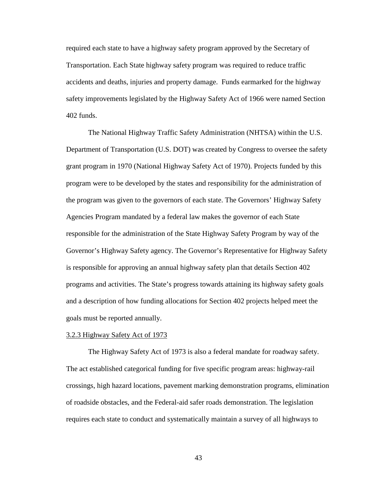required each state to have a highway safety program approved by the Secretary of Transportation. Each State highway safety program was required to reduce traffic accidents and deaths, injuries and property damage. Funds earmarked for the highway safety improvements legislated by the Highway Safety Act of 1966 were named Section 402 funds.

The National Highway Traffic Safety Administration (NHTSA) within the U.S. Department of Transportation (U.S. DOT) was created by Congress to oversee the safety grant program in 1970 (National Highway Safety Act of 1970). Projects funded by this program were to be developed by the states and responsibility for the administration of the program was given to the governors of each state. The Governors' Highway Safety Agencies Program mandated by a federal law makes the governor of each State responsible for the administration of the State Highway Safety Program by way of the Governor's Highway Safety agency. The Governor's Representative for Highway Safety is responsible for approving an annual highway safety plan that details Section 402 programs and activities. The State's progress towards attaining its highway safety goals and a description of how funding allocations for Section 402 projects helped meet the goals must be reported annually.

### 3.2.3 Highway Safety Act of 1973

 The Highway Safety Act of 1973 is also a federal mandate for roadway safety. The act established categorical funding for five specific program areas: highway-rail crossings, high hazard locations, pavement marking demonstration programs, elimination of roadside obstacles, and the Federal-aid safer roads demonstration. The legislation requires each state to conduct and systematically maintain a survey of all highways to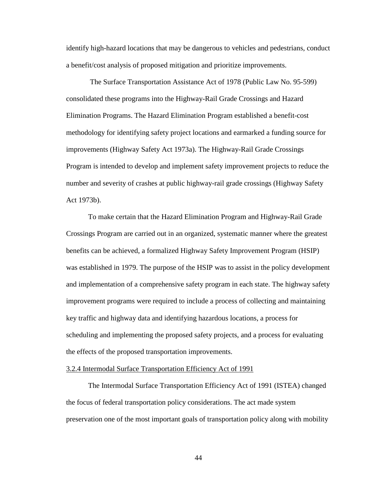identify high-hazard locations that may be dangerous to vehicles and pedestrians, conduct a benefit/cost analysis of proposed mitigation and prioritize improvements.

 The Surface Transportation Assistance Act of 1978 (Public Law No. 95-599) consolidated these programs into the Highway-Rail Grade Crossings and Hazard Elimination Programs. The Hazard Elimination Program established a benefit-cost methodology for identifying safety project locations and earmarked a funding source for improvements (Highway Safety Act 1973a). The Highway-Rail Grade Crossings Program is intended to develop and implement safety improvement projects to reduce the number and severity of crashes at public highway-rail grade crossings (Highway Safety Act 1973b).

 To make certain that the Hazard Elimination Program and Highway-Rail Grade Crossings Program are carried out in an organized, systematic manner where the greatest benefits can be achieved, a formalized Highway Safety Improvement Program (HSIP) was established in 1979. The purpose of the HSIP was to assist in the policy development and implementation of a comprehensive safety program in each state. The highway safety improvement programs were required to include a process of collecting and maintaining key traffic and highway data and identifying hazardous locations, a process for scheduling and implementing the proposed safety projects, and a process for evaluating the effects of the proposed transportation improvements.

## 3.2.4 Intermodal Surface Transportation Efficiency Act of 1991

 The Intermodal Surface Transportation Efficiency Act of 1991 (ISTEA) changed the focus of federal transportation policy considerations. The act made system preservation one of the most important goals of transportation policy along with mobility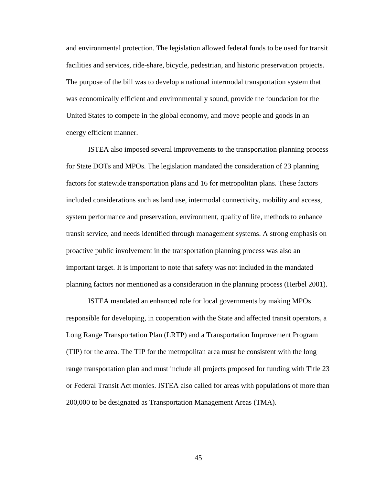and environmental protection. The legislation allowed federal funds to be used for transit facilities and services, ride-share, bicycle, pedestrian, and historic preservation projects. The purpose of the bill was to develop a national intermodal transportation system that was economically efficient and environmentally sound, provide the foundation for the United States to compete in the global economy, and move people and goods in an energy efficient manner.

ISTEA also imposed several improvements to the transportation planning process for State DOTs and MPOs. The legislation mandated the consideration of 23 planning factors for statewide transportation plans and 16 for metropolitan plans. These factors included considerations such as land use, intermodal connectivity, mobility and access, system performance and preservation, environment, quality of life, methods to enhance transit service, and needs identified through management systems. A strong emphasis on proactive public involvement in the transportation planning process was also an important target. It is important to note that safety was not included in the mandated planning factors nor mentioned as a consideration in the planning process (Herbel 2001).

ISTEA mandated an enhanced role for local governments by making MPOs responsible for developing, in cooperation with the State and affected transit operators, a Long Range Transportation Plan (LRTP) and a Transportation Improvement Program (TIP) for the area. The TIP for the metropolitan area must be consistent with the long range transportation plan and must include all projects proposed for funding with Title 23 or Federal Transit Act monies. ISTEA also called for areas with populations of more than 200,000 to be designated as Transportation Management Areas (TMA).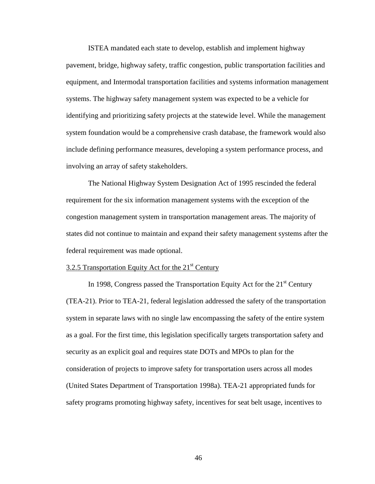ISTEA mandated each state to develop, establish and implement highway pavement, bridge, highway safety, traffic congestion, public transportation facilities and equipment, and Intermodal transportation facilities and systems information management systems. The highway safety management system was expected to be a vehicle for identifying and prioritizing safety projects at the statewide level. While the management system foundation would be a comprehensive crash database, the framework would also include defining performance measures, developing a system performance process, and involving an array of safety stakeholders.

The National Highway System Designation Act of 1995 rescinded the federal requirement for the six information management systems with the exception of the congestion management system in transportation management areas. The majority of states did not continue to maintain and expand their safety management systems after the federal requirement was made optional.

## 3.2.5 Transportation Equity Act for the  $21<sup>st</sup>$  Century

In 1998, Congress passed the Transportation Equity Act for the  $21<sup>st</sup>$  Century (TEA-21). Prior to TEA-21, federal legislation addressed the safety of the transportation system in separate laws with no single law encompassing the safety of the entire system as a goal. For the first time, this legislation specifically targets transportation safety and security as an explicit goal and requires state DOTs and MPOs to plan for the consideration of projects to improve safety for transportation users across all modes (United States Department of Transportation 1998a). TEA-21 appropriated funds for safety programs promoting highway safety, incentives for seat belt usage, incentives to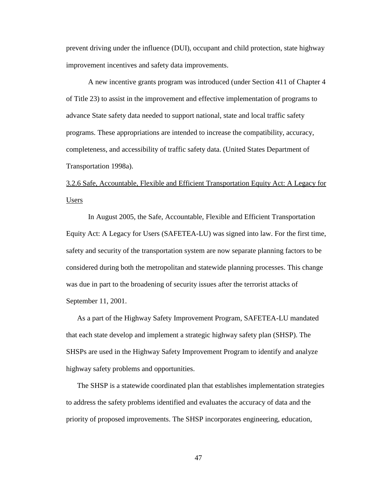prevent driving under the influence (DUI), occupant and child protection, state highway improvement incentives and safety data improvements.

 A new incentive grants program was introduced (under Section 411 of Chapter 4 of Title 23) to assist in the improvement and effective implementation of programs to advance State safety data needed to support national, state and local traffic safety programs. These appropriations are intended to increase the compatibility, accuracy, completeness, and accessibility of traffic safety data. (United States Department of Transportation 1998a).

3.2.6 Safe, Accountable, Flexible and Efficient Transportation Equity Act: A Legacy for Users

 In August 2005, the Safe, Accountable, Flexible and Efficient Transportation Equity Act: A Legacy for Users (SAFETEA-LU) was signed into law. For the first time, safety and security of the transportation system are now separate planning factors to be considered during both the metropolitan and statewide planning processes. This change was due in part to the broadening of security issues after the terrorist attacks of September 11, 2001.

As a part of the Highway Safety Improvement Program, SAFETEA-LU mandated that each state develop and implement a strategic highway safety plan (SHSP). The SHSPs are used in the Highway Safety Improvement Program to identify and analyze highway safety problems and opportunities.

The SHSP is a statewide coordinated plan that establishes implementation strategies to address the safety problems identified and evaluates the accuracy of data and the priority of proposed improvements. The SHSP incorporates engineering, education,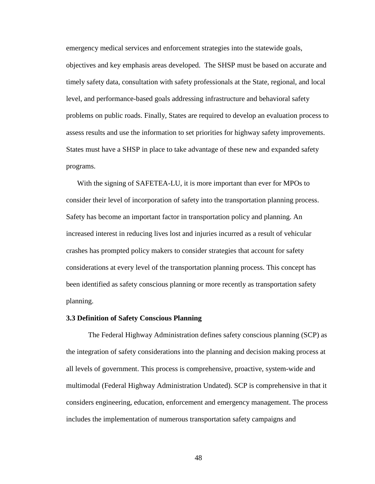emergency medical services and enforcement strategies into the statewide goals, objectives and key emphasis areas developed. The SHSP must be based on accurate and timely safety data, consultation with safety professionals at the State, regional, and local level, and performance-based goals addressing infrastructure and behavioral safety problems on public roads. Finally, States are required to develop an evaluation process to assess results and use the information to set priorities for highway safety improvements. States must have a SHSP in place to take advantage of these new and expanded safety programs.

With the signing of SAFETEA-LU, it is more important than ever for MPOs to consider their level of incorporation of safety into the transportation planning process. Safety has become an important factor in transportation policy and planning. An increased interest in reducing lives lost and injuries incurred as a result of vehicular crashes has prompted policy makers to consider strategies that account for safety considerations at every level of the transportation planning process. This concept has been identified as safety conscious planning or more recently as transportation safety planning.

### **3.3 Definition of Safety Conscious Planning**

The Federal Highway Administration defines safety conscious planning (SCP) as the integration of safety considerations into the planning and decision making process at all levels of government. This process is comprehensive, proactive, system-wide and multimodal (Federal Highway Administration Undated). SCP is comprehensive in that it considers engineering, education, enforcement and emergency management. The process includes the implementation of numerous transportation safety campaigns and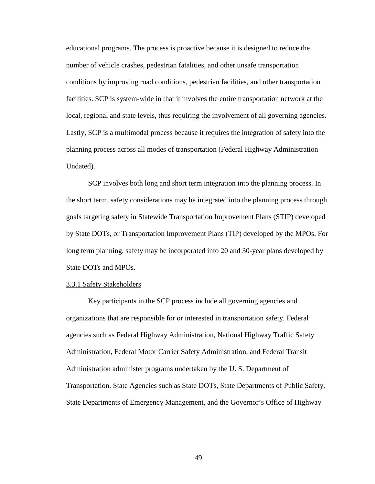educational programs. The process is proactive because it is designed to reduce the number of vehicle crashes, pedestrian fatalities, and other unsafe transportation conditions by improving road conditions, pedestrian facilities, and other transportation facilities. SCP is system-wide in that it involves the entire transportation network at the local, regional and state levels, thus requiring the involvement of all governing agencies. Lastly, SCP is a multimodal process because it requires the integration of safety into the planning process across all modes of transportation (Federal Highway Administration Undated).

SCP involves both long and short term integration into the planning process. In the short term, safety considerations may be integrated into the planning process through goals targeting safety in Statewide Transportation Improvement Plans (STIP) developed by State DOTs, or Transportation Improvement Plans (TIP) developed by the MPOs. For long term planning, safety may be incorporated into 20 and 30-year plans developed by State DOTs and MPOs.

### 3.3.1 Safety Stakeholders

Key participants in the SCP process include all governing agencies and organizations that are responsible for or interested in transportation safety. Federal agencies such as Federal Highway Administration, National Highway Traffic Safety Administration, Federal Motor Carrier Safety Administration, and Federal Transit Administration administer programs undertaken by the U. S. Department of Transportation. State Agencies such as State DOTs, State Departments of Public Safety, State Departments of Emergency Management, and the Governor's Office of Highway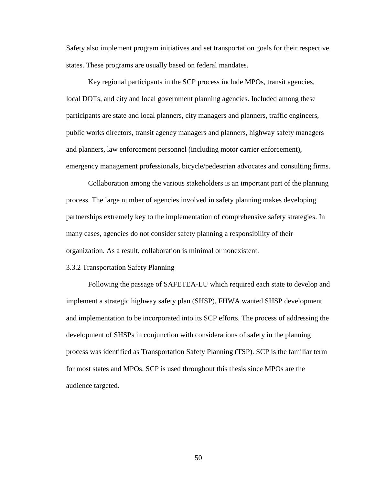Safety also implement program initiatives and set transportation goals for their respective states. These programs are usually based on federal mandates.

 Key regional participants in the SCP process include MPOs, transit agencies, local DOTs, and city and local government planning agencies. Included among these participants are state and local planners, city managers and planners, traffic engineers, public works directors, transit agency managers and planners, highway safety managers and planners, law enforcement personnel (including motor carrier enforcement), emergency management professionals, bicycle/pedestrian advocates and consulting firms.

 Collaboration among the various stakeholders is an important part of the planning process. The large number of agencies involved in safety planning makes developing partnerships extremely key to the implementation of comprehensive safety strategies. In many cases, agencies do not consider safety planning a responsibility of their organization. As a result, collaboration is minimal or nonexistent.

#### 3.3.2 Transportation Safety Planning

 Following the passage of SAFETEA-LU which required each state to develop and implement a strategic highway safety plan (SHSP), FHWA wanted SHSP development and implementation to be incorporated into its SCP efforts. The process of addressing the development of SHSPs in conjunction with considerations of safety in the planning process was identified as Transportation Safety Planning (TSP). SCP is the familiar term for most states and MPOs. SCP is used throughout this thesis since MPOs are the audience targeted.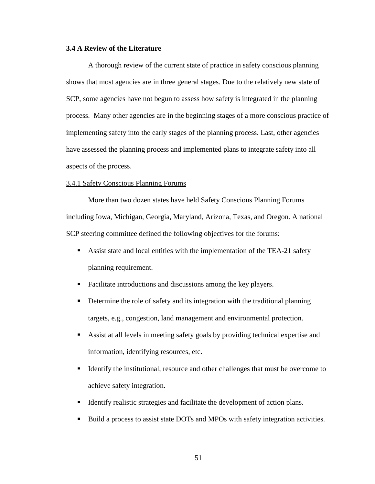## **3.4 A Review of the Literature**

 A thorough review of the current state of practice in safety conscious planning shows that most agencies are in three general stages. Due to the relatively new state of SCP, some agencies have not begun to assess how safety is integrated in the planning process. Many other agencies are in the beginning stages of a more conscious practice of implementing safety into the early stages of the planning process. Last, other agencies have assessed the planning process and implemented plans to integrate safety into all aspects of the process.

### 3.4.1 Safety Conscious Planning Forums

 More than two dozen states have held Safety Conscious Planning Forums including Iowa, Michigan, Georgia, Maryland, Arizona, Texas, and Oregon. A national SCP steering committee defined the following objectives for the forums:

- Assist state and local entities with the implementation of the TEA-21 safety planning requirement.
- **Facilitate introductions and discussions among the key players.**
- **•** Determine the role of safety and its integration with the traditional planning targets, e.g., congestion, land management and environmental protection.
- Assist at all levels in meeting safety goals by providing technical expertise and information, identifying resources, etc.
- Identify the institutional, resource and other challenges that must be overcome to achieve safety integration.
- Identify realistic strategies and facilitate the development of action plans.
- **Build a process to assist state DOTs and MPOs with safety integration activities.**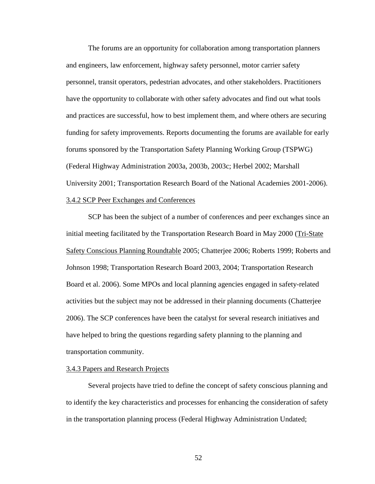The forums are an opportunity for collaboration among transportation planners and engineers, law enforcement, highway safety personnel, motor carrier safety personnel, transit operators, pedestrian advocates, and other stakeholders. Practitioners have the opportunity to collaborate with other safety advocates and find out what tools and practices are successful, how to best implement them, and where others are securing funding for safety improvements. Reports documenting the forums are available for early forums sponsored by the Transportation Safety Planning Working Group (TSPWG) (Federal Highway Administration 2003a, 2003b, 2003c; Herbel 2002; Marshall University 2001; Transportation Research Board of the National Academies 2001-2006). 3.4.2 SCP Peer Exchanges and Conferences

 SCP has been the subject of a number of conferences and peer exchanges since an initial meeting facilitated by the Transportation Research Board in May 2000 (Tri-State Safety Conscious Planning Roundtable 2005; Chatterjee 2006; Roberts 1999; Roberts and Johnson 1998; Transportation Research Board 2003, 2004; Transportation Research Board et al. 2006). Some MPOs and local planning agencies engaged in safety-related activities but the subject may not be addressed in their planning documents (Chatterjee 2006). The SCP conferences have been the catalyst for several research initiatives and have helped to bring the questions regarding safety planning to the planning and transportation community.

### 3.4.3 Papers and Research Projects

 Several projects have tried to define the concept of safety conscious planning and to identify the key characteristics and processes for enhancing the consideration of safety in the transportation planning process (Federal Highway Administration Undated;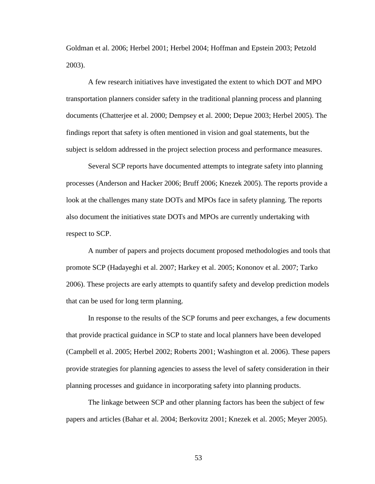Goldman et al. 2006; Herbel 2001; Herbel 2004; Hoffman and Epstein 2003; Petzold 2003).

A few research initiatives have investigated the extent to which DOT and MPO transportation planners consider safety in the traditional planning process and planning documents (Chatterjee et al. 2000; Dempsey et al. 2000; Depue 2003; Herbel 2005). The findings report that safety is often mentioned in vision and goal statements, but the subject is seldom addressed in the project selection process and performance measures.

Several SCP reports have documented attempts to integrate safety into planning processes (Anderson and Hacker 2006; Bruff 2006; Knezek 2005). The reports provide a look at the challenges many state DOTs and MPOs face in safety planning. The reports also document the initiatives state DOTs and MPOs are currently undertaking with respect to SCP.

A number of papers and projects document proposed methodologies and tools that promote SCP (Hadayeghi et al. 2007; Harkey et al. 2005; Kononov et al. 2007; Tarko 2006). These projects are early attempts to quantify safety and develop prediction models that can be used for long term planning.

In response to the results of the SCP forums and peer exchanges, a few documents that provide practical guidance in SCP to state and local planners have been developed (Campbell et al. 2005; Herbel 2002; Roberts 2001; Washington et al. 2006). These papers provide strategies for planning agencies to assess the level of safety consideration in their planning processes and guidance in incorporating safety into planning products.

The linkage between SCP and other planning factors has been the subject of few papers and articles (Bahar et al. 2004; Berkovitz 2001; Knezek et al. 2005; Meyer 2005).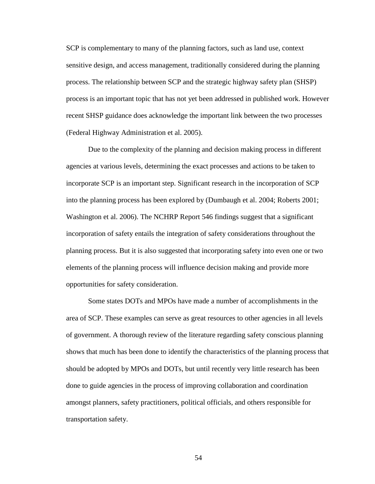SCP is complementary to many of the planning factors, such as land use, context sensitive design, and access management, traditionally considered during the planning process. The relationship between SCP and the strategic highway safety plan (SHSP) process is an important topic that has not yet been addressed in published work. However recent SHSP guidance does acknowledge the important link between the two processes (Federal Highway Administration et al. 2005).

Due to the complexity of the planning and decision making process in different agencies at various levels, determining the exact processes and actions to be taken to incorporate SCP is an important step. Significant research in the incorporation of SCP into the planning process has been explored by (Dumbaugh et al. 2004; Roberts 2001; Washington et al. 2006). The NCHRP Report 546 findings suggest that a significant incorporation of safety entails the integration of safety considerations throughout the planning process. But it is also suggested that incorporating safety into even one or two elements of the planning process will influence decision making and provide more opportunities for safety consideration.

Some states DOTs and MPOs have made a number of accomplishments in the area of SCP. These examples can serve as great resources to other agencies in all levels of government. A thorough review of the literature regarding safety conscious planning shows that much has been done to identify the characteristics of the planning process that should be adopted by MPOs and DOTs, but until recently very little research has been done to guide agencies in the process of improving collaboration and coordination amongst planners, safety practitioners, political officials, and others responsible for transportation safety.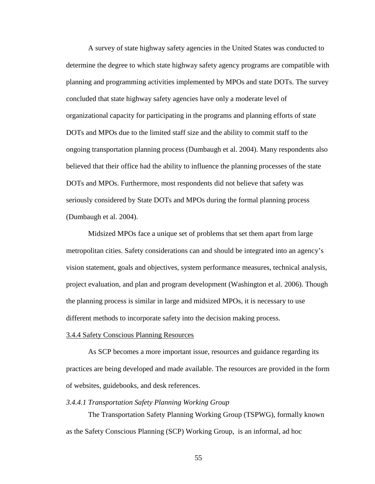A survey of state highway safety agencies in the United States was conducted to determine the degree to which state highway safety agency programs are compatible with planning and programming activities implemented by MPOs and state DOTs. The survey concluded that state highway safety agencies have only a moderate level of organizational capacity for participating in the programs and planning efforts of state DOTs and MPOs due to the limited staff size and the ability to commit staff to the ongoing transportation planning process (Dumbaugh et al. 2004). Many respondents also believed that their office had the ability to influence the planning processes of the state DOTs and MPOs. Furthermore, most respondents did not believe that safety was seriously considered by State DOTs and MPOs during the formal planning process (Dumbaugh et al. 2004).

 Midsized MPOs face a unique set of problems that set them apart from large metropolitan cities. Safety considerations can and should be integrated into an agency's vision statement, goals and objectives, system performance measures, technical analysis, project evaluation, and plan and program development (Washington et al. 2006). Though the planning process is similar in large and midsized MPOs, it is necessary to use different methods to incorporate safety into the decision making process.

## 3.4.4 Safety Conscious Planning Resources

As SCP becomes a more important issue, resources and guidance regarding its practices are being developed and made available. The resources are provided in the form of websites, guidebooks, and desk references.

## *3.4.4.1 Transportation Safety Planning Working Group*

 The Transportation Safety Planning Working Group (TSPWG), formally known as the Safety Conscious Planning (SCP) Working Group, is an informal, ad hoc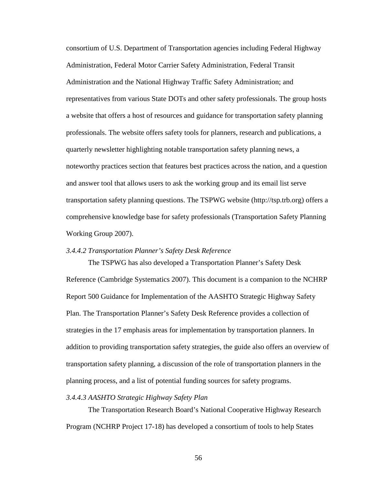consortium of U.S. Department of Transportation agencies including Federal Highway Administration, Federal Motor Carrier Safety Administration, Federal Transit Administration and the National Highway Traffic Safety Administration; and representatives from various State DOTs and other safety professionals. The group hosts a website that offers a host of resources and guidance for transportation safety planning professionals. The website offers safety tools for planners, research and publications, a quarterly newsletter highlighting notable transportation safety planning news, a noteworthy practices section that features best practices across the nation, and a question and answer tool that allows users to ask the working group and its email list serve transportation safety planning questions. The TSPWG website (http://tsp.trb.org) offers a comprehensive knowledge base for safety professionals (Transportation Safety Planning Working Group 2007).

## *3.4.4.2 Transportation Planner's Safety Desk Reference*

 The TSPWG has also developed a Transportation Planner's Safety Desk Reference (Cambridge Systematics 2007). This document is a companion to the NCHRP Report 500 Guidance for Implementation of the AASHTO Strategic Highway Safety Plan. The Transportation Planner's Safety Desk Reference provides a collection of strategies in the 17 emphasis areas for implementation by transportation planners. In addition to providing transportation safety strategies, the guide also offers an overview of transportation safety planning, a discussion of the role of transportation planners in the planning process, and a list of potential funding sources for safety programs.

## *3.4.4.3 AASHTO Strategic Highway Safety Plan*

 The Transportation Research Board's National Cooperative Highway Research Program (NCHRP Project 17-18) has developed a consortium of tools to help States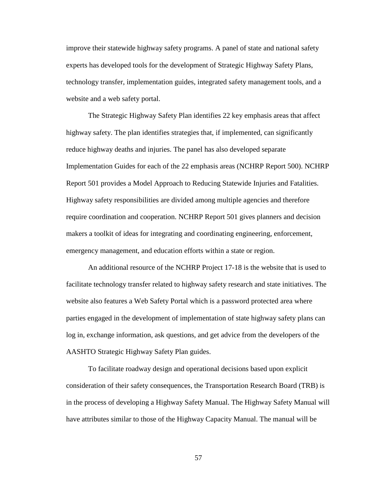improve their statewide highway safety programs. A panel of state and national safety experts has developed tools for the development of Strategic Highway Safety Plans, technology transfer, implementation guides, integrated safety management tools, and a website and a web safety portal.

 The Strategic Highway Safety Plan identifies 22 key emphasis areas that affect highway safety. The plan identifies strategies that, if implemented, can significantly reduce highway deaths and injuries. The panel has also developed separate Implementation Guides for each of the 22 emphasis areas (NCHRP Report 500). NCHRP Report 501 provides a Model Approach to Reducing Statewide Injuries and Fatalities. Highway safety responsibilities are divided among multiple agencies and therefore require coordination and cooperation. NCHRP Report 501 gives planners and decision makers a toolkit of ideas for integrating and coordinating engineering, enforcement, emergency management, and education efforts within a state or region.

 An additional resource of the NCHRP Project 17-18 is the website that is used to facilitate technology transfer related to highway safety research and state initiatives. The website also features a Web Safety Portal which is a password protected area where parties engaged in the development of implementation of state highway safety plans can log in, exchange information, ask questions, and get advice from the developers of the AASHTO Strategic Highway Safety Plan guides.

To facilitate roadway design and operational decisions based upon explicit consideration of their safety consequences, the Transportation Research Board (TRB) is in the process of developing a Highway Safety Manual. The Highway Safety Manual will have attributes similar to those of the Highway Capacity Manual. The manual will be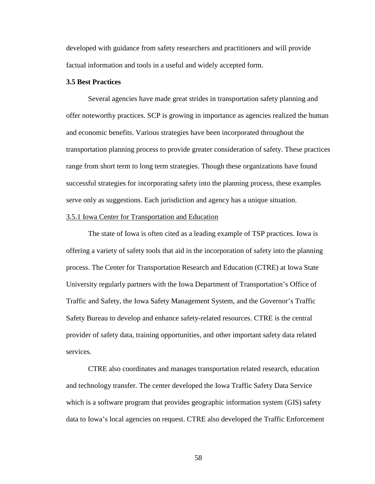developed with guidance from safety researchers and practitioners and will provide factual information and tools in a useful and widely accepted form.

# **3.5 Best Practices**

 Several agencies have made great strides in transportation safety planning and offer noteworthy practices. SCP is growing in importance as agencies realized the human and economic benefits. Various strategies have been incorporated throughout the transportation planning process to provide greater consideration of safety. These practices range from short term to long term strategies. Though these organizations have found successful strategies for incorporating safety into the planning process, these examples serve only as suggestions. Each jurisdiction and agency has a unique situation.

# 3.5.1 Iowa Center for Transportation and Education

 The state of Iowa is often cited as a leading example of TSP practices. Iowa is offering a variety of safety tools that aid in the incorporation of safety into the planning process. The Center for Transportation Research and Education (CTRE) at Iowa State University regularly partners with the Iowa Department of Transportation's Office of Traffic and Safety, the Iowa Safety Management System, and the Governor's Traffic Safety Bureau to develop and enhance safety-related resources. CTRE is the central provider of safety data, training opportunities, and other important safety data related services.

 CTRE also coordinates and manages transportation related research, education and technology transfer. The center developed the Iowa Traffic Safety Data Service which is a software program that provides geographic information system (GIS) safety data to Iowa's local agencies on request. CTRE also developed the Traffic Enforcement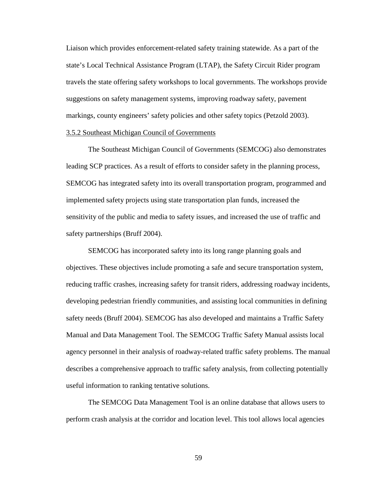Liaison which provides enforcement-related safety training statewide. As a part of the state's Local Technical Assistance Program (LTAP), the Safety Circuit Rider program travels the state offering safety workshops to local governments. The workshops provide suggestions on safety management systems, improving roadway safety, pavement markings, county engineers' safety policies and other safety topics (Petzold 2003).

# 3.5.2 Southeast Michigan Council of Governments

 The Southeast Michigan Council of Governments (SEMCOG) also demonstrates leading SCP practices. As a result of efforts to consider safety in the planning process, SEMCOG has integrated safety into its overall transportation program, programmed and implemented safety projects using state transportation plan funds, increased the sensitivity of the public and media to safety issues, and increased the use of traffic and safety partnerships (Bruff 2004).

 SEMCOG has incorporated safety into its long range planning goals and objectives. These objectives include promoting a safe and secure transportation system, reducing traffic crashes, increasing safety for transit riders, addressing roadway incidents, developing pedestrian friendly communities, and assisting local communities in defining safety needs (Bruff 2004). SEMCOG has also developed and maintains a Traffic Safety Manual and Data Management Tool. The SEMCOG Traffic Safety Manual assists local agency personnel in their analysis of roadway-related traffic safety problems. The manual describes a comprehensive approach to traffic safety analysis, from collecting potentially useful information to ranking tentative solutions.

 The SEMCOG Data Management Tool is an online database that allows users to perform crash analysis at the corridor and location level. This tool allows local agencies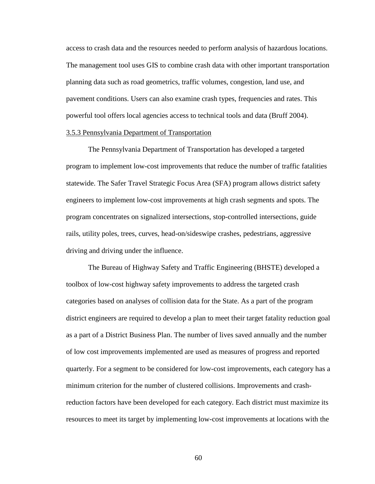access to crash data and the resources needed to perform analysis of hazardous locations. The management tool uses GIS to combine crash data with other important transportation planning data such as road geometrics, traffic volumes, congestion, land use, and pavement conditions. Users can also examine crash types, frequencies and rates. This powerful tool offers local agencies access to technical tools and data (Bruff 2004). 3.5.3 Pennsylvania Department of Transportation

# The Pennsylvania Department of Transportation has developed a targeted program to implement low-cost improvements that reduce the number of traffic fatalities statewide. The Safer Travel Strategic Focus Area (SFA) program allows district safety engineers to implement low-cost improvements at high crash segments and spots. The program concentrates on signalized intersections, stop-controlled intersections, guide rails, utility poles, trees, curves, head-on/sideswipe crashes, pedestrians, aggressive driving and driving under the influence.

 The Bureau of Highway Safety and Traffic Engineering (BHSTE) developed a toolbox of low-cost highway safety improvements to address the targeted crash categories based on analyses of collision data for the State. As a part of the program district engineers are required to develop a plan to meet their target fatality reduction goal as a part of a District Business Plan. The number of lives saved annually and the number of low cost improvements implemented are used as measures of progress and reported quarterly. For a segment to be considered for low-cost improvements, each category has a minimum criterion for the number of clustered collisions. Improvements and crashreduction factors have been developed for each category. Each district must maximize its resources to meet its target by implementing low-cost improvements at locations with the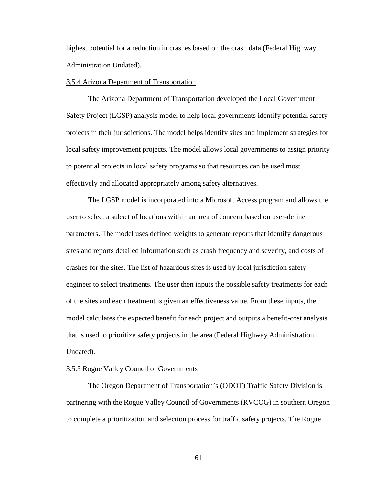highest potential for a reduction in crashes based on the crash data (Federal Highway Administration Undated).

## 3.5.4 Arizona Department of Transportation

 The Arizona Department of Transportation developed the Local Government Safety Project (LGSP) analysis model to help local governments identify potential safety projects in their jurisdictions. The model helps identify sites and implement strategies for local safety improvement projects. The model allows local governments to assign priority to potential projects in local safety programs so that resources can be used most effectively and allocated appropriately among safety alternatives.

 The LGSP model is incorporated into a Microsoft Access program and allows the user to select a subset of locations within an area of concern based on user-define parameters. The model uses defined weights to generate reports that identify dangerous sites and reports detailed information such as crash frequency and severity, and costs of crashes for the sites. The list of hazardous sites is used by local jurisdiction safety engineer to select treatments. The user then inputs the possible safety treatments for each of the sites and each treatment is given an effectiveness value. From these inputs, the model calculates the expected benefit for each project and outputs a benefit-cost analysis that is used to prioritize safety projects in the area (Federal Highway Administration Undated).

# 3.5.5 Rogue Valley Council of Governments

The Oregon Department of Transportation's (ODOT) Traffic Safety Division is partnering with the Rogue Valley Council of Governments (RVCOG) in southern Oregon to complete a prioritization and selection process for traffic safety projects. The Rogue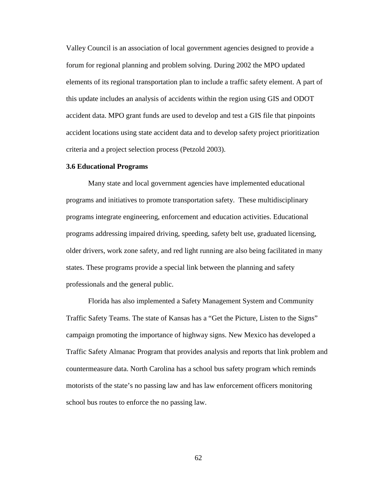Valley Council is an association of local government agencies designed to provide a forum for regional planning and problem solving. During 2002 the MPO updated elements of its regional transportation plan to include a traffic safety element. A part of this update includes an analysis of accidents within the region using GIS and ODOT accident data. MPO grant funds are used to develop and test a GIS file that pinpoints accident locations using state accident data and to develop safety project prioritization criteria and a project selection process (Petzold 2003).

#### **3.6 Educational Programs**

Many state and local government agencies have implemented educational programs and initiatives to promote transportation safety. These multidisciplinary programs integrate engineering, enforcement and education activities. Educational programs addressing impaired driving, speeding, safety belt use, graduated licensing, older drivers, work zone safety, and red light running are also being facilitated in many states. These programs provide a special link between the planning and safety professionals and the general public.

 Florida has also implemented a Safety Management System and Community Traffic Safety Teams. The state of Kansas has a "Get the Picture, Listen to the Signs" campaign promoting the importance of highway signs. New Mexico has developed a Traffic Safety Almanac Program that provides analysis and reports that link problem and countermeasure data. North Carolina has a school bus safety program which reminds motorists of the state's no passing law and has law enforcement officers monitoring school bus routes to enforce the no passing law.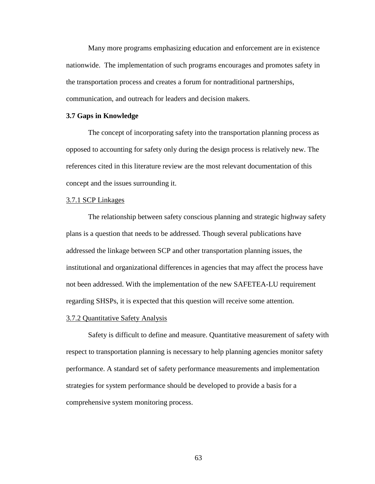Many more programs emphasizing education and enforcement are in existence nationwide. The implementation of such programs encourages and promotes safety in the transportation process and creates a forum for nontraditional partnerships, communication, and outreach for leaders and decision makers.

#### **3.7 Gaps in Knowledge**

The concept of incorporating safety into the transportation planning process as opposed to accounting for safety only during the design process is relatively new. The references cited in this literature review are the most relevant documentation of this concept and the issues surrounding it.

# 3.7.1 SCP Linkages

The relationship between safety conscious planning and strategic highway safety plans is a question that needs to be addressed. Though several publications have addressed the linkage between SCP and other transportation planning issues, the institutional and organizational differences in agencies that may affect the process have not been addressed. With the implementation of the new SAFETEA-LU requirement regarding SHSPs, it is expected that this question will receive some attention.

#### 3.7.2 Quantitative Safety Analysis

 Safety is difficult to define and measure. Quantitative measurement of safety with respect to transportation planning is necessary to help planning agencies monitor safety performance. A standard set of safety performance measurements and implementation strategies for system performance should be developed to provide a basis for a comprehensive system monitoring process.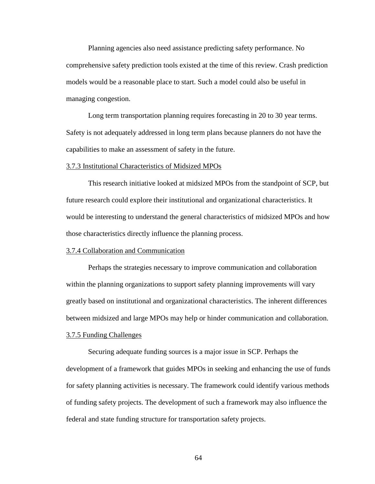Planning agencies also need assistance predicting safety performance. No comprehensive safety prediction tools existed at the time of this review. Crash prediction models would be a reasonable place to start. Such a model could also be useful in managing congestion.

Long term transportation planning requires forecasting in 20 to 30 year terms. Safety is not adequately addressed in long term plans because planners do not have the capabilities to make an assessment of safety in the future.

#### 3.7.3 Institutional Characteristics of Midsized MPOs

This research initiative looked at midsized MPOs from the standpoint of SCP, but future research could explore their institutional and organizational characteristics. It would be interesting to understand the general characteristics of midsized MPOs and how those characteristics directly influence the planning process.

# 3.7.4 Collaboration and Communication

Perhaps the strategies necessary to improve communication and collaboration within the planning organizations to support safety planning improvements will vary greatly based on institutional and organizational characteristics. The inherent differences between midsized and large MPOs may help or hinder communication and collaboration.

# 3.7.5 Funding Challenges

 Securing adequate funding sources is a major issue in SCP. Perhaps the development of a framework that guides MPOs in seeking and enhancing the use of funds for safety planning activities is necessary. The framework could identify various methods of funding safety projects. The development of such a framework may also influence the federal and state funding structure for transportation safety projects.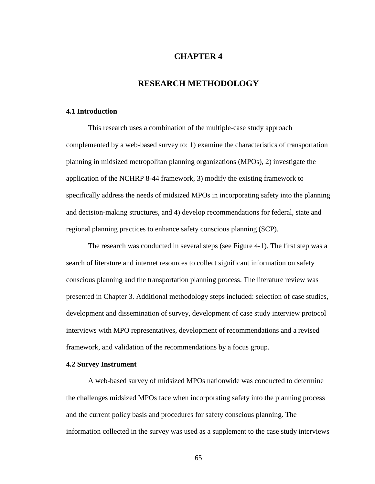# **CHAPTER 4**

# **RESEARCH METHODOLOGY**

# **4.1 Introduction**

This research uses a combination of the multiple-case study approach complemented by a web-based survey to: 1) examine the characteristics of transportation planning in midsized metropolitan planning organizations (MPOs), 2) investigate the application of the NCHRP 8-44 framework, 3) modify the existing framework to specifically address the needs of midsized MPOs in incorporating safety into the planning and decision-making structures, and 4) develop recommendations for federal, state and regional planning practices to enhance safety conscious planning (SCP).

The research was conducted in several steps (see Figure 4-1). The first step was a search of literature and internet resources to collect significant information on safety conscious planning and the transportation planning process. The literature review was presented in Chapter 3. Additional methodology steps included: selection of case studies, development and dissemination of survey, development of case study interview protocol interviews with MPO representatives, development of recommendations and a revised framework, and validation of the recommendations by a focus group.

# **4.2 Survey Instrument**

A web-based survey of midsized MPOs nationwide was conducted to determine the challenges midsized MPOs face when incorporating safety into the planning process and the current policy basis and procedures for safety conscious planning. The information collected in the survey was used as a supplement to the case study interviews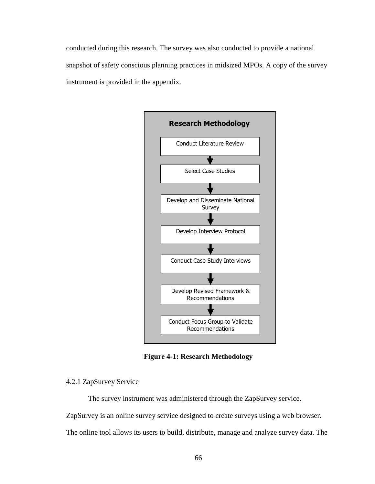conducted during this research. The survey was also conducted to provide a national snapshot of safety conscious planning practices in midsized MPOs. A copy of the survey instrument is provided in the appendix.



**Figure 4-1: Research Methodology** 

# 4.2.1 ZapSurvey Service

The survey instrument was administered through the ZapSurvey service.

ZapSurvey is an online survey service designed to create surveys using a web browser.

The online tool allows its users to build, distribute, manage and analyze survey data. The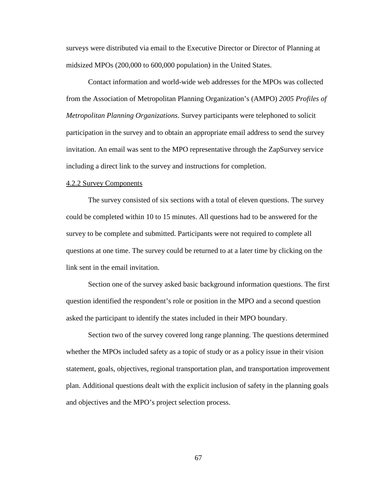surveys were distributed via email to the Executive Director or Director of Planning at midsized MPOs (200,000 to 600,000 population) in the United States.

Contact information and world-wide web addresses for the MPOs was collected from the Association of Metropolitan Planning Organization's (AMPO) *2005 Profiles of Metropolitan Planning Organizations*. Survey participants were telephoned to solicit participation in the survey and to obtain an appropriate email address to send the survey invitation. An email was sent to the MPO representative through the ZapSurvey service including a direct link to the survey and instructions for completion.

## 4.2.2 Survey Components

The survey consisted of six sections with a total of eleven questions. The survey could be completed within 10 to 15 minutes. All questions had to be answered for the survey to be complete and submitted. Participants were not required to complete all questions at one time. The survey could be returned to at a later time by clicking on the link sent in the email invitation.

Section one of the survey asked basic background information questions. The first question identified the respondent's role or position in the MPO and a second question asked the participant to identify the states included in their MPO boundary.

Section two of the survey covered long range planning. The questions determined whether the MPOs included safety as a topic of study or as a policy issue in their vision statement, goals, objectives, regional transportation plan, and transportation improvement plan. Additional questions dealt with the explicit inclusion of safety in the planning goals and objectives and the MPO's project selection process.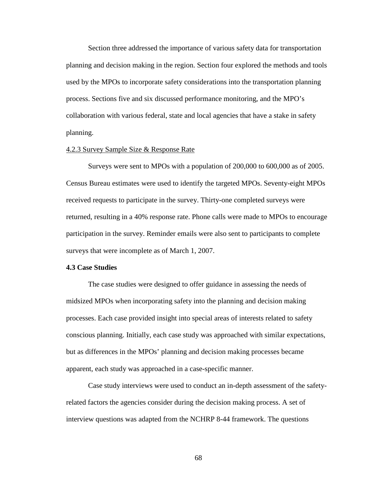Section three addressed the importance of various safety data for transportation planning and decision making in the region. Section four explored the methods and tools used by the MPOs to incorporate safety considerations into the transportation planning process. Sections five and six discussed performance monitoring, and the MPO's collaboration with various federal, state and local agencies that have a stake in safety planning.

## 4.2.3 Survey Sample Size & Response Rate

 Surveys were sent to MPOs with a population of 200,000 to 600,000 as of 2005. Census Bureau estimates were used to identify the targeted MPOs. Seventy-eight MPOs received requests to participate in the survey. Thirty-one completed surveys were returned, resulting in a 40% response rate. Phone calls were made to MPOs to encourage participation in the survey. Reminder emails were also sent to participants to complete surveys that were incomplete as of March 1, 2007.

## **4.3 Case Studies**

The case studies were designed to offer guidance in assessing the needs of midsized MPOs when incorporating safety into the planning and decision making processes. Each case provided insight into special areas of interests related to safety conscious planning. Initially, each case study was approached with similar expectations, but as differences in the MPOs' planning and decision making processes became apparent, each study was approached in a case-specific manner.

Case study interviews were used to conduct an in-depth assessment of the safetyrelated factors the agencies consider during the decision making process. A set of interview questions was adapted from the NCHRP 8-44 framework. The questions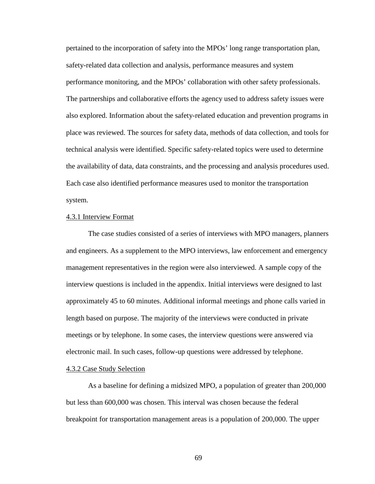pertained to the incorporation of safety into the MPOs' long range transportation plan, safety-related data collection and analysis, performance measures and system performance monitoring, and the MPOs' collaboration with other safety professionals. The partnerships and collaborative efforts the agency used to address safety issues were also explored. Information about the safety-related education and prevention programs in place was reviewed. The sources for safety data, methods of data collection, and tools for technical analysis were identified. Specific safety-related topics were used to determine the availability of data, data constraints, and the processing and analysis procedures used. Each case also identified performance measures used to monitor the transportation system.

# 4.3.1 Interview Format

The case studies consisted of a series of interviews with MPO managers, planners and engineers. As a supplement to the MPO interviews, law enforcement and emergency management representatives in the region were also interviewed. A sample copy of the interview questions is included in the appendix. Initial interviews were designed to last approximately 45 to 60 minutes. Additional informal meetings and phone calls varied in length based on purpose. The majority of the interviews were conducted in private meetings or by telephone. In some cases, the interview questions were answered via electronic mail. In such cases, follow-up questions were addressed by telephone.

# 4.3.2 Case Study Selection

 As a baseline for defining a midsized MPO, a population of greater than 200,000 but less than 600,000 was chosen. This interval was chosen because the federal breakpoint for transportation management areas is a population of 200,000. The upper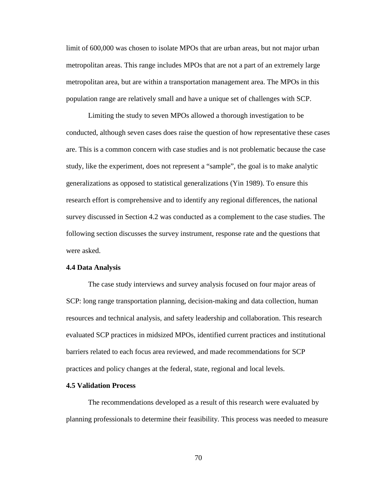limit of 600,000 was chosen to isolate MPOs that are urban areas, but not major urban metropolitan areas. This range includes MPOs that are not a part of an extremely large metropolitan area, but are within a transportation management area. The MPOs in this population range are relatively small and have a unique set of challenges with SCP.

Limiting the study to seven MPOs allowed a thorough investigation to be conducted, although seven cases does raise the question of how representative these cases are. This is a common concern with case studies and is not problematic because the case study, like the experiment, does not represent a "sample", the goal is to make analytic generalizations as opposed to statistical generalizations (Yin 1989). To ensure this research effort is comprehensive and to identify any regional differences, the national survey discussed in Section 4.2 was conducted as a complement to the case studies. The following section discusses the survey instrument, response rate and the questions that were asked.

#### **4.4 Data Analysis**

The case study interviews and survey analysis focused on four major areas of SCP: long range transportation planning, decision-making and data collection, human resources and technical analysis, and safety leadership and collaboration. This research evaluated SCP practices in midsized MPOs, identified current practices and institutional barriers related to each focus area reviewed, and made recommendations for SCP practices and policy changes at the federal, state, regional and local levels.

#### **4.5 Validation Process**

 The recommendations developed as a result of this research were evaluated by planning professionals to determine their feasibility. This process was needed to measure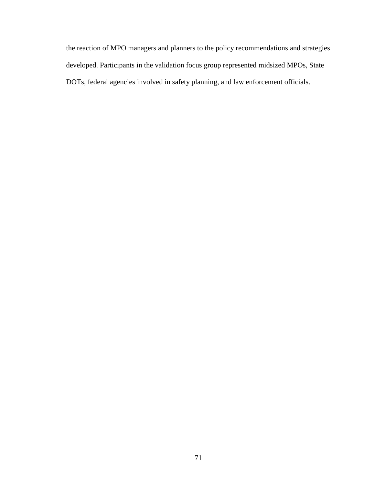the reaction of MPO managers and planners to the policy recommendations and strategies developed. Participants in the validation focus group represented midsized MPOs, State DOTs, federal agencies involved in safety planning, and law enforcement officials.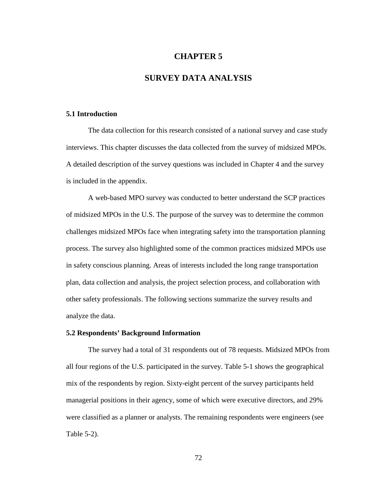# **CHAPTER 5**

# **SURVEY DATA ANALYSIS**

#### **5.1 Introduction**

 The data collection for this research consisted of a national survey and case study interviews. This chapter discusses the data collected from the survey of midsized MPOs. A detailed description of the survey questions was included in Chapter 4 and the survey is included in the appendix.

 A web-based MPO survey was conducted to better understand the SCP practices of midsized MPOs in the U.S. The purpose of the survey was to determine the common challenges midsized MPOs face when integrating safety into the transportation planning process. The survey also highlighted some of the common practices midsized MPOs use in safety conscious planning. Areas of interests included the long range transportation plan, data collection and analysis, the project selection process, and collaboration with other safety professionals. The following sections summarize the survey results and analyze the data.

# **5.2 Respondents' Background Information**

 The survey had a total of 31 respondents out of 78 requests. Midsized MPOs from all four regions of the U.S. participated in the survey. Table 5-1 shows the geographical mix of the respondents by region. Sixty-eight percent of the survey participants held managerial positions in their agency, some of which were executive directors, and 29% were classified as a planner or analysts. The remaining respondents were engineers (see Table 5-2).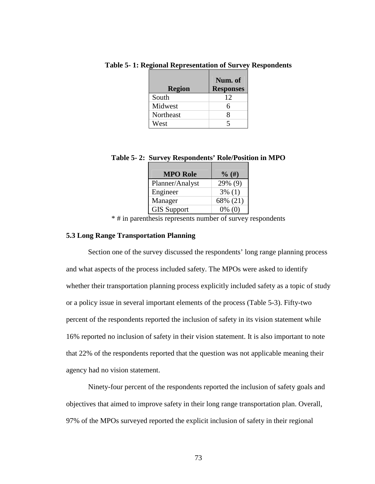| <b>Region</b> | Num. of<br><b>Responses</b> |
|---------------|-----------------------------|
| South         | 12                          |
| Midwest       | 6                           |
| Northeast     |                             |
| West          |                             |

**Table 5- 1: Regional Representation of Survey Respondents** 

|  | Table 5-2: Survey Respondents' Role/Position in MPO |  |
|--|-----------------------------------------------------|--|
|  |                                                     |  |

| $\%$ (#)  |
|-----------|
| 29% (9)   |
| $3\%$ (1) |
| 68% (21)  |
| $0\%$ (0) |
|           |

\* # in parenthesis represents number of survey respondents

# **5.3 Long Range Transportation Planning**

 Section one of the survey discussed the respondents' long range planning process and what aspects of the process included safety. The MPOs were asked to identify whether their transportation planning process explicitly included safety as a topic of study or a policy issue in several important elements of the process (Table 5-3). Fifty-two percent of the respondents reported the inclusion of safety in its vision statement while 16% reported no inclusion of safety in their vision statement. It is also important to note that 22% of the respondents reported that the question was not applicable meaning their agency had no vision statement.

 Ninety-four percent of the respondents reported the inclusion of safety goals and objectives that aimed to improve safety in their long range transportation plan. Overall, 97% of the MPOs surveyed reported the explicit inclusion of safety in their regional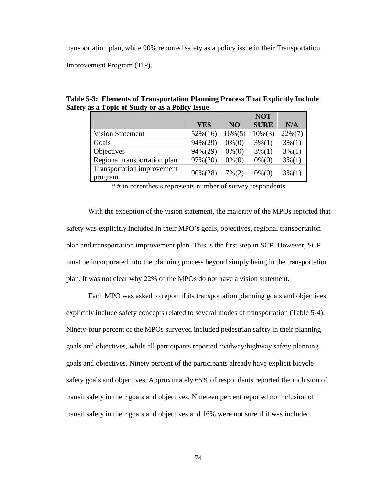transportation plan, while 90% reported safety as a policy issue in their Transportation

Improvement Program (TIP).

**Table 5-3: Elements of Transportation Planning Process That Explicitly Include Safety as a Topic of Study or as a Policy Issue** 

|                              |            |                   | <b>NOT</b>  |                   |
|------------------------------|------------|-------------------|-------------|-------------------|
|                              | <b>YES</b> | N <sub>O</sub>    | <b>SURE</b> | N/A               |
| <b>Vision Statement</b>      | $52\%(16)$ | $16\%(5)$         | $10\%(3)$   | $22\%(7)$         |
| Goals                        | 94%(29)    | $0\%$ (0)         | $3\%(1)$    | $3\frac{6(1)}{1}$ |
| Objectives                   | $94\%(29)$ | $0\%$ (0)         | $3\%(1)$    | $3\%(1)$          |
| Regional transportation plan | 97%(30)    | $0\% (0)$         | $0\% (0)$   | $3\%(1)$          |
| Transportation improvement   | $90\%(28)$ | $7\frac{6(2)}{2}$ | $0\% (0)$   | $3\%(1)$          |
| program                      |            |                   |             |                   |

\* # in parenthesis represents number of survey respondents

 With the exception of the vision statement, the majority of the MPOs reported that safety was explicitly included in their MPO's goals, objectives, regional transportation plan and transportation improvement plan. This is the first step in SCP. However, SCP must be incorporated into the planning process beyond simply being in the transportation plan. It was not clear why 22% of the MPOs do not have a vision statement.

Each MPO was asked to report if its transportation planning goals and objectives explicitly include safety concepts related to several modes of transportation (Table 5-4). Ninety-four percent of the MPOs surveyed included pedestrian safety in their planning goals and objectives, while all participants reported roadway/highway safety planning goals and objectives. Ninety percent of the participants already have explicit bicycle safety goals and objectives. Approximately 65% of respondents reported the inclusion of transit safety in their goals and objectives. Nineteen percent reported no inclusion of transit safety in their goals and objectives and 16% were not sure if it was included.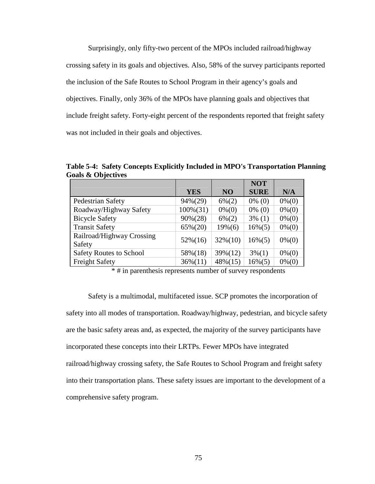Surprisingly, only fifty-two percent of the MPOs included railroad/highway crossing safety in its goals and objectives. Also, 58% of the survey participants reported the inclusion of the Safe Routes to School Program in their agency's goals and objectives. Finally, only 36% of the MPOs have planning goals and objectives that include freight safety. Forty-eight percent of the respondents reported that freight safety was not included in their goals and objectives.

**Table 5-4: Safety Concepts Explicitly Included in MPO's Transportation Planning Goals & Objectives** 

|                                     |             |                | <b>NOT</b>  |           |
|-------------------------------------|-------------|----------------|-------------|-----------|
|                                     | <b>YES</b>  | N <sub>O</sub> | <b>SURE</b> | N/A       |
| Pedestrian Safety                   | $94\%(29)$  | $6\%(2)$       | $0\%$ (0)   | $0\% (0)$ |
| Roadway/Highway Safety              | $100\%(31)$ | $0\% (0)$      | $0\%$ (0)   | $0\%$ (0) |
| <b>Bicycle Safety</b>               | $90\%(28)$  | $6\%(2)$       | $3\%$ (1)   | $0\% (0)$ |
| <b>Transit Safety</b>               | $65\%(20)$  | $19\%(6)$      | $16\%(5)$   | $0\% (0)$ |
| Railroad/Highway Crossing<br>Safety | $52\%(16)$  | $32\%(10)$     | $16\%(5)$   | $0\%$ (0) |
| <b>Safety Routes to School</b>      | 58%(18)     | 39%(12)        | $3\%(1)$    | $0\% (0)$ |
| <b>Freight Safety</b>               | $36\%(11)$  | $48\%(15)$     | $16\%(5)$   | $0\%$ (0) |

\* # in parenthesis represents number of survey respondents

 Safety is a multimodal, multifaceted issue. SCP promotes the incorporation of safety into all modes of transportation. Roadway/highway, pedestrian, and bicycle safety are the basic safety areas and, as expected, the majority of the survey participants have incorporated these concepts into their LRTPs. Fewer MPOs have integrated railroad/highway crossing safety, the Safe Routes to School Program and freight safety into their transportation plans. These safety issues are important to the development of a comprehensive safety program.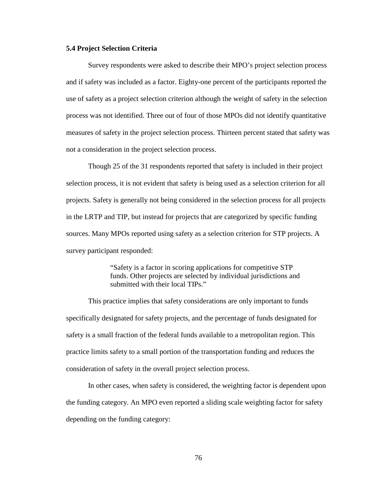# **5.4 Project Selection Criteria**

Survey respondents were asked to describe their MPO's project selection process and if safety was included as a factor. Eighty-one percent of the participants reported the use of safety as a project selection criterion although the weight of safety in the selection process was not identified. Three out of four of those MPOs did not identify quantitative measures of safety in the project selection process. Thirteen percent stated that safety was not a consideration in the project selection process.

 Though 25 of the 31 respondents reported that safety is included in their project selection process, it is not evident that safety is being used as a selection criterion for all projects. Safety is generally not being considered in the selection process for all projects in the LRTP and TIP, but instead for projects that are categorized by specific funding sources. Many MPOs reported using safety as a selection criterion for STP projects. A survey participant responded:

> "Safety is a factor in scoring applications for competitive STP funds. Other projects are selected by individual jurisdictions and submitted with their local TIPs."

This practice implies that safety considerations are only important to funds specifically designated for safety projects, and the percentage of funds designated for safety is a small fraction of the federal funds available to a metropolitan region. This practice limits safety to a small portion of the transportation funding and reduces the consideration of safety in the overall project selection process.

In other cases, when safety is considered, the weighting factor is dependent upon the funding category. An MPO even reported a sliding scale weighting factor for safety depending on the funding category: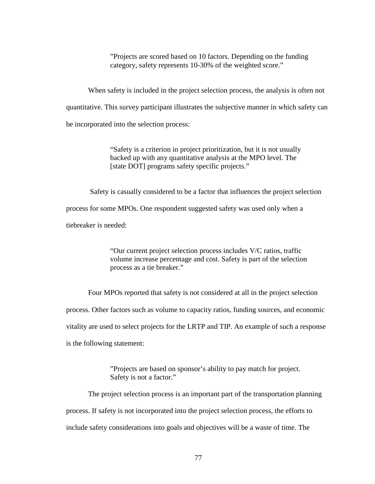"Projects are scored based on 10 factors. Depending on the funding category, safety represents 10-30% of the weighted score."

When safety is included in the project selection process, the analysis is often not quantitative. This survey participant illustrates the subjective manner in which safety can be incorporated into the selection process:

> "Safety is a criterion in project prioritization, but it is not usually backed up with any quantitative analysis at the MPO level. The [state DOT] programs safety specific projects."

 Safety is casually considered to be a factor that influences the project selection process for some MPOs. One respondent suggested safety was used only when a tiebreaker is needed:

> "Our current project selection process includes V/C ratios, traffic volume increase percentage and cost. Safety is part of the selection process as a tie breaker."

Four MPOs reported that safety is not considered at all in the project selection process. Other factors such as volume to capacity ratios, funding sources, and economic vitality are used to select projects for the LRTP and TIP. An example of such a response is the following statement:

> "Projects are based on sponsor's ability to pay match for project. Safety is not a factor."

 The project selection process is an important part of the transportation planning process. If safety is not incorporated into the project selection process, the efforts to include safety considerations into goals and objectives will be a waste of time. The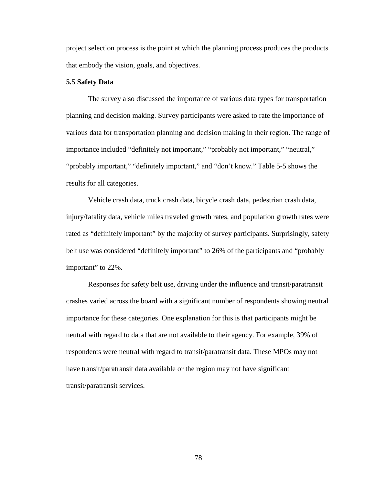project selection process is the point at which the planning process produces the products that embody the vision, goals, and objectives.

# **5.5 Safety Data**

 The survey also discussed the importance of various data types for transportation planning and decision making. Survey participants were asked to rate the importance of various data for transportation planning and decision making in their region. The range of importance included "definitely not important," "probably not important," "neutral," "probably important," "definitely important," and "don't know." Table 5-5 shows the results for all categories.

 Vehicle crash data, truck crash data, bicycle crash data, pedestrian crash data, injury/fatality data, vehicle miles traveled growth rates, and population growth rates were rated as "definitely important" by the majority of survey participants. Surprisingly, safety belt use was considered "definitely important" to 26% of the participants and "probably important" to 22%.

Responses for safety belt use, driving under the influence and transit/paratransit crashes varied across the board with a significant number of respondents showing neutral importance for these categories. One explanation for this is that participants might be neutral with regard to data that are not available to their agency. For example, 39% of respondents were neutral with regard to transit/paratransit data. These MPOs may not have transit/paratransit data available or the region may not have significant transit/paratransit services.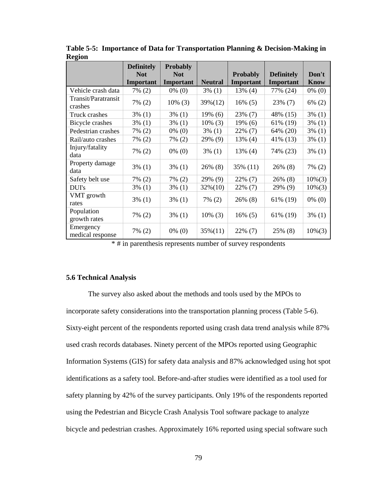|                                | <b>Definitely</b><br><b>Not</b> | <b>Probably</b><br><b>Not</b> |                | <b>Probably</b> | <b>Definitely</b> | Don't       |
|--------------------------------|---------------------------------|-------------------------------|----------------|-----------------|-------------------|-------------|
|                                | Important                       | Important                     | <b>Neutral</b> | Important       | Important         | <b>Know</b> |
| Vehicle crash data             | $7\%$ (2)                       | $0\%$ (0)                     | $3\%$ (1)      | $13\%$ (4)      | 77% (24)          | $0\%$ (0)   |
| Transit/Paratransit<br>crashes | $7\%$ (2)                       | $10\%$ (3)                    | 39%(12)        | $16\%$ (5)      | 23% (7)           | $6\%$ (2)   |
| Truck crashes                  | $3\%$ (1)                       | $3\%$ (1)                     | $19\%$ (6)     | 23% (7)         | 48% (15)          | $3\%$ (1)   |
| Bicycle crashes                | $3\%$ (1)                       | $3\%$ (1)                     | $10\%$ (3)     | $19\%$ (6)      | 61% (19)          | $3\%$ (1)   |
| Pedestrian crashes             | 7% (2)                          | $0\%$ (0)                     | $3\%$ (1)      | 22% (7)         | 64% (20)          | $3\%$ (1)   |
| Rail/auto crashes              | 7% (2)                          | $7\%$ (2)                     | 29% (9)        | 13% (4)         | 41% (13)          | $3\%$ (1)   |
| Injury/fatality<br>data        | $7\%$ (2)                       | $0\%$ (0)                     | $3\%$ (1)      | $13\%$ (4)      | 74% (23)          | $3\%$ (1)   |
| Property damage<br>data        | $3\%$ (1)                       | $3\%$ (1)                     | 26% (8)        | 35% (11)        | $26\%$ (8)        | $7\%$ (2)   |
| Safety belt use                | $7\%$ (2)                       | $7\%$ (2)                     | 29% (9)        | 22% (7)         | 26% (8)           | $10\%(3)$   |
| DUI's                          | $3\%$ (1)                       | $3\%$ (1)                     | $32\%(10)$     | 22% (7)         | 29% (9)           | $10\%(3)$   |
| VMT growth<br>rates            | $3\%$ (1)                       | $3\%$ (1)                     | $7\%$ (2)      | $26\%$ (8)      | 61% (19)          | $0\%$ (0)   |
| Population<br>growth rates     | $7\%$ (2)                       | $3\%$ (1)                     | $10\%$ (3)     | $16\%$ (5)      | 61% (19)          | $3\%$ (1)   |
| Emergency<br>medical response  | 7% (2)                          | $0\%$ (0)                     | $35\%(11)$     | $22\%$ (7)      | 25% (8)           | $10\%(3)$   |

**Table 5-5: Importance of Data for Transportation Planning & Decision-Making in Region** 

\* # in parenthesis represents number of survey respondents

# **5.6 Technical Analysis**

The survey also asked about the methods and tools used by the MPOs to incorporate safety considerations into the transportation planning process (Table 5-6). Sixty-eight percent of the respondents reported using crash data trend analysis while 87% used crash records databases. Ninety percent of the MPOs reported using Geographic Information Systems (GIS) for safety data analysis and 87% acknowledged using hot spot identifications as a safety tool. Before-and-after studies were identified as a tool used for safety planning by 42% of the survey participants. Only 19% of the respondents reported using the Pedestrian and Bicycle Crash Analysis Tool software package to analyze bicycle and pedestrian crashes. Approximately 16% reported using special software such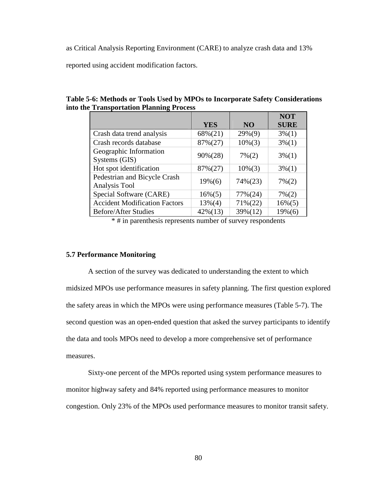as Critical Analysis Reporting Environment (CARE) to analyze crash data and 13%

reported using accident modification factors.

**Table 5-6: Methods or Tools Used by MPOs to Incorporate Safety Considerations into the Transportation Planning Process** 

|                                      |            |                | <b>NOT</b>  |
|--------------------------------------|------------|----------------|-------------|
|                                      | <b>YES</b> | N <sub>O</sub> | <b>SURE</b> |
| Crash data trend analysis            | 68%(21)    | $29\%(9)$      | $3\%(1)$    |
| Crash records database               | 87%(27)    | $10\%(3)$      | $3\%(1)$    |
| Geographic Information               | $90\%(28)$ | $7\%(2)$       | $3\%(1)$    |
| Systems (GIS)                        |            |                |             |
| Hot spot identification              | 87%(27)    | $10\%(3)$      | $3\%(1)$    |
| Pedestrian and Bicycle Crash         | $19\%(6)$  | $74\%(23)$     | $7\%(2)$    |
| Analysis Tool                        |            |                |             |
| Special Software (CARE)              | $16\%(5)$  | $77\%(24)$     | $7\%(2)$    |
| <b>Accident Modification Factors</b> | $13\%(4)$  | $71\%(22)$     | $16\%(5)$   |
| <b>Before/After Studies</b>          | $42\%(13)$ | 39%(12)        | 19% (6)     |

\* # in parenthesis represents number of survey respondents

# **5.7 Performance Monitoring**

 A section of the survey was dedicated to understanding the extent to which midsized MPOs use performance measures in safety planning. The first question explored the safety areas in which the MPOs were using performance measures (Table 5-7). The second question was an open-ended question that asked the survey participants to identify the data and tools MPOs need to develop a more comprehensive set of performance measures.

Sixty-one percent of the MPOs reported using system performance measures to monitor highway safety and 84% reported using performance measures to monitor congestion. Only 23% of the MPOs used performance measures to monitor transit safety.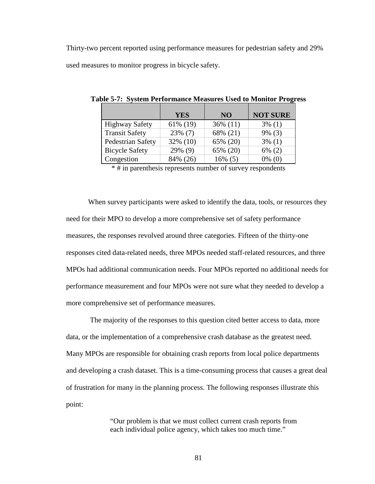Thirty-two percent reported using performance measures for pedestrian safety and 29% used measures to monitor progress in bicycle safety.

|                       | <b>YES</b> | N <sub>O</sub> | <b>NOT SURE</b> |
|-----------------------|------------|----------------|-----------------|
| <b>Highway Safety</b> | 61% (19)   | 36% (11)       | $3\%$ (1)       |
| <b>Transit Safety</b> | $23\%$ (7) | 68% (21)       | $9\%$ (3)       |
| Pedestrian Safety     | 32% (10)   | 65% (20)       | $3\%$ (1)       |
| <b>Bicycle Safety</b> | 29% (9)    | 65% (20)       | $6\%$ (2)       |
| Congestion            | 84% (26)   | $16\%$ (5)     | $0\%$ (0)       |

**Table 5-7: System Performance Measures Used to Monitor Progress** 

\* # in parenthesis represents number of survey respondents

When survey participants were asked to identify the data, tools, or resources they need for their MPO to develop a more comprehensive set of safety performance measures, the responses revolved around three categories. Fifteen of the thirty-one responses cited data-related needs, three MPOs needed staff-related resources, and three MPOs had additional communication needs. Four MPOs reported no additional needs for performance measurement and four MPOs were not sure what they needed to develop a more comprehensive set of performance measures.

 The majority of the responses to this question cited better access to data, more data, or the implementation of a comprehensive crash database as the greatest need. Many MPOs are responsible for obtaining crash reports from local police departments and developing a crash dataset. This is a time-consuming process that causes a great deal of frustration for many in the planning process. The following responses illustrate this point:

> "Our problem is that we must collect current crash reports from each individual police agency, which takes too much time."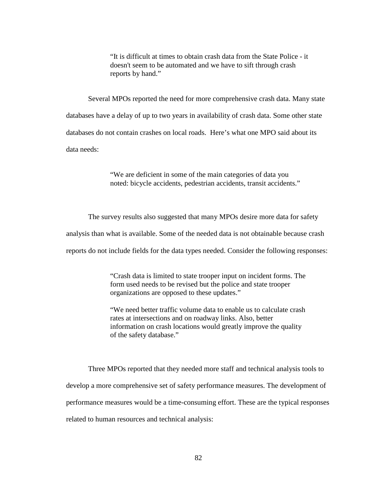"It is difficult at times to obtain crash data from the State Police - it doesn't seem to be automated and we have to sift through crash reports by hand."

 Several MPOs reported the need for more comprehensive crash data. Many state databases have a delay of up to two years in availability of crash data. Some other state databases do not contain crashes on local roads. Here's what one MPO said about its data needs:

> "We are deficient in some of the main categories of data you noted: bicycle accidents, pedestrian accidents, transit accidents."

The survey results also suggested that many MPOs desire more data for safety analysis than what is available. Some of the needed data is not obtainable because crash reports do not include fields for the data types needed. Consider the following responses:

> "Crash data is limited to state trooper input on incident forms. The form used needs to be revised but the police and state trooper organizations are opposed to these updates."

> "We need better traffic volume data to enable us to calculate crash rates at intersections and on roadway links. Also, better information on crash locations would greatly improve the quality of the safety database."

Three MPOs reported that they needed more staff and technical analysis tools to develop a more comprehensive set of safety performance measures. The development of performance measures would be a time-consuming effort. These are the typical responses related to human resources and technical analysis: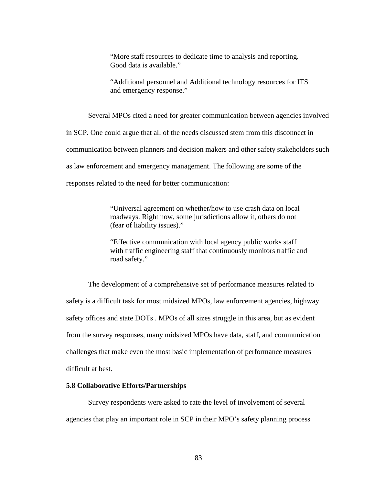"More staff resources to dedicate time to analysis and reporting. Good data is available."

"Additional personnel and Additional technology resources for ITS and emergency response."

Several MPOs cited a need for greater communication between agencies involved

in SCP. One could argue that all of the needs discussed stem from this disconnect in

communication between planners and decision makers and other safety stakeholders such

as law enforcement and emergency management. The following are some of the

responses related to the need for better communication:

"Universal agreement on whether/how to use crash data on local roadways. Right now, some jurisdictions allow it, others do not (fear of liability issues)."

"Effective communication with local agency public works staff with traffic engineering staff that continuously monitors traffic and road safety."

 The development of a comprehensive set of performance measures related to safety is a difficult task for most midsized MPOs, law enforcement agencies, highway safety offices and state DOTs . MPOs of all sizes struggle in this area, but as evident from the survey responses, many midsized MPOs have data, staff, and communication challenges that make even the most basic implementation of performance measures difficult at best.

## **5.8 Collaborative Efforts/Partnerships**

 Survey respondents were asked to rate the level of involvement of several agencies that play an important role in SCP in their MPO's safety planning process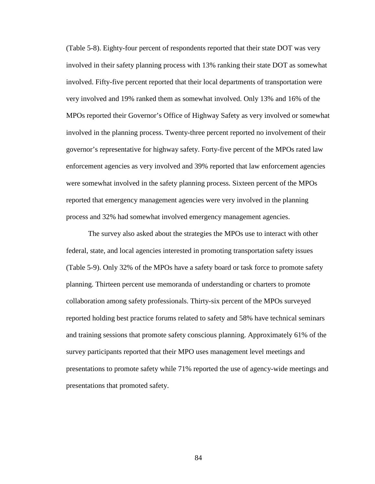(Table 5-8). Eighty-four percent of respondents reported that their state DOT was very involved in their safety planning process with 13% ranking their state DOT as somewhat involved. Fifty-five percent reported that their local departments of transportation were very involved and 19% ranked them as somewhat involved. Only 13% and 16% of the MPOs reported their Governor's Office of Highway Safety as very involved or somewhat involved in the planning process. Twenty-three percent reported no involvement of their governor's representative for highway safety. Forty-five percent of the MPOs rated law enforcement agencies as very involved and 39% reported that law enforcement agencies were somewhat involved in the safety planning process. Sixteen percent of the MPOs reported that emergency management agencies were very involved in the planning process and 32% had somewhat involved emergency management agencies.

The survey also asked about the strategies the MPOs use to interact with other federal, state, and local agencies interested in promoting transportation safety issues (Table 5-9). Only 32% of the MPOs have a safety board or task force to promote safety planning. Thirteen percent use memoranda of understanding or charters to promote collaboration among safety professionals. Thirty-six percent of the MPOs surveyed reported holding best practice forums related to safety and 58% have technical seminars and training sessions that promote safety conscious planning. Approximately 61% of the survey participants reported that their MPO uses management level meetings and presentations to promote safety while 71% reported the use of agency-wide meetings and presentations that promoted safety.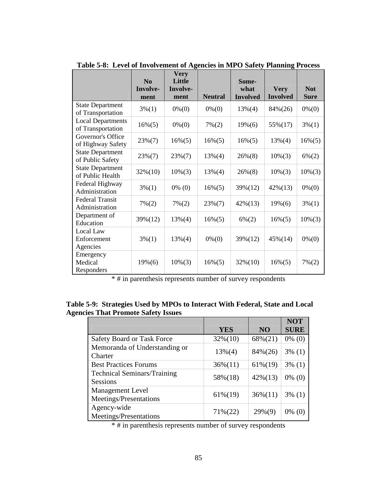|                                               | $\bf No$<br>Involve-<br>ment | <b>Very</b><br>Little<br>Involve-<br>ment | <b>Neutral</b> | Some-<br>what<br><b>Involved</b> | <b>Very</b><br><b>Involved</b> | <b>Not</b><br><b>Sure</b> |
|-----------------------------------------------|------------------------------|-------------------------------------------|----------------|----------------------------------|--------------------------------|---------------------------|
| <b>State Department</b><br>of Transportation  | $3\%(1)$                     | $0\% (0)$                                 | $0\% (0)$      | $13\%(4)$                        | 84%(26)                        | $0\% (0)$                 |
| <b>Local Departments</b><br>of Transportation | $16\%(5)$                    | $0\% (0)$                                 | $7\% (2)$      | $19\%(6)$                        | 55%(17)                        | $3\%(1)$                  |
| Governor's Office<br>of Highway Safety        | $23\%(7)$                    | $16\%(5)$                                 | $16\%(5)$      | $16\%(5)$                        | $13\%(4)$                      | $16\%(5)$                 |
| <b>State Department</b><br>of Public Safety   | $23\%(7)$                    | $23\%(7)$                                 | $13\%(4)$      | $26\%(8)$                        | $10\%(3)$                      | $6\%(2)$                  |
| <b>State Department</b><br>of Public Health   | $32\%(10)$                   | $10\%(3)$                                 | $13\%(4)$      | $26\%(8)$                        | $10\%(3)$                      | $10\%(3)$                 |
| Federal Highway<br>Administration             | $3\%(1)$                     | $0\%$ (0)                                 | $16\%(5)$      | 39%(12)                          | $42\%(13)$                     | $0\% (0)$                 |
| <b>Federal Transit</b><br>Administration      | $7\%(2)$                     | $7\% (2)$                                 | $23\%(7)$      | $42\%(13)$                       | $19\%(6)$                      | $3\%(1)$                  |
| Department of<br>Education                    | 39%(12)                      | $13\%(4)$                                 | $16\%(5)$      | $6\% (2)$                        | $16\%(5)$                      | $10\%(3)$                 |
| Local Law<br>Enforcement<br>Agencies          | $3\%(1)$                     | $13\%(4)$                                 | $0\% (0)$      | 39%(12)                          | $45\%(14)$                     | $0\% (0)$                 |
| Emergency<br>Medical<br>Responders            | $19\%(6)$                    | $10\%(3)$                                 | $16\%(5)$      | $32\%(10)$                       | $16\%(5)$                      | $7\%(2)$                  |

**Table 5-8: Level of Involvement of Agencies in MPO Safety Planning Process** 

\* # in parenthesis represents number of survey respondents

|                                            |  | Table 5-9: Strategies Used by MPOs to Interact With Federal, State and Local |  |
|--------------------------------------------|--|------------------------------------------------------------------------------|--|
| <b>Agencies That Promote Safety Issues</b> |  |                                                                              |  |

|                                                       |            |            | <b>NOT</b>  |
|-------------------------------------------------------|------------|------------|-------------|
|                                                       | <b>YES</b> | <b>NO</b>  | <b>SURE</b> |
| <b>Safety Board or Task Force</b>                     | $32\%(10)$ | 68%(21)    | $0\%$ (0)   |
| Memoranda of Understanding or<br>Charter              | $13\%(4)$  | 84%(26)    | $3\%$ (1)   |
| <b>Best Practices Forums</b>                          | $36\%(11)$ | $61\%(19)$ | $3\%$ (1)   |
| <b>Technical Seminars/Training</b><br><b>Sessions</b> | 58%(18)    | $42\%(13)$ | $0\%$ (0)   |
| <b>Management Level</b><br>Meetings/Presentations     | $61\%(19)$ | $36\%(11)$ | $3\%$ (1)   |
| Agency-wide<br>Meetings/Presentations                 | $71\%(22)$ | $29\%(9)$  | $0\%$ (0)   |

 $*$ # in parenthesis represents number of survey respondents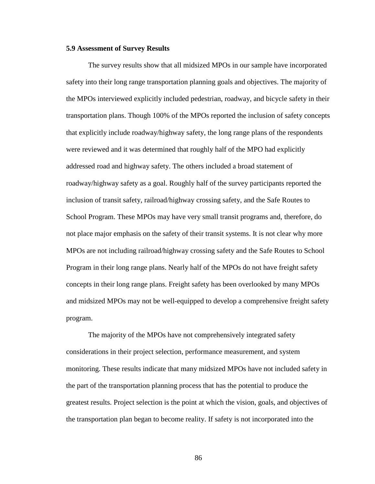# **5.9 Assessment of Survey Results**

 The survey results show that all midsized MPOs in our sample have incorporated safety into their long range transportation planning goals and objectives. The majority of the MPOs interviewed explicitly included pedestrian, roadway, and bicycle safety in their transportation plans. Though 100% of the MPOs reported the inclusion of safety concepts that explicitly include roadway/highway safety, the long range plans of the respondents were reviewed and it was determined that roughly half of the MPO had explicitly addressed road and highway safety. The others included a broad statement of roadway/highway safety as a goal. Roughly half of the survey participants reported the inclusion of transit safety, railroad/highway crossing safety, and the Safe Routes to School Program. These MPOs may have very small transit programs and, therefore, do not place major emphasis on the safety of their transit systems. It is not clear why more MPOs are not including railroad/highway crossing safety and the Safe Routes to School Program in their long range plans. Nearly half of the MPOs do not have freight safety concepts in their long range plans. Freight safety has been overlooked by many MPOs and midsized MPOs may not be well-equipped to develop a comprehensive freight safety program.

The majority of the MPOs have not comprehensively integrated safety considerations in their project selection, performance measurement, and system monitoring. These results indicate that many midsized MPOs have not included safety in the part of the transportation planning process that has the potential to produce the greatest results. Project selection is the point at which the vision, goals, and objectives of the transportation plan began to become reality. If safety is not incorporated into the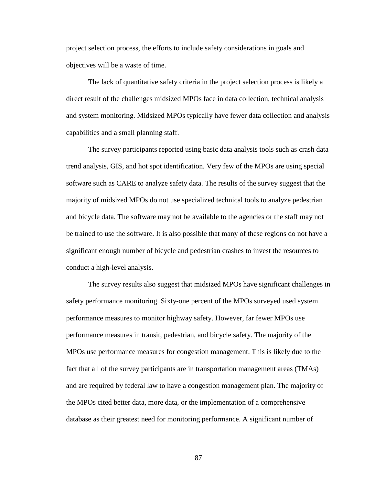project selection process, the efforts to include safety considerations in goals and objectives will be a waste of time.

The lack of quantitative safety criteria in the project selection process is likely a direct result of the challenges midsized MPOs face in data collection, technical analysis and system monitoring. Midsized MPOs typically have fewer data collection and analysis capabilities and a small planning staff.

The survey participants reported using basic data analysis tools such as crash data trend analysis, GIS, and hot spot identification. Very few of the MPOs are using special software such as CARE to analyze safety data. The results of the survey suggest that the majority of midsized MPOs do not use specialized technical tools to analyze pedestrian and bicycle data. The software may not be available to the agencies or the staff may not be trained to use the software. It is also possible that many of these regions do not have a significant enough number of bicycle and pedestrian crashes to invest the resources to conduct a high-level analysis.

The survey results also suggest that midsized MPOs have significant challenges in safety performance monitoring. Sixty-one percent of the MPOs surveyed used system performance measures to monitor highway safety. However, far fewer MPOs use performance measures in transit, pedestrian, and bicycle safety. The majority of the MPOs use performance measures for congestion management. This is likely due to the fact that all of the survey participants are in transportation management areas (TMAs) and are required by federal law to have a congestion management plan. The majority of the MPOs cited better data, more data, or the implementation of a comprehensive database as their greatest need for monitoring performance. A significant number of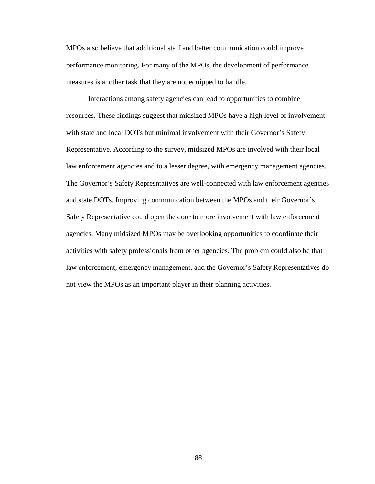MPOs also believe that additional staff and better communication could improve performance monitoring. For many of the MPOs, the development of performance measures is another task that they are not equipped to handle.

Interactions among safety agencies can lead to opportunities to combine resources. These findings suggest that midsized MPOs have a high level of involvement with state and local DOTs but minimal involvement with their Governor's Safety Representative. According to the survey, midsized MPOs are involved with their local law enforcement agencies and to a lesser degree, with emergency management agencies. The Governor's Safety Represntatives are well-connected with law enforcement agencies and state DOTs. Improving communication between the MPOs and their Governor's Safety Representative could open the door to more involvement with law enforcement agencies. Many midsized MPOs may be overlooking opportunities to coordinate their activities with safety professionals from other agencies. The problem could also be that law enforcement, emergency management, and the Governor's Safety Representatives do not view the MPOs as an important player in their planning activities.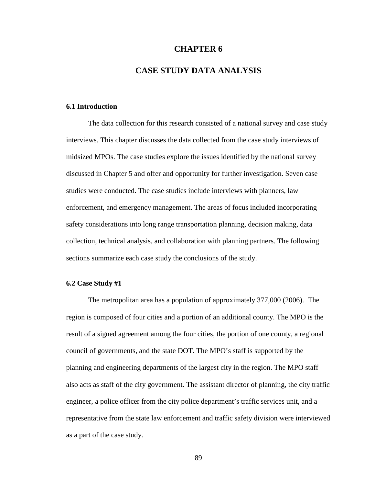# **CHAPTER 6**

# **CASE STUDY DATA ANALYSIS**

# **6.1 Introduction**

The data collection for this research consisted of a national survey and case study interviews. This chapter discusses the data collected from the case study interviews of midsized MPOs. The case studies explore the issues identified by the national survey discussed in Chapter 5 and offer and opportunity for further investigation. Seven case studies were conducted. The case studies include interviews with planners, law enforcement, and emergency management. The areas of focus included incorporating safety considerations into long range transportation planning, decision making, data collection, technical analysis, and collaboration with planning partners. The following sections summarize each case study the conclusions of the study.

#### **6.2 Case Study #1**

 The metropolitan area has a population of approximately 377,000 (2006). The region is composed of four cities and a portion of an additional county. The MPO is the result of a signed agreement among the four cities, the portion of one county, a regional council of governments, and the state DOT. The MPO's staff is supported by the planning and engineering departments of the largest city in the region. The MPO staff also acts as staff of the city government. The assistant director of planning, the city traffic engineer, a police officer from the city police department's traffic services unit, and a representative from the state law enforcement and traffic safety division were interviewed as a part of the case study.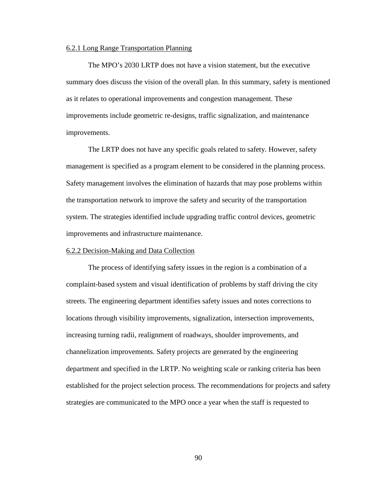# 6.2.1 Long Range Transportation Planning

The MPO's 2030 LRTP does not have a vision statement, but the executive summary does discuss the vision of the overall plan. In this summary, safety is mentioned as it relates to operational improvements and congestion management. These improvements include geometric re-designs, traffic signalization, and maintenance improvements.

 The LRTP does not have any specific goals related to safety. However, safety management is specified as a program element to be considered in the planning process. Safety management involves the elimination of hazards that may pose problems within the transportation network to improve the safety and security of the transportation system. The strategies identified include upgrading traffic control devices, geometric improvements and infrastructure maintenance.

# 6.2.2 Decision-Making and Data Collection

The process of identifying safety issues in the region is a combination of a complaint-based system and visual identification of problems by staff driving the city streets. The engineering department identifies safety issues and notes corrections to locations through visibility improvements, signalization, intersection improvements, increasing turning radii, realignment of roadways, shoulder improvements, and channelization improvements. Safety projects are generated by the engineering department and specified in the LRTP. No weighting scale or ranking criteria has been established for the project selection process. The recommendations for projects and safety strategies are communicated to the MPO once a year when the staff is requested to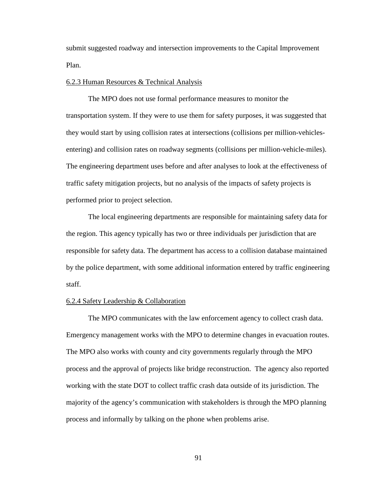submit suggested roadway and intersection improvements to the Capital Improvement Plan.

#### 6.2.3 Human Resources & Technical Analysis

 The MPO does not use formal performance measures to monitor the transportation system. If they were to use them for safety purposes, it was suggested that they would start by using collision rates at intersections (collisions per million-vehiclesentering) and collision rates on roadway segments (collisions per million-vehicle-miles). The engineering department uses before and after analyses to look at the effectiveness of traffic safety mitigation projects, but no analysis of the impacts of safety projects is performed prior to project selection.

 The local engineering departments are responsible for maintaining safety data for the region. This agency typically has two or three individuals per jurisdiction that are responsible for safety data. The department has access to a collision database maintained by the police department, with some additional information entered by traffic engineering staff.

# 6.2.4 Safety Leadership & Collaboration

 The MPO communicates with the law enforcement agency to collect crash data. Emergency management works with the MPO to determine changes in evacuation routes. The MPO also works with county and city governments regularly through the MPO process and the approval of projects like bridge reconstruction. The agency also reported working with the state DOT to collect traffic crash data outside of its jurisdiction. The majority of the agency's communication with stakeholders is through the MPO planning process and informally by talking on the phone when problems arise.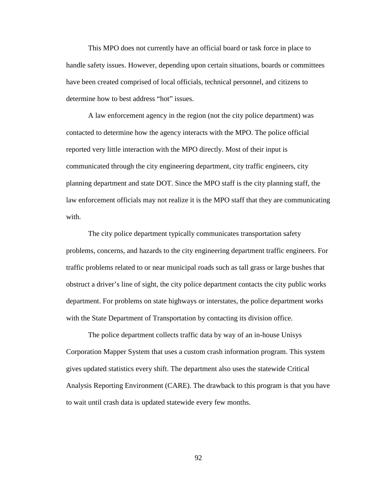This MPO does not currently have an official board or task force in place to handle safety issues. However, depending upon certain situations, boards or committees have been created comprised of local officials, technical personnel, and citizens to determine how to best address "hot" issues.

 A law enforcement agency in the region (not the city police department) was contacted to determine how the agency interacts with the MPO. The police official reported very little interaction with the MPO directly. Most of their input is communicated through the city engineering department, city traffic engineers, city planning department and state DOT. Since the MPO staff is the city planning staff, the law enforcement officials may not realize it is the MPO staff that they are communicating with.

The city police department typically communicates transportation safety problems, concerns, and hazards to the city engineering department traffic engineers. For traffic problems related to or near municipal roads such as tall grass or large bushes that obstruct a driver's line of sight, the city police department contacts the city public works department. For problems on state highways or interstates, the police department works with the State Department of Transportation by contacting its division office.

 The police department collects traffic data by way of an in-house Unisys Corporation Mapper System that uses a custom crash information program. This system gives updated statistics every shift. The department also uses the statewide Critical Analysis Reporting Environment (CARE). The drawback to this program is that you have to wait until crash data is updated statewide every few months.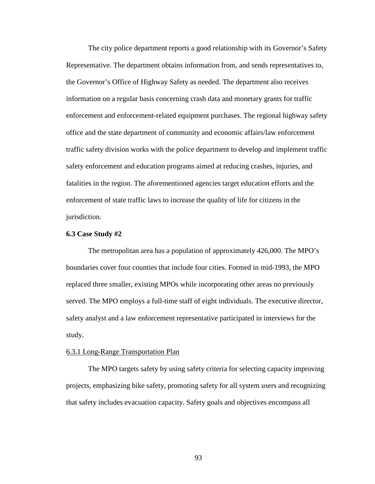The city police department reports a good relationship with its Governor's Safety Representative. The department obtains information from, and sends representatives to, the Governor's Office of Highway Safety as needed. The department also receives information on a regular basis concerning crash data and monetary grants for traffic enforcement and enforcement-related equipment purchases. The regional highway safety office and the state department of community and economic affairs/law enforcement traffic safety division works with the police department to develop and implement traffic safety enforcement and education programs aimed at reducing crashes, injuries, and fatalities in the region. The aforementioned agencies target education efforts and the enforcement of state traffic laws to increase the quality of life for citizens in the jurisdiction.

# **6.3 Case Study #2**

 The metropolitan area has a population of approximately 426,000. The MPO's boundaries cover four counties that include four cities. Formed in mid-1993, the MPO replaced three smaller, existing MPOs while incorporating other areas no previously served. The MPO employs a full-time staff of eight individuals. The executive director, safety analyst and a law enforcement representative participated in interviews for the study.

#### 6.3.1 Long-Range Transportation Plan

The MPO targets safety by using safety criteria for selecting capacity improving projects, emphasizing bike safety, promoting safety for all system users and recognizing that safety includes evacuation capacity. Safety goals and objectives encompass all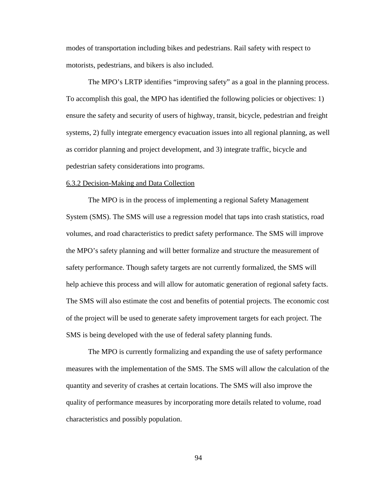modes of transportation including bikes and pedestrians. Rail safety with respect to motorists, pedestrians, and bikers is also included.

The MPO's LRTP identifies "improving safety" as a goal in the planning process. To accomplish this goal, the MPO has identified the following policies or objectives: 1) ensure the safety and security of users of highway, transit, bicycle, pedestrian and freight systems, 2) fully integrate emergency evacuation issues into all regional planning, as well as corridor planning and project development, and 3) integrate traffic, bicycle and pedestrian safety considerations into programs.

### 6.3.2 Decision-Making and Data Collection

 The MPO is in the process of implementing a regional Safety Management System (SMS). The SMS will use a regression model that taps into crash statistics, road volumes, and road characteristics to predict safety performance. The SMS will improve the MPO's safety planning and will better formalize and structure the measurement of safety performance. Though safety targets are not currently formalized, the SMS will help achieve this process and will allow for automatic generation of regional safety facts. The SMS will also estimate the cost and benefits of potential projects. The economic cost of the project will be used to generate safety improvement targets for each project. The SMS is being developed with the use of federal safety planning funds.

The MPO is currently formalizing and expanding the use of safety performance measures with the implementation of the SMS. The SMS will allow the calculation of the quantity and severity of crashes at certain locations. The SMS will also improve the quality of performance measures by incorporating more details related to volume, road characteristics and possibly population.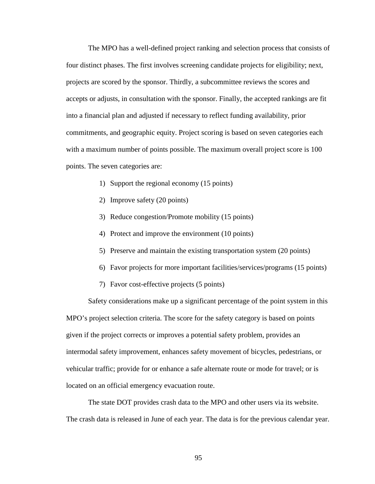The MPO has a well-defined project ranking and selection process that consists of four distinct phases. The first involves screening candidate projects for eligibility; next, projects are scored by the sponsor. Thirdly, a subcommittee reviews the scores and accepts or adjusts, in consultation with the sponsor. Finally, the accepted rankings are fit into a financial plan and adjusted if necessary to reflect funding availability, prior commitments, and geographic equity. Project scoring is based on seven categories each with a maximum number of points possible. The maximum overall project score is 100 points. The seven categories are:

- 1) Support the regional economy (15 points)
- 2) Improve safety (20 points)
- 3) Reduce congestion/Promote mobility (15 points)
- 4) Protect and improve the environment (10 points)
- 5) Preserve and maintain the existing transportation system (20 points)
- 6) Favor projects for more important facilities/services/programs (15 points)
- 7) Favor cost-effective projects (5 points)

Safety considerations make up a significant percentage of the point system in this MPO's project selection criteria. The score for the safety category is based on points given if the project corrects or improves a potential safety problem, provides an intermodal safety improvement, enhances safety movement of bicycles, pedestrians, or vehicular traffic; provide for or enhance a safe alternate route or mode for travel; or is located on an official emergency evacuation route.

The state DOT provides crash data to the MPO and other users via its website. The crash data is released in June of each year. The data is for the previous calendar year.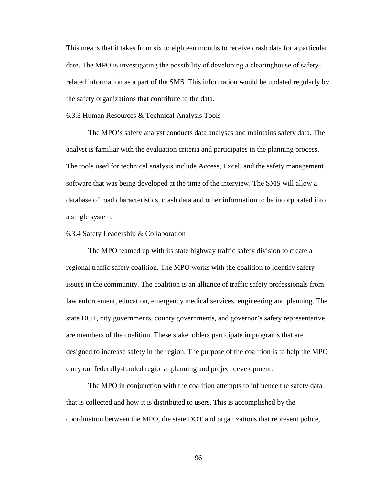This means that it takes from six to eighteen months to receive crash data for a particular date. The MPO is investigating the possibility of developing a clearinghouse of safetyrelated information as a part of the SMS. This information would be updated regularly by the safety organizations that contribute to the data.

### 6.3.3 Human Resources & Technical Analysis Tools

The MPO's safety analyst conducts data analyses and maintains safety data. The analyst is familiar with the evaluation criteria and participates in the planning process. The tools used for technical analysis include Access, Excel, and the safety management software that was being developed at the time of the interview. The SMS will allow a database of road characteristics, crash data and other information to be incorporated into a single system.

### 6.3.4 Safety Leadership & Collaboration

The MPO teamed up with its state highway traffic safety division to create a regional traffic safety coalition. The MPO works with the coalition to identify safety issues in the community. The coalition is an alliance of traffic safety professionals from law enforcement, education, emergency medical services, engineering and planning. The state DOT, city governments, county governments, and governor's safety representative are members of the coalition. These stakeholders participate in programs that are designed to increase safety in the region. The purpose of the coalition is to help the MPO carry out federally-funded regional planning and project development.

The MPO in conjunction with the coalition attempts to influence the safety data that is collected and how it is distributed to users. This is accomplished by the coordination between the MPO, the state DOT and organizations that represent police,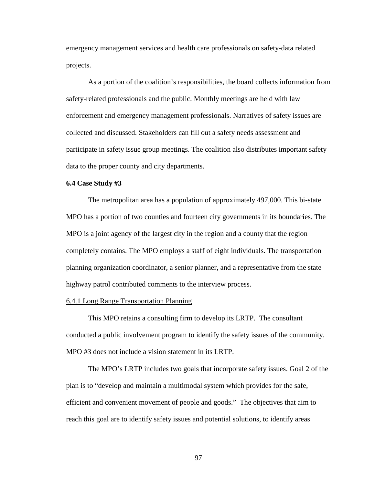emergency management services and health care professionals on safety-data related projects.

As a portion of the coalition's responsibilities, the board collects information from safety-related professionals and the public. Monthly meetings are held with law enforcement and emergency management professionals. Narratives of safety issues are collected and discussed. Stakeholders can fill out a safety needs assessment and participate in safety issue group meetings. The coalition also distributes important safety data to the proper county and city departments.

## **6.4 Case Study #3**

 The metropolitan area has a population of approximately 497,000. This bi-state MPO has a portion of two counties and fourteen city governments in its boundaries. The MPO is a joint agency of the largest city in the region and a county that the region completely contains. The MPO employs a staff of eight individuals. The transportation planning organization coordinator, a senior planner, and a representative from the state highway patrol contributed comments to the interview process.

## 6.4.1 Long Range Transportation Planning

This MPO retains a consulting firm to develop its LRTP. The consultant conducted a public involvement program to identify the safety issues of the community. MPO #3 does not include a vision statement in its LRTP.

 The MPO's LRTP includes two goals that incorporate safety issues. Goal 2 of the plan is to "develop and maintain a multimodal system which provides for the safe, efficient and convenient movement of people and goods." The objectives that aim to reach this goal are to identify safety issues and potential solutions, to identify areas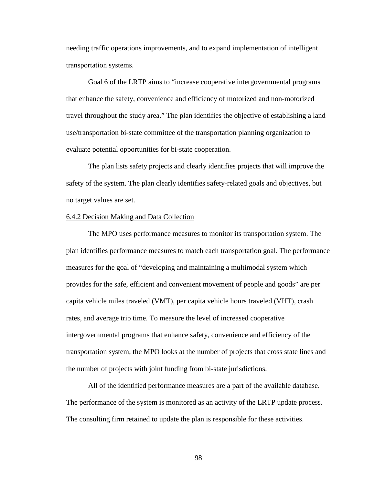needing traffic operations improvements, and to expand implementation of intelligent transportation systems.

 Goal 6 of the LRTP aims to "increase cooperative intergovernmental programs that enhance the safety, convenience and efficiency of motorized and non-motorized travel throughout the study area." The plan identifies the objective of establishing a land use/transportation bi-state committee of the transportation planning organization to evaluate potential opportunities for bi-state cooperation.

The plan lists safety projects and clearly identifies projects that will improve the safety of the system. The plan clearly identifies safety-related goals and objectives, but no target values are set.

## 6.4.2 Decision Making and Data Collection

The MPO uses performance measures to monitor its transportation system. The plan identifies performance measures to match each transportation goal. The performance measures for the goal of "developing and maintaining a multimodal system which provides for the safe, efficient and convenient movement of people and goods" are per capita vehicle miles traveled (VMT), per capita vehicle hours traveled (VHT), crash rates, and average trip time. To measure the level of increased cooperative intergovernmental programs that enhance safety, convenience and efficiency of the transportation system, the MPO looks at the number of projects that cross state lines and the number of projects with joint funding from bi-state jurisdictions.

 All of the identified performance measures are a part of the available database. The performance of the system is monitored as an activity of the LRTP update process. The consulting firm retained to update the plan is responsible for these activities.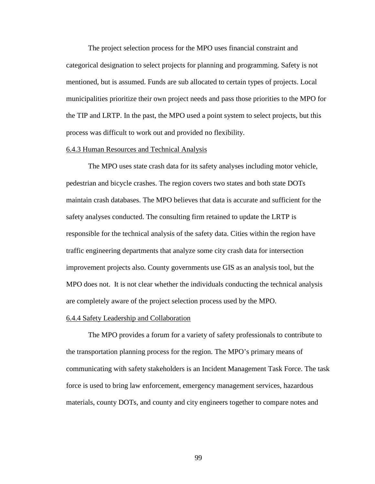The project selection process for the MPO uses financial constraint and categorical designation to select projects for planning and programming. Safety is not mentioned, but is assumed. Funds are sub allocated to certain types of projects. Local municipalities prioritize their own project needs and pass those priorities to the MPO for the TIP and LRTP. In the past, the MPO used a point system to select projects, but this process was difficult to work out and provided no flexibility.

#### 6.4.3 Human Resources and Technical Analysis

 The MPO uses state crash data for its safety analyses including motor vehicle, pedestrian and bicycle crashes. The region covers two states and both state DOTs maintain crash databases. The MPO believes that data is accurate and sufficient for the safety analyses conducted. The consulting firm retained to update the LRTP is responsible for the technical analysis of the safety data. Cities within the region have traffic engineering departments that analyze some city crash data for intersection improvement projects also. County governments use GIS as an analysis tool, but the MPO does not. It is not clear whether the individuals conducting the technical analysis are completely aware of the project selection process used by the MPO.

#### 6.4.4 Safety Leadership and Collaboration

 The MPO provides a forum for a variety of safety professionals to contribute to the transportation planning process for the region. The MPO's primary means of communicating with safety stakeholders is an Incident Management Task Force. The task force is used to bring law enforcement, emergency management services, hazardous materials, county DOTs, and county and city engineers together to compare notes and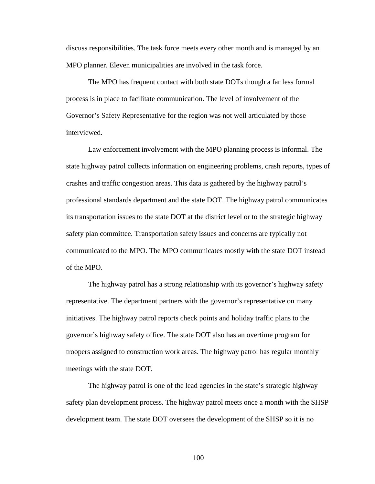discuss responsibilities. The task force meets every other month and is managed by an MPO planner. Eleven municipalities are involved in the task force.

 The MPO has frequent contact with both state DOTs though a far less formal process is in place to facilitate communication. The level of involvement of the Governor's Safety Representative for the region was not well articulated by those interviewed.

 Law enforcement involvement with the MPO planning process is informal. The state highway patrol collects information on engineering problems, crash reports, types of crashes and traffic congestion areas. This data is gathered by the highway patrol's professional standards department and the state DOT. The highway patrol communicates its transportation issues to the state DOT at the district level or to the strategic highway safety plan committee. Transportation safety issues and concerns are typically not communicated to the MPO. The MPO communicates mostly with the state DOT instead of the MPO.

 The highway patrol has a strong relationship with its governor's highway safety representative. The department partners with the governor's representative on many initiatives. The highway patrol reports check points and holiday traffic plans to the governor's highway safety office. The state DOT also has an overtime program for troopers assigned to construction work areas. The highway patrol has regular monthly meetings with the state DOT.

 The highway patrol is one of the lead agencies in the state's strategic highway safety plan development process. The highway patrol meets once a month with the SHSP development team. The state DOT oversees the development of the SHSP so it is no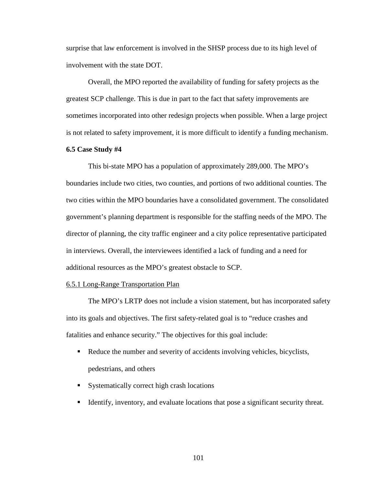surprise that law enforcement is involved in the SHSP process due to its high level of involvement with the state DOT.

Overall, the MPO reported the availability of funding for safety projects as the greatest SCP challenge. This is due in part to the fact that safety improvements are sometimes incorporated into other redesign projects when possible. When a large project is not related to safety improvement, it is more difficult to identify a funding mechanism.

## **6.5 Case Study #4**

This bi-state MPO has a population of approximately 289,000. The MPO's boundaries include two cities, two counties, and portions of two additional counties. The two cities within the MPO boundaries have a consolidated government. The consolidated government's planning department is responsible for the staffing needs of the MPO. The director of planning, the city traffic engineer and a city police representative participated in interviews. Overall, the interviewees identified a lack of funding and a need for additional resources as the MPO's greatest obstacle to SCP.

## 6.5.1 Long-Range Transportation Plan

 The MPO's LRTP does not include a vision statement, but has incorporated safety into its goals and objectives. The first safety-related goal is to "reduce crashes and fatalities and enhance security." The objectives for this goal include:

- Reduce the number and severity of accidents involving vehicles, bicyclists, pedestrians, and others
- Systematically correct high crash locations
- Identify, inventory, and evaluate locations that pose a significant security threat.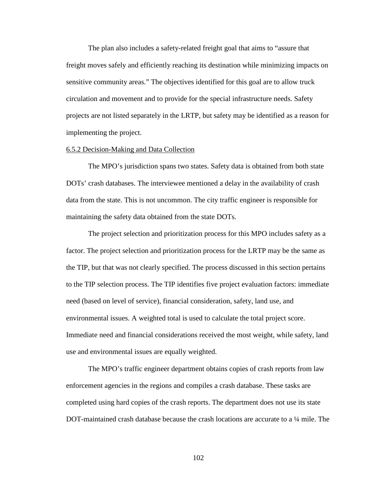The plan also includes a safety-related freight goal that aims to "assure that freight moves safely and efficiently reaching its destination while minimizing impacts on sensitive community areas." The objectives identified for this goal are to allow truck circulation and movement and to provide for the special infrastructure needs. Safety projects are not listed separately in the LRTP, but safety may be identified as a reason for implementing the project.

## 6.5.2 Decision-Making and Data Collection

 The MPO's jurisdiction spans two states. Safety data is obtained from both state DOTs' crash databases. The interviewee mentioned a delay in the availability of crash data from the state. This is not uncommon. The city traffic engineer is responsible for maintaining the safety data obtained from the state DOTs.

 The project selection and prioritization process for this MPO includes safety as a factor. The project selection and prioritization process for the LRTP may be the same as the TIP, but that was not clearly specified. The process discussed in this section pertains to the TIP selection process. The TIP identifies five project evaluation factors: immediate need (based on level of service), financial consideration, safety, land use, and environmental issues. A weighted total is used to calculate the total project score. Immediate need and financial considerations received the most weight, while safety, land use and environmental issues are equally weighted.

 The MPO's traffic engineer department obtains copies of crash reports from law enforcement agencies in the regions and compiles a crash database. These tasks are completed using hard copies of the crash reports. The department does not use its state DOT-maintained crash database because the crash locations are accurate to a ¼ mile. The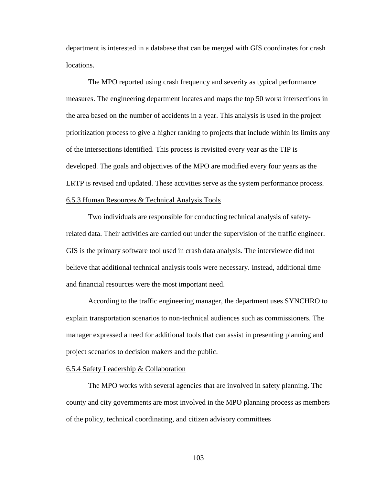department is interested in a database that can be merged with GIS coordinates for crash locations.

The MPO reported using crash frequency and severity as typical performance measures. The engineering department locates and maps the top 50 worst intersections in the area based on the number of accidents in a year. This analysis is used in the project prioritization process to give a higher ranking to projects that include within its limits any of the intersections identified. This process is revisited every year as the TIP is developed. The goals and objectives of the MPO are modified every four years as the LRTP is revised and updated. These activities serve as the system performance process. 6.5.3 Human Resources & Technical Analysis Tools

 Two individuals are responsible for conducting technical analysis of safetyrelated data. Their activities are carried out under the supervision of the traffic engineer. GIS is the primary software tool used in crash data analysis. The interviewee did not believe that additional technical analysis tools were necessary. Instead, additional time and financial resources were the most important need.

 According to the traffic engineering manager, the department uses SYNCHRO to explain transportation scenarios to non-technical audiences such as commissioners. The manager expressed a need for additional tools that can assist in presenting planning and project scenarios to decision makers and the public.

# 6.5.4 Safety Leadership & Collaboration

 The MPO works with several agencies that are involved in safety planning. The county and city governments are most involved in the MPO planning process as members of the policy, technical coordinating, and citizen advisory committees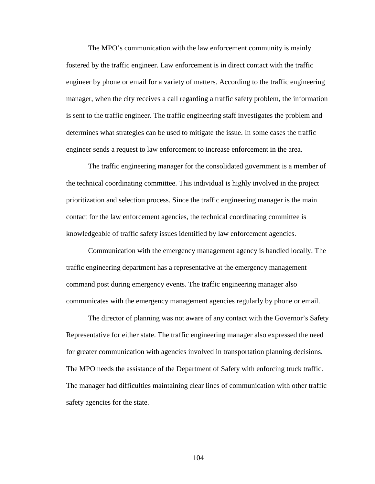The MPO's communication with the law enforcement community is mainly fostered by the traffic engineer. Law enforcement is in direct contact with the traffic engineer by phone or email for a variety of matters. According to the traffic engineering manager, when the city receives a call regarding a traffic safety problem, the information is sent to the traffic engineer. The traffic engineering staff investigates the problem and determines what strategies can be used to mitigate the issue. In some cases the traffic engineer sends a request to law enforcement to increase enforcement in the area.

The traffic engineering manager for the consolidated government is a member of the technical coordinating committee. This individual is highly involved in the project prioritization and selection process. Since the traffic engineering manager is the main contact for the law enforcement agencies, the technical coordinating committee is knowledgeable of traffic safety issues identified by law enforcement agencies.

Communication with the emergency management agency is handled locally. The traffic engineering department has a representative at the emergency management command post during emergency events. The traffic engineering manager also communicates with the emergency management agencies regularly by phone or email.

The director of planning was not aware of any contact with the Governor's Safety Representative for either state. The traffic engineering manager also expressed the need for greater communication with agencies involved in transportation planning decisions. The MPO needs the assistance of the Department of Safety with enforcing truck traffic. The manager had difficulties maintaining clear lines of communication with other traffic safety agencies for the state.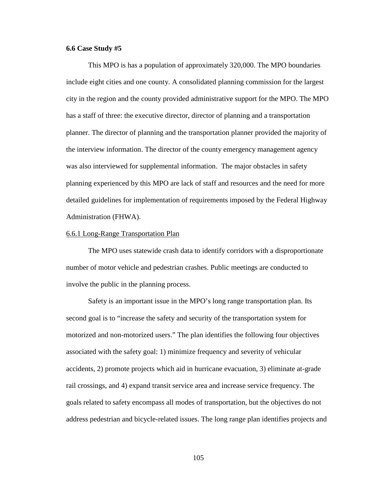## **6.6 Case Study #5**

This MPO is has a population of approximately 320,000. The MPO boundaries include eight cities and one county. A consolidated planning commission for the largest city in the region and the county provided administrative support for the MPO. The MPO has a staff of three: the executive director, director of planning and a transportation planner. The director of planning and the transportation planner provided the majority of the interview information. The director of the county emergency management agency was also interviewed for supplemental information. The major obstacles in safety planning experienced by this MPO are lack of staff and resources and the need for more detailed guidelines for implementation of requirements imposed by the Federal Highway Administration (FHWA).

### 6.6.1 Long-Range Transportation Plan

 The MPO uses statewide crash data to identify corridors with a disproportionate number of motor vehicle and pedestrian crashes. Public meetings are conducted to involve the public in the planning process.

 Safety is an important issue in the MPO's long range transportation plan. Its second goal is to "increase the safety and security of the transportation system for motorized and non-motorized users." The plan identifies the following four objectives associated with the safety goal: 1) minimize frequency and severity of vehicular accidents, 2) promote projects which aid in hurricane evacuation, 3) eliminate at-grade rail crossings, and 4) expand transit service area and increase service frequency. The goals related to safety encompass all modes of transportation, but the objectives do not address pedestrian and bicycle-related issues. The long range plan identifies projects and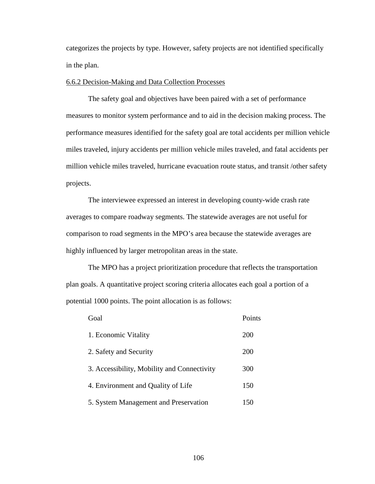categorizes the projects by type. However, safety projects are not identified specifically in the plan.

## 6.6.2 Decision-Making and Data Collection Processes

 The safety goal and objectives have been paired with a set of performance measures to monitor system performance and to aid in the decision making process. The performance measures identified for the safety goal are total accidents per million vehicle miles traveled, injury accidents per million vehicle miles traveled, and fatal accidents per million vehicle miles traveled, hurricane evacuation route status, and transit /other safety projects.

 The interviewee expressed an interest in developing county-wide crash rate averages to compare roadway segments. The statewide averages are not useful for comparison to road segments in the MPO's area because the statewide averages are highly influenced by larger metropolitan areas in the state.

 The MPO has a project prioritization procedure that reflects the transportation plan goals. A quantitative project scoring criteria allocates each goal a portion of a potential 1000 points. The point allocation is as follows:

| Goal                                        | Points |
|---------------------------------------------|--------|
| 1. Economic Vitality                        | 200    |
| 2. Safety and Security                      | 200    |
| 3. Accessibility, Mobility and Connectivity | 300    |
| 4. Environment and Quality of Life          | 150    |
| 5. System Management and Preservation       | 150    |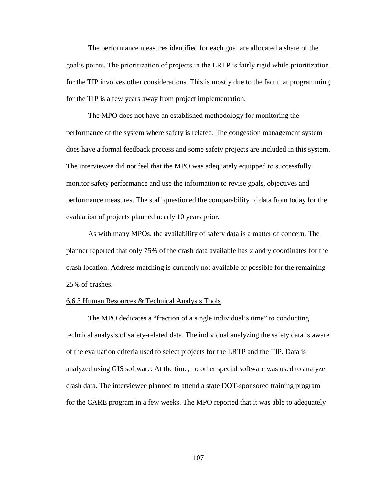The performance measures identified for each goal are allocated a share of the goal's points. The prioritization of projects in the LRTP is fairly rigid while prioritization for the TIP involves other considerations. This is mostly due to the fact that programming for the TIP is a few years away from project implementation.

 The MPO does not have an established methodology for monitoring the performance of the system where safety is related. The congestion management system does have a formal feedback process and some safety projects are included in this system. The interviewee did not feel that the MPO was adequately equipped to successfully monitor safety performance and use the information to revise goals, objectives and performance measures. The staff questioned the comparability of data from today for the evaluation of projects planned nearly 10 years prior.

 As with many MPOs, the availability of safety data is a matter of concern. The planner reported that only 75% of the crash data available has x and y coordinates for the crash location. Address matching is currently not available or possible for the remaining 25% of crashes.

#### 6.6.3 Human Resources & Technical Analysis Tools

 The MPO dedicates a "fraction of a single individual's time" to conducting technical analysis of safety-related data. The individual analyzing the safety data is aware of the evaluation criteria used to select projects for the LRTP and the TIP. Data is analyzed using GIS software. At the time, no other special software was used to analyze crash data. The interviewee planned to attend a state DOT-sponsored training program for the CARE program in a few weeks. The MPO reported that it was able to adequately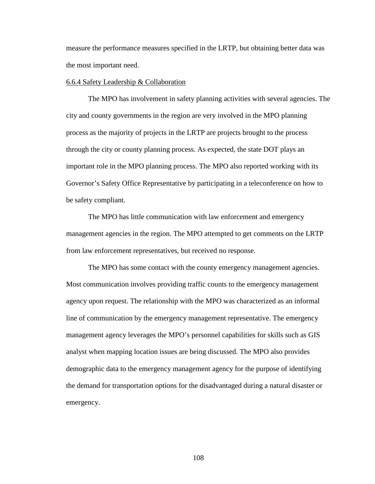measure the performance measures specified in the LRTP, but obtaining better data was the most important need.

#### 6.6.4 Safety Leadership & Collaboration

The MPO has involvement in safety planning activities with several agencies. The city and county governments in the region are very involved in the MPO planning process as the majority of projects in the LRTP are projects brought to the process through the city or county planning process. As expected, the state DOT plays an important role in the MPO planning process. The MPO also reported working with its Governor's Safety Office Representative by participating in a teleconference on how to be safety compliant.

The MPO has little communication with law enforcement and emergency management agencies in the region. The MPO attempted to get comments on the LRTP from law enforcement representatives, but received no response.

The MPO has some contact with the county emergency management agencies. Most communication involves providing traffic counts to the emergency management agency upon request. The relationship with the MPO was characterized as an informal line of communication by the emergency management representative. The emergency management agency leverages the MPO's personnel capabilities for skills such as GIS analyst when mapping location issues are being discussed. The MPO also provides demographic data to the emergency management agency for the purpose of identifying the demand for transportation options for the disadvantaged during a natural disaster or emergency.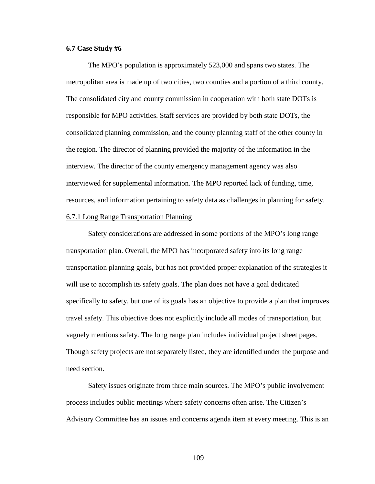## **6.7 Case Study #6**

The MPO's population is approximately 523,000 and spans two states. The metropolitan area is made up of two cities, two counties and a portion of a third county. The consolidated city and county commission in cooperation with both state DOTs is responsible for MPO activities. Staff services are provided by both state DOTs, the consolidated planning commission, and the county planning staff of the other county in the region. The director of planning provided the majority of the information in the interview. The director of the county emergency management agency was also interviewed for supplemental information. The MPO reported lack of funding, time, resources, and information pertaining to safety data as challenges in planning for safety. 6.7.1 Long Range Transportation Planning

Safety considerations are addressed in some portions of the MPO's long range transportation plan. Overall, the MPO has incorporated safety into its long range transportation planning goals, but has not provided proper explanation of the strategies it will use to accomplish its safety goals. The plan does not have a goal dedicated specifically to safety, but one of its goals has an objective to provide a plan that improves travel safety. This objective does not explicitly include all modes of transportation, but vaguely mentions safety. The long range plan includes individual project sheet pages. Though safety projects are not separately listed, they are identified under the purpose and need section.

 Safety issues originate from three main sources. The MPO's public involvement process includes public meetings where safety concerns often arise. The Citizen's Advisory Committee has an issues and concerns agenda item at every meeting. This is an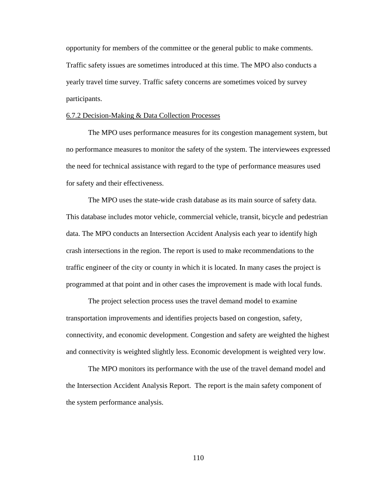opportunity for members of the committee or the general public to make comments. Traffic safety issues are sometimes introduced at this time. The MPO also conducts a yearly travel time survey. Traffic safety concerns are sometimes voiced by survey participants.

### 6.7.2 Decision-Making & Data Collection Processes

 The MPO uses performance measures for its congestion management system, but no performance measures to monitor the safety of the system. The interviewees expressed the need for technical assistance with regard to the type of performance measures used for safety and their effectiveness.

 The MPO uses the state-wide crash database as its main source of safety data. This database includes motor vehicle, commercial vehicle, transit, bicycle and pedestrian data. The MPO conducts an Intersection Accident Analysis each year to identify high crash intersections in the region. The report is used to make recommendations to the traffic engineer of the city or county in which it is located. In many cases the project is programmed at that point and in other cases the improvement is made with local funds.

 The project selection process uses the travel demand model to examine transportation improvements and identifies projects based on congestion, safety, connectivity, and economic development. Congestion and safety are weighted the highest and connectivity is weighted slightly less. Economic development is weighted very low.

 The MPO monitors its performance with the use of the travel demand model and the Intersection Accident Analysis Report. The report is the main safety component of the system performance analysis.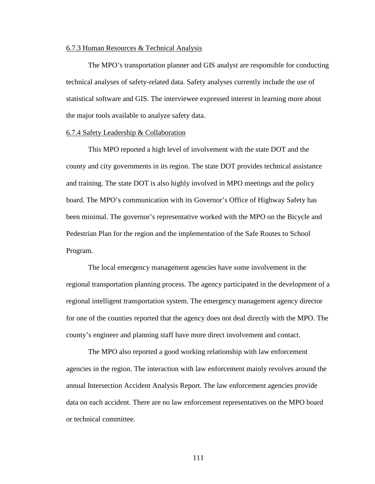#### 6.7.3 Human Resources & Technical Analysis

 The MPO's transportation planner and GIS analyst are responsible for conducting technical analyses of safety-related data. Safety analyses currently include the use of statistical software and GIS. The interviewee expressed interest in learning more about the major tools available to analyze safety data.

#### 6.7.4 Safety Leadership & Collaboration

This MPO reported a high level of involvement with the state DOT and the county and city governments in its region. The state DOT provides technical assistance and training. The state DOT is also highly involved in MPO meetings and the policy board. The MPO's communication with its Governor's Office of Highway Safety has been minimal. The governor's representative worked with the MPO on the Bicycle and Pedestrian Plan for the region and the implementation of the Safe Routes to School Program.

The local emergency management agencies have some involvement in the regional transportation planning process. The agency participated in the development of a regional intelligent transportation system. The emergency management agency director for one of the counties reported that the agency does not deal directly with the MPO. The county's engineer and planning staff have more direct involvement and contact.

 The MPO also reported a good working relationship with law enforcement agencies in the region. The interaction with law enforcement mainly revolves around the annual Intersection Accident Analysis Report. The law enforcement agencies provide data on each accident. There are no law enforcement representatives on the MPO board or technical committee.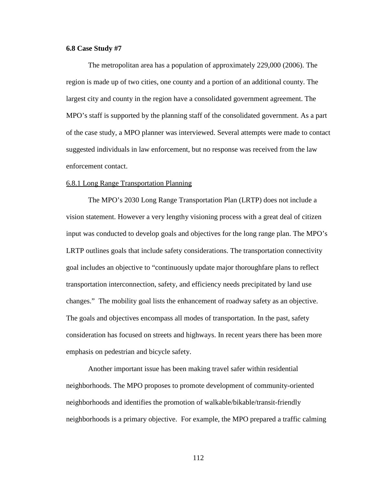## **6.8 Case Study #7**

 The metropolitan area has a population of approximately 229,000 (2006). The region is made up of two cities, one county and a portion of an additional county. The largest city and county in the region have a consolidated government agreement. The MPO's staff is supported by the planning staff of the consolidated government. As a part of the case study, a MPO planner was interviewed. Several attempts were made to contact suggested individuals in law enforcement, but no response was received from the law enforcement contact.

### 6.8.1 Long Range Transportation Planning

 The MPO's 2030 Long Range Transportation Plan (LRTP) does not include a vision statement. However a very lengthy visioning process with a great deal of citizen input was conducted to develop goals and objectives for the long range plan. The MPO's LRTP outlines goals that include safety considerations. The transportation connectivity goal includes an objective to "continuously update major thoroughfare plans to reflect transportation interconnection, safety, and efficiency needs precipitated by land use changes." The mobility goal lists the enhancement of roadway safety as an objective. The goals and objectives encompass all modes of transportation. In the past, safety consideration has focused on streets and highways. In recent years there has been more emphasis on pedestrian and bicycle safety.

 Another important issue has been making travel safer within residential neighborhoods. The MPO proposes to promote development of community-oriented neighborhoods and identifies the promotion of walkable/bikable/transit-friendly neighborhoods is a primary objective. For example, the MPO prepared a traffic calming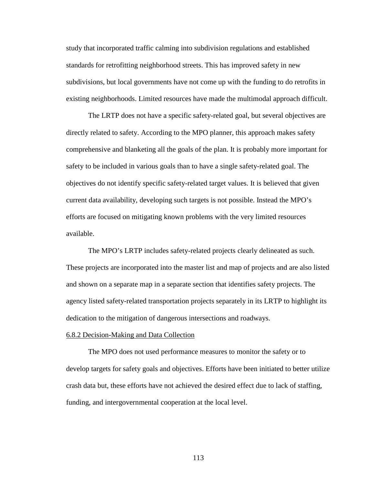study that incorporated traffic calming into subdivision regulations and established standards for retrofitting neighborhood streets. This has improved safety in new subdivisions, but local governments have not come up with the funding to do retrofits in existing neighborhoods. Limited resources have made the multimodal approach difficult.

 The LRTP does not have a specific safety-related goal, but several objectives are directly related to safety. According to the MPO planner, this approach makes safety comprehensive and blanketing all the goals of the plan. It is probably more important for safety to be included in various goals than to have a single safety-related goal. The objectives do not identify specific safety-related target values. It is believed that given current data availability, developing such targets is not possible. Instead the MPO's efforts are focused on mitigating known problems with the very limited resources available.

 The MPO's LRTP includes safety-related projects clearly delineated as such. These projects are incorporated into the master list and map of projects and are also listed and shown on a separate map in a separate section that identifies safety projects. The agency listed safety-related transportation projects separately in its LRTP to highlight its dedication to the mitigation of dangerous intersections and roadways.

### 6.8.2 Decision-Making and Data Collection

 The MPO does not used performance measures to monitor the safety or to develop targets for safety goals and objectives. Efforts have been initiated to better utilize crash data but, these efforts have not achieved the desired effect due to lack of staffing, funding, and intergovernmental cooperation at the local level.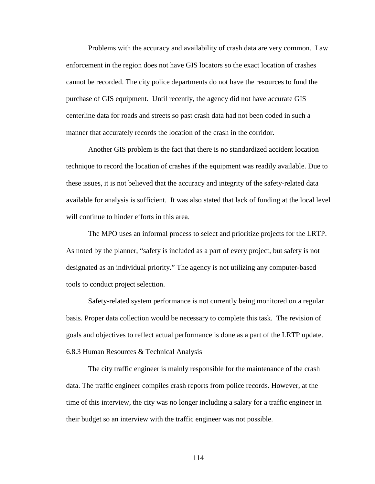Problems with the accuracy and availability of crash data are very common. Law enforcement in the region does not have GIS locators so the exact location of crashes cannot be recorded. The city police departments do not have the resources to fund the purchase of GIS equipment. Until recently, the agency did not have accurate GIS centerline data for roads and streets so past crash data had not been coded in such a manner that accurately records the location of the crash in the corridor.

 Another GIS problem is the fact that there is no standardized accident location technique to record the location of crashes if the equipment was readily available. Due to these issues, it is not believed that the accuracy and integrity of the safety-related data available for analysis is sufficient. It was also stated that lack of funding at the local level will continue to hinder efforts in this area.

 The MPO uses an informal process to select and prioritize projects for the LRTP. As noted by the planner, "safety is included as a part of every project, but safety is not designated as an individual priority." The agency is not utilizing any computer-based tools to conduct project selection.

 Safety-related system performance is not currently being monitored on a regular basis. Proper data collection would be necessary to complete this task. The revision of goals and objectives to reflect actual performance is done as a part of the LRTP update.

# 6.8.3 Human Resources & Technical Analysis

 The city traffic engineer is mainly responsible for the maintenance of the crash data. The traffic engineer compiles crash reports from police records. However, at the time of this interview, the city was no longer including a salary for a traffic engineer in their budget so an interview with the traffic engineer was not possible.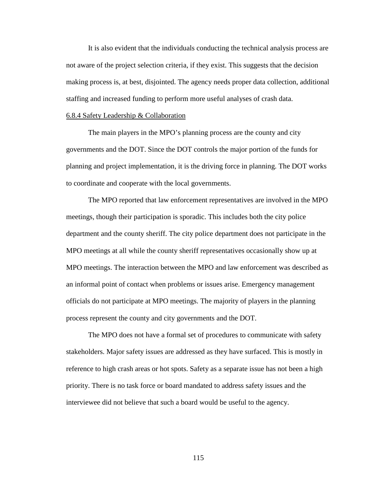It is also evident that the individuals conducting the technical analysis process are not aware of the project selection criteria, if they exist. This suggests that the decision making process is, at best, disjointed. The agency needs proper data collection, additional staffing and increased funding to perform more useful analyses of crash data.

#### 6.8.4 Safety Leadership & Collaboration

 The main players in the MPO's planning process are the county and city governments and the DOT. Since the DOT controls the major portion of the funds for planning and project implementation, it is the driving force in planning. The DOT works to coordinate and cooperate with the local governments.

 The MPO reported that law enforcement representatives are involved in the MPO meetings, though their participation is sporadic. This includes both the city police department and the county sheriff. The city police department does not participate in the MPO meetings at all while the county sheriff representatives occasionally show up at MPO meetings. The interaction between the MPO and law enforcement was described as an informal point of contact when problems or issues arise. Emergency management officials do not participate at MPO meetings. The majority of players in the planning process represent the county and city governments and the DOT.

 The MPO does not have a formal set of procedures to communicate with safety stakeholders. Major safety issues are addressed as they have surfaced. This is mostly in reference to high crash areas or hot spots. Safety as a separate issue has not been a high priority. There is no task force or board mandated to address safety issues and the interviewee did not believe that such a board would be useful to the agency.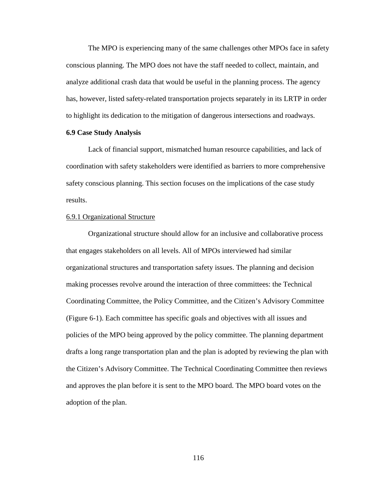The MPO is experiencing many of the same challenges other MPOs face in safety conscious planning. The MPO does not have the staff needed to collect, maintain, and analyze additional crash data that would be useful in the planning process. The agency has, however, listed safety-related transportation projects separately in its LRTP in order to highlight its dedication to the mitigation of dangerous intersections and roadways.

# **6.9 Case Study Analysis**

 Lack of financial support, mismatched human resource capabilities, and lack of coordination with safety stakeholders were identified as barriers to more comprehensive safety conscious planning. This section focuses on the implications of the case study results.

### 6.9.1 Organizational Structure

 Organizational structure should allow for an inclusive and collaborative process that engages stakeholders on all levels. All of MPOs interviewed had similar organizational structures and transportation safety issues. The planning and decision making processes revolve around the interaction of three committees: the Technical Coordinating Committee, the Policy Committee, and the Citizen's Advisory Committee (Figure 6-1). Each committee has specific goals and objectives with all issues and policies of the MPO being approved by the policy committee. The planning department drafts a long range transportation plan and the plan is adopted by reviewing the plan with the Citizen's Advisory Committee. The Technical Coordinating Committee then reviews and approves the plan before it is sent to the MPO board. The MPO board votes on the adoption of the plan.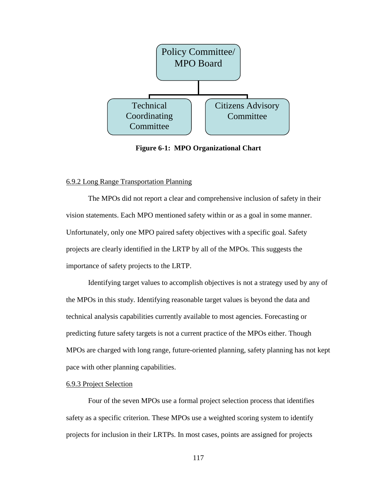

**Figure 6-1: MPO Organizational Chart** 

# 6.9.2 Long Range Transportation Planning

 The MPOs did not report a clear and comprehensive inclusion of safety in their vision statements. Each MPO mentioned safety within or as a goal in some manner. Unfortunately, only one MPO paired safety objectives with a specific goal. Safety projects are clearly identified in the LRTP by all of the MPOs. This suggests the importance of safety projects to the LRTP.

 Identifying target values to accomplish objectives is not a strategy used by any of the MPOs in this study. Identifying reasonable target values is beyond the data and technical analysis capabilities currently available to most agencies. Forecasting or predicting future safety targets is not a current practice of the MPOs either. Though MPOs are charged with long range, future-oriented planning, safety planning has not kept pace with other planning capabilities.

# 6.9.3 Project Selection

 Four of the seven MPOs use a formal project selection process that identifies safety as a specific criterion. These MPOs use a weighted scoring system to identify projects for inclusion in their LRTPs. In most cases, points are assigned for projects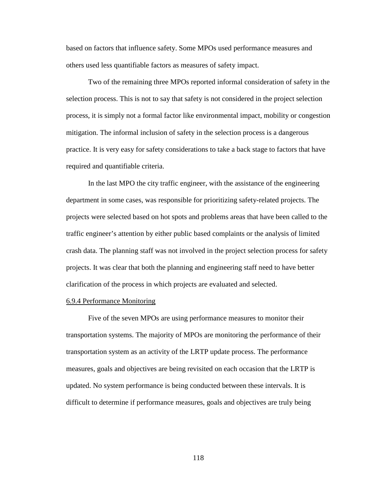based on factors that influence safety. Some MPOs used performance measures and others used less quantifiable factors as measures of safety impact.

 Two of the remaining three MPOs reported informal consideration of safety in the selection process. This is not to say that safety is not considered in the project selection process, it is simply not a formal factor like environmental impact, mobility or congestion mitigation. The informal inclusion of safety in the selection process is a dangerous practice. It is very easy for safety considerations to take a back stage to factors that have required and quantifiable criteria.

 In the last MPO the city traffic engineer, with the assistance of the engineering department in some cases, was responsible for prioritizing safety-related projects. The projects were selected based on hot spots and problems areas that have been called to the traffic engineer's attention by either public based complaints or the analysis of limited crash data. The planning staff was not involved in the project selection process for safety projects. It was clear that both the planning and engineering staff need to have better clarification of the process in which projects are evaluated and selected.

# 6.9.4 Performance Monitoring

 Five of the seven MPOs are using performance measures to monitor their transportation systems. The majority of MPOs are monitoring the performance of their transportation system as an activity of the LRTP update process. The performance measures, goals and objectives are being revisited on each occasion that the LRTP is updated. No system performance is being conducted between these intervals. It is difficult to determine if performance measures, goals and objectives are truly being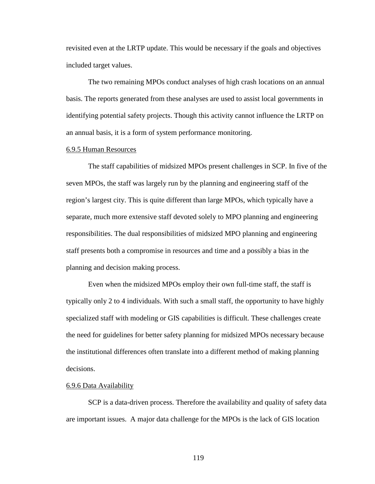revisited even at the LRTP update. This would be necessary if the goals and objectives included target values.

 The two remaining MPOs conduct analyses of high crash locations on an annual basis. The reports generated from these analyses are used to assist local governments in identifying potential safety projects. Though this activity cannot influence the LRTP on an annual basis, it is a form of system performance monitoring.

## 6.9.5 Human Resources

 The staff capabilities of midsized MPOs present challenges in SCP. In five of the seven MPOs, the staff was largely run by the planning and engineering staff of the region's largest city. This is quite different than large MPOs, which typically have a separate, much more extensive staff devoted solely to MPO planning and engineering responsibilities. The dual responsibilities of midsized MPO planning and engineering staff presents both a compromise in resources and time and a possibly a bias in the planning and decision making process.

Even when the midsized MPOs employ their own full-time staff, the staff is typically only 2 to 4 individuals. With such a small staff, the opportunity to have highly specialized staff with modeling or GIS capabilities is difficult. These challenges create the need for guidelines for better safety planning for midsized MPOs necessary because the institutional differences often translate into a different method of making planning decisions.

#### 6.9.6 Data Availability

 SCP is a data-driven process. Therefore the availability and quality of safety data are important issues. A major data challenge for the MPOs is the lack of GIS location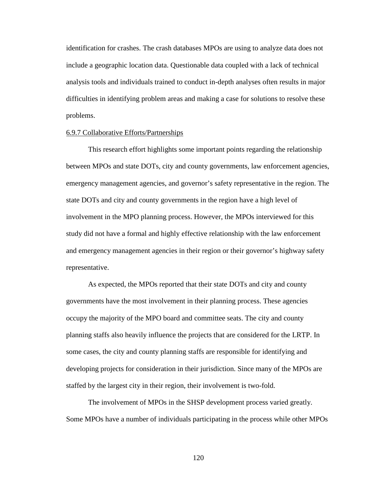identification for crashes. The crash databases MPOs are using to analyze data does not include a geographic location data. Questionable data coupled with a lack of technical analysis tools and individuals trained to conduct in-depth analyses often results in major difficulties in identifying problem areas and making a case for solutions to resolve these problems.

#### 6.9.7 Collaborative Efforts/Partnerships

 This research effort highlights some important points regarding the relationship between MPOs and state DOTs, city and county governments, law enforcement agencies, emergency management agencies, and governor's safety representative in the region. The state DOTs and city and county governments in the region have a high level of involvement in the MPO planning process. However, the MPOs interviewed for this study did not have a formal and highly effective relationship with the law enforcement and emergency management agencies in their region or their governor's highway safety representative.

As expected, the MPOs reported that their state DOTs and city and county governments have the most involvement in their planning process. These agencies occupy the majority of the MPO board and committee seats. The city and county planning staffs also heavily influence the projects that are considered for the LRTP. In some cases, the city and county planning staffs are responsible for identifying and developing projects for consideration in their jurisdiction. Since many of the MPOs are staffed by the largest city in their region, their involvement is two-fold.

The involvement of MPOs in the SHSP development process varied greatly. Some MPOs have a number of individuals participating in the process while other MPOs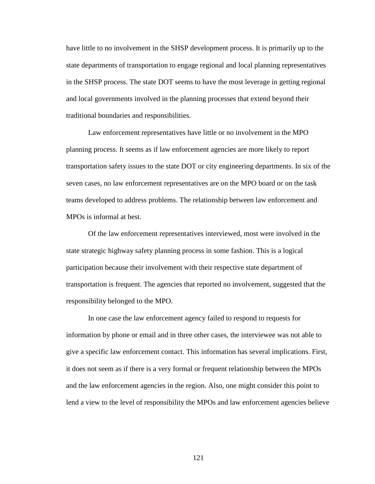have little to no involvement in the SHSP development process. It is primarily up to the state departments of transportation to engage regional and local planning representatives in the SHSP process. The state DOT seems to have the most leverage in getting regional and local governments involved in the planning processes that extend beyond their traditional boundaries and responsibilities.

Law enforcement representatives have little or no involvement in the MPO planning process. It seems as if law enforcement agencies are more likely to report transportation safety issues to the state DOT or city engineering departments. In six of the seven cases, no law enforcement representatives are on the MPO board or on the task teams developed to address problems. The relationship between law enforcement and MPOs is informal at best.

 Of the law enforcement representatives interviewed, most were involved in the state strategic highway safety planning process in some fashion. This is a logical participation because their involvement with their respective state department of transportation is frequent. The agencies that reported no involvement, suggested that the responsibility belonged to the MPO.

 In one case the law enforcement agency failed to respond to requests for information by phone or email and in three other cases, the interviewee was not able to give a specific law enforcement contact. This information has several implications. First, it does not seem as if there is a very formal or frequent relationship between the MPOs and the law enforcement agencies in the region. Also, one might consider this point to lend a view to the level of responsibility the MPOs and law enforcement agencies believe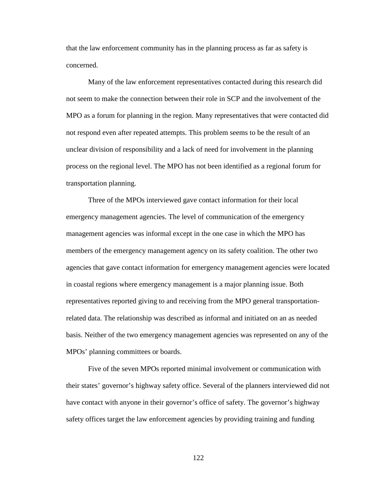that the law enforcement community has in the planning process as far as safety is concerned.

Many of the law enforcement representatives contacted during this research did not seem to make the connection between their role in SCP and the involvement of the MPO as a forum for planning in the region. Many representatives that were contacted did not respond even after repeated attempts. This problem seems to be the result of an unclear division of responsibility and a lack of need for involvement in the planning process on the regional level. The MPO has not been identified as a regional forum for transportation planning.

Three of the MPOs interviewed gave contact information for their local emergency management agencies. The level of communication of the emergency management agencies was informal except in the one case in which the MPO has members of the emergency management agency on its safety coalition. The other two agencies that gave contact information for emergency management agencies were located in coastal regions where emergency management is a major planning issue. Both representatives reported giving to and receiving from the MPO general transportationrelated data. The relationship was described as informal and initiated on an as needed basis. Neither of the two emergency management agencies was represented on any of the MPOs' planning committees or boards.

Five of the seven MPOs reported minimal involvement or communication with their states' governor's highway safety office. Several of the planners interviewed did not have contact with anyone in their governor's office of safety. The governor's highway safety offices target the law enforcement agencies by providing training and funding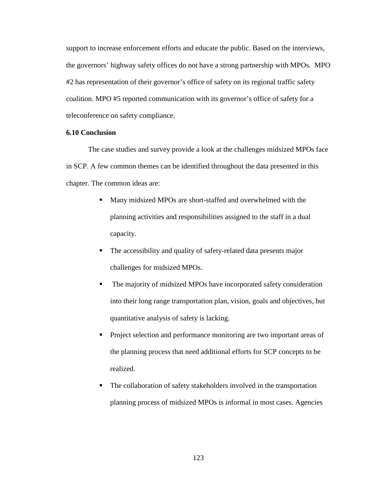support to increase enforcement efforts and educate the public. Based on the interviews, the governors' highway safety offices do not have a strong partnership with MPOs. MPO #2 has representation of their governor's office of safety on its regional traffic safety coalition. MPO #5 reported communication with its governor's office of safety for a teleconference on safety compliance.

# **6.10 Conclusion**

The case studies and survey provide a look at the challenges midsized MPOs face in SCP. A few common themes can be identified throughout the data presented in this chapter. The common ideas are:

- Many midsized MPOs are short-staffed and overwhelmed with the planning activities and responsibilities assigned to the staff in a dual capacity.
- The accessibility and quality of safety-related data presents major challenges for midsized MPOs.
- The majority of midsized MPOs have incorporated safety consideration into their long range transportation plan, vision, goals and objectives, but quantitative analysis of safety is lacking.
- **Project selection and performance monitoring are two important areas of** the planning process that need additional efforts for SCP concepts to be realized.
- The collaboration of safety stakeholders involved in the transportation planning process of midsized MPOs is informal in most cases. Agencies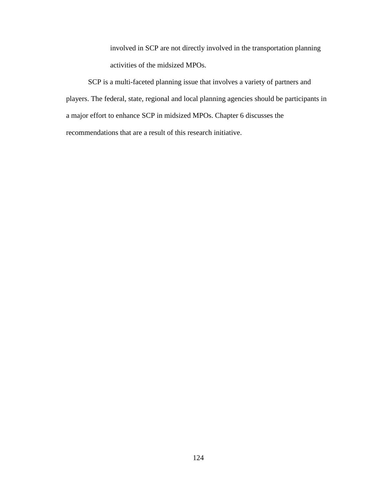involved in SCP are not directly involved in the transportation planning activities of the midsized MPOs.

SCP is a multi-faceted planning issue that involves a variety of partners and players. The federal, state, regional and local planning agencies should be participants in a major effort to enhance SCP in midsized MPOs. Chapter 6 discusses the recommendations that are a result of this research initiative.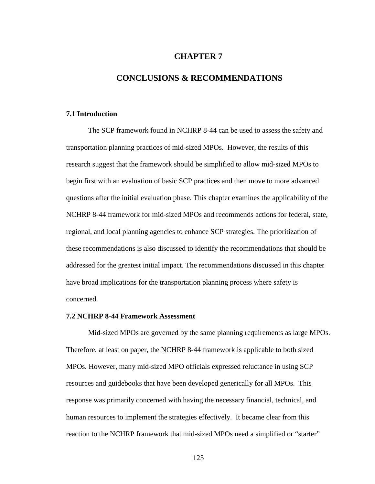# **CHAPTER 7**

# **CONCLUSIONS & RECOMMENDATIONS**

### **7.1 Introduction**

The SCP framework found in NCHRP 8-44 can be used to assess the safety and transportation planning practices of mid-sized MPOs. However, the results of this research suggest that the framework should be simplified to allow mid-sized MPOs to begin first with an evaluation of basic SCP practices and then move to more advanced questions after the initial evaluation phase. This chapter examines the applicability of the NCHRP 8-44 framework for mid-sized MPOs and recommends actions for federal, state, regional, and local planning agencies to enhance SCP strategies. The prioritization of these recommendations is also discussed to identify the recommendations that should be addressed for the greatest initial impact. The recommendations discussed in this chapter have broad implications for the transportation planning process where safety is concerned.

# **7.2 NCHRP 8-44 Framework Assessment**

Mid-sized MPOs are governed by the same planning requirements as large MPOs. Therefore, at least on paper, the NCHRP 8-44 framework is applicable to both sized MPOs. However, many mid-sized MPO officials expressed reluctance in using SCP resources and guidebooks that have been developed generically for all MPOs. This response was primarily concerned with having the necessary financial, technical, and human resources to implement the strategies effectively. It became clear from this reaction to the NCHRP framework that mid-sized MPOs need a simplified or "starter"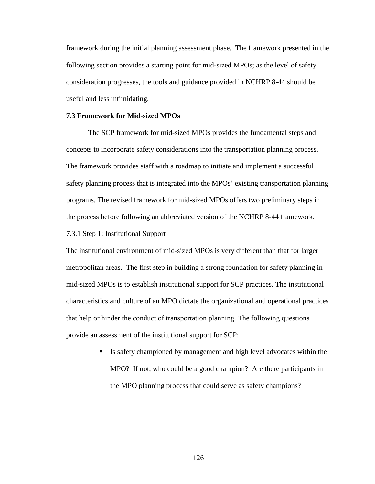framework during the initial planning assessment phase. The framework presented in the following section provides a starting point for mid-sized MPOs; as the level of safety consideration progresses, the tools and guidance provided in NCHRP 8-44 should be useful and less intimidating.

### **7.3 Framework for Mid-sized MPOs**

 The SCP framework for mid-sized MPOs provides the fundamental steps and concepts to incorporate safety considerations into the transportation planning process. The framework provides staff with a roadmap to initiate and implement a successful safety planning process that is integrated into the MPOs' existing transportation planning programs. The revised framework for mid-sized MPOs offers two preliminary steps in the process before following an abbreviated version of the NCHRP 8-44 framework.

# 7.3.1 Step 1: Institutional Support

The institutional environment of mid-sized MPOs is very different than that for larger metropolitan areas. The first step in building a strong foundation for safety planning in mid-sized MPOs is to establish institutional support for SCP practices. The institutional characteristics and culture of an MPO dictate the organizational and operational practices that help or hinder the conduct of transportation planning. The following questions provide an assessment of the institutional support for SCP:

> Is safety championed by management and high level advocates within the MPO? If not, who could be a good champion? Are there participants in the MPO planning process that could serve as safety champions?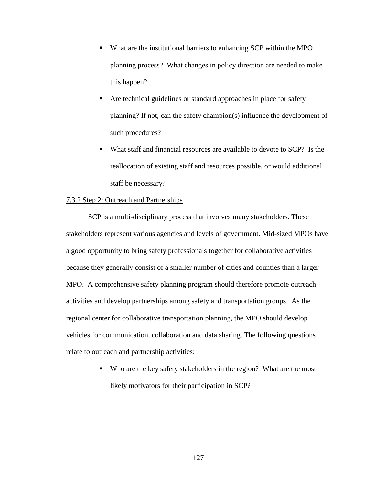- What are the institutional barriers to enhancing SCP within the MPO planning process? What changes in policy direction are needed to make this happen?
- Are technical guidelines or standard approaches in place for safety planning? If not, can the safety champion(s) influence the development of such procedures?
- What staff and financial resources are available to devote to SCP? Is the reallocation of existing staff and resources possible, or would additional staff be necessary?

# 7.3.2 Step 2: Outreach and Partnerships

SCP is a multi-disciplinary process that involves many stakeholders. These stakeholders represent various agencies and levels of government. Mid-sized MPOs have a good opportunity to bring safety professionals together for collaborative activities because they generally consist of a smaller number of cities and counties than a larger MPO. A comprehensive safety planning program should therefore promote outreach activities and develop partnerships among safety and transportation groups. As the regional center for collaborative transportation planning, the MPO should develop vehicles for communication, collaboration and data sharing. The following questions relate to outreach and partnership activities:

> Who are the key safety stakeholders in the region? What are the most likely motivators for their participation in SCP?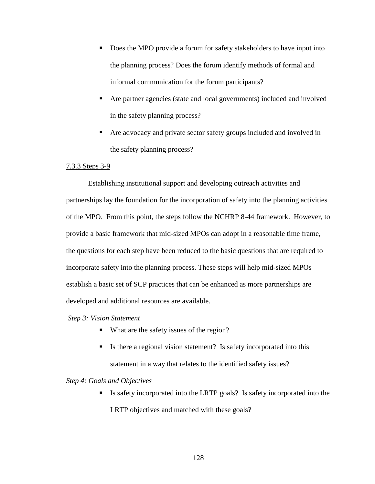- Does the MPO provide a forum for safety stakeholders to have input into the planning process? Does the forum identify methods of formal and informal communication for the forum participants?
- Are partner agencies (state and local governments) included and involved in the safety planning process?
- Are advocacy and private sector safety groups included and involved in the safety planning process?

# 7.3.3 Steps 3-9

Establishing institutional support and developing outreach activities and partnerships lay the foundation for the incorporation of safety into the planning activities of the MPO. From this point, the steps follow the NCHRP 8-44 framework. However, to provide a basic framework that mid-sized MPOs can adopt in a reasonable time frame, the questions for each step have been reduced to the basic questions that are required to incorporate safety into the planning process. These steps will help mid-sized MPOs establish a basic set of SCP practices that can be enhanced as more partnerships are developed and additional resources are available.

# *Step 3: Vision Statement*

- What are the safety issues of the region?
- If Is there a regional vision statement? Is safety incorporated into this statement in a way that relates to the identified safety issues?

# *Step 4: Goals and Objectives*

 Is safety incorporated into the LRTP goals? Is safety incorporated into the LRTP objectives and matched with these goals?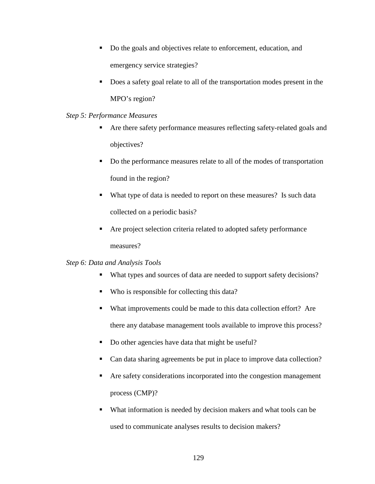- Do the goals and objectives relate to enforcement, education, and emergency service strategies?
- Does a safety goal relate to all of the transportation modes present in the MPO's region?

## *Step 5: Performance Measures*

- Are there safety performance measures reflecting safety-related goals and objectives?
- Do the performance measures relate to all of the modes of transportation found in the region?
- What type of data is needed to report on these measures? Is such data collected on a periodic basis?
- Are project selection criteria related to adopted safety performance measures?

# *Step 6: Data and Analysis Tools*

- What types and sources of data are needed to support safety decisions?
- Who is responsible for collecting this data?
- What improvements could be made to this data collection effort? Are there any database management tools available to improve this process?
- Do other agencies have data that might be useful?
- Can data sharing agreements be put in place to improve data collection?
- Are safety considerations incorporated into the congestion management process (CMP)?
- What information is needed by decision makers and what tools can be used to communicate analyses results to decision makers?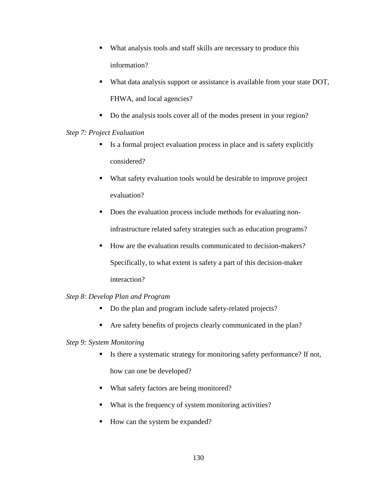- What analysis tools and staff skills are necessary to produce this information?
- What data analysis support or assistance is available from your state DOT, FHWA, and local agencies?
- Do the analysis tools cover all of the modes present in your region?

# *Step 7: Project Evaluation*

- $\blacksquare$  Is a formal project evaluation process in place and is safety explicitly considered?
- What safety evaluation tools would be desirable to improve project evaluation?
- Does the evaluation process include methods for evaluating noninfrastructure related safety strategies such as education programs?
- How are the evaluation results communicated to decision-makers? Specifically, to what extent is safety a part of this decision-maker interaction?

# *Step 8: Develop Plan and Program*

- Do the plan and program include safety-related projects?
- Are safety benefits of projects clearly communicated in the plan?

# *Step 9: System Monitoring*

- Is there a systematic strategy for monitoring safety performance? If not, how can one be developed?
- What safety factors are being monitored?
- What is the frequency of system monitoring activities?
- How can the system be expanded?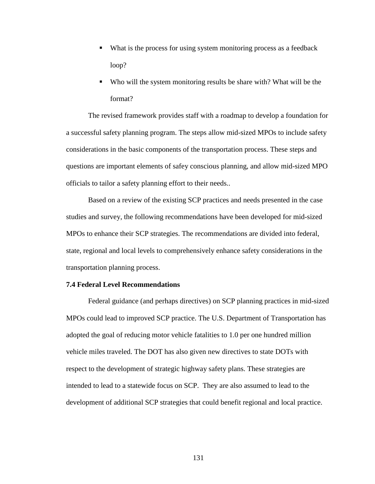- What is the process for using system monitoring process as a feedback loop?
- Who will the system monitoring results be share with? What will be the format?

The revised framework provides staff with a roadmap to develop a foundation for a successful safety planning program. The steps allow mid-sized MPOs to include safety considerations in the basic components of the transportation process. These steps and questions are important elements of safey conscious planning, and allow mid-sized MPO officials to tailor a safety planning effort to their needs..

Based on a review of the existing SCP practices and needs presented in the case studies and survey, the following recommendations have been developed for mid-sized MPOs to enhance their SCP strategies. The recommendations are divided into federal, state, regional and local levels to comprehensively enhance safety considerations in the transportation planning process.

### **7.4 Federal Level Recommendations**

 Federal guidance (and perhaps directives) on SCP planning practices in mid-sized MPOs could lead to improved SCP practice. The U.S. Department of Transportation has adopted the goal of reducing motor vehicle fatalities to 1.0 per one hundred million vehicle miles traveled. The DOT has also given new directives to state DOTs with respect to the development of strategic highway safety plans. These strategies are intended to lead to a statewide focus on SCP. They are also assumed to lead to the development of additional SCP strategies that could benefit regional and local practice.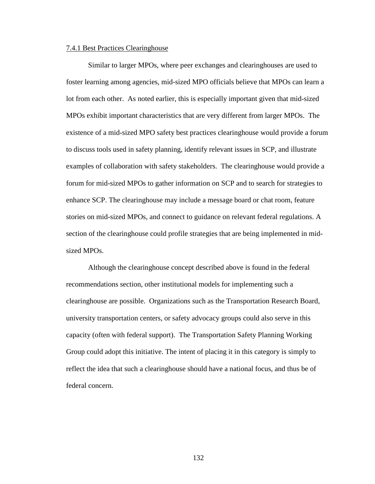#### 7.4.1 Best Practices Clearinghouse

Similar to larger MPOs, where peer exchanges and clearinghouses are used to foster learning among agencies, mid-sized MPO officials believe that MPOs can learn a lot from each other. As noted earlier, this is especially important given that mid-sized MPOs exhibit important characteristics that are very different from larger MPOs. The existence of a mid-sized MPO safety best practices clearinghouse would provide a forum to discuss tools used in safety planning, identify relevant issues in SCP, and illustrate examples of collaboration with safety stakeholders. The clearinghouse would provide a forum for mid-sized MPOs to gather information on SCP and to search for strategies to enhance SCP. The clearinghouse may include a message board or chat room, feature stories on mid-sized MPOs, and connect to guidance on relevant federal regulations. A section of the clearinghouse could profile strategies that are being implemented in midsized MPOs.

Although the clearinghouse concept described above is found in the federal recommendations section, other institutional models for implementing such a clearinghouse are possible. Organizations such as the Transportation Research Board, university transportation centers, or safety advocacy groups could also serve in this capacity (often with federal support). The Transportation Safety Planning Working Group could adopt this initiative. The intent of placing it in this category is simply to reflect the idea that such a clearinghouse should have a national focus, and thus be of federal concern.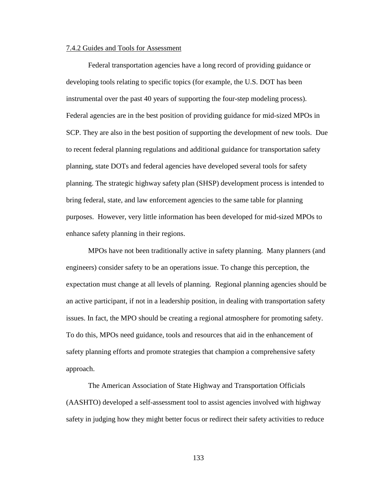#### 7.4.2 Guides and Tools for Assessment

Federal transportation agencies have a long record of providing guidance or developing tools relating to specific topics (for example, the U.S. DOT has been instrumental over the past 40 years of supporting the four-step modeling process). Federal agencies are in the best position of providing guidance for mid-sized MPOs in SCP. They are also in the best position of supporting the development of new tools. Due to recent federal planning regulations and additional guidance for transportation safety planning, state DOTs and federal agencies have developed several tools for safety planning. The strategic highway safety plan (SHSP) development process is intended to bring federal, state, and law enforcement agencies to the same table for planning purposes. However, very little information has been developed for mid-sized MPOs to enhance safety planning in their regions.

MPOs have not been traditionally active in safety planning. Many planners (and engineers) consider safety to be an operations issue. To change this perception, the expectation must change at all levels of planning. Regional planning agencies should be an active participant, if not in a leadership position, in dealing with transportation safety issues. In fact, the MPO should be creating a regional atmosphere for promoting safety. To do this, MPOs need guidance, tools and resources that aid in the enhancement of safety planning efforts and promote strategies that champion a comprehensive safety approach.

The American Association of State Highway and Transportation Officials (AASHTO) developed a self-assessment tool to assist agencies involved with highway safety in judging how they might better focus or redirect their safety activities to reduce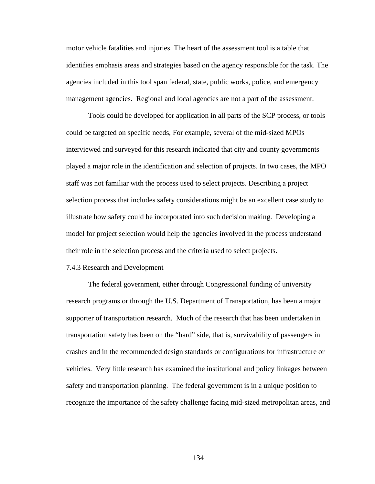motor vehicle fatalities and injuries. The heart of the assessment tool is a table that identifies emphasis areas and strategies based on the agency responsible for the task. The agencies included in this tool span federal, state, public works, police, and emergency management agencies. Regional and local agencies are not a part of the assessment.

Tools could be developed for application in all parts of the SCP process, or tools could be targeted on specific needs, For example, several of the mid-sized MPOs interviewed and surveyed for this research indicated that city and county governments played a major role in the identification and selection of projects. In two cases, the MPO staff was not familiar with the process used to select projects. Describing a project selection process that includes safety considerations might be an excellent case study to illustrate how safety could be incorporated into such decision making. Developing a model for project selection would help the agencies involved in the process understand their role in the selection process and the criteria used to select projects.

#### 7.4.3 Research and Development

The federal government, either through Congressional funding of university research programs or through the U.S. Department of Transportation, has been a major supporter of transportation research. Much of the research that has been undertaken in transportation safety has been on the "hard" side, that is, survivability of passengers in crashes and in the recommended design standards or configurations for infrastructure or vehicles. Very little research has examined the institutional and policy linkages between safety and transportation planning. The federal government is in a unique position to recognize the importance of the safety challenge facing mid-sized metropolitan areas, and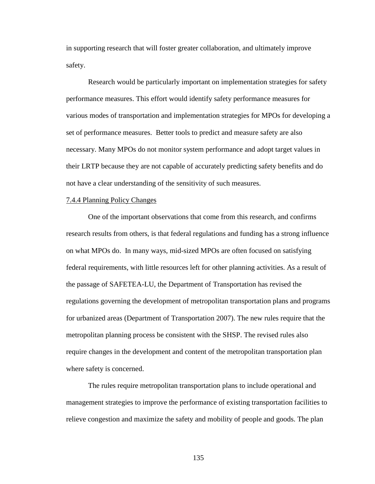in supporting research that will foster greater collaboration, and ultimately improve safety.

Research would be particularly important on implementation strategies for safety performance measures. This effort would identify safety performance measures for various modes of transportation and implementation strategies for MPOs for developing a set of performance measures. Better tools to predict and measure safety are also necessary. Many MPOs do not monitor system performance and adopt target values in their LRTP because they are not capable of accurately predicting safety benefits and do not have a clear understanding of the sensitivity of such measures.

#### 7.4.4 Planning Policy Changes

 One of the important observations that come from this research, and confirms research results from others, is that federal regulations and funding has a strong influence on what MPOs do. In many ways, mid-sized MPOs are often focused on satisfying federal requirements, with little resources left for other planning activities. As a result of the passage of SAFETEA-LU, the Department of Transportation has revised the regulations governing the development of metropolitan transportation plans and programs for urbanized areas (Department of Transportation 2007). The new rules require that the metropolitan planning process be consistent with the SHSP. The revised rules also require changes in the development and content of the metropolitan transportation plan where safety is concerned.

The rules require metropolitan transportation plans to include operational and management strategies to improve the performance of existing transportation facilities to relieve congestion and maximize the safety and mobility of people and goods. The plan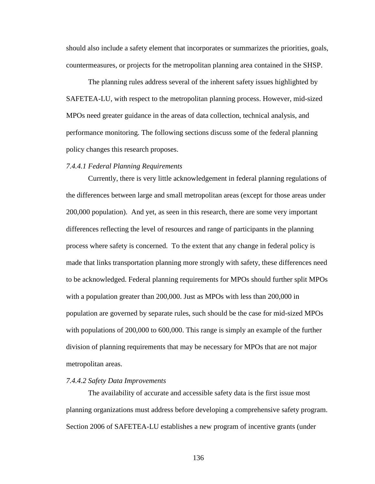should also include a safety element that incorporates or summarizes the priorities, goals, countermeasures, or projects for the metropolitan planning area contained in the SHSP.

The planning rules address several of the inherent safety issues highlighted by SAFETEA-LU, with respect to the metropolitan planning process. However, mid-sized MPOs need greater guidance in the areas of data collection, technical analysis, and performance monitoring. The following sections discuss some of the federal planning policy changes this research proposes.

#### *7.4.4.1 Federal Planning Requirements*

Currently, there is very little acknowledgement in federal planning regulations of the differences between large and small metropolitan areas (except for those areas under 200,000 population). And yet, as seen in this research, there are some very important differences reflecting the level of resources and range of participants in the planning process where safety is concerned. To the extent that any change in federal policy is made that links transportation planning more strongly with safety, these differences need to be acknowledged. Federal planning requirements for MPOs should further split MPOs with a population greater than 200,000. Just as MPOs with less than 200,000 in population are governed by separate rules, such should be the case for mid-sized MPOs with populations of 200,000 to 600,000. This range is simply an example of the further division of planning requirements that may be necessary for MPOs that are not major metropolitan areas.

### *7.4.4.2 Safety Data Improvements*

The availability of accurate and accessible safety data is the first issue most planning organizations must address before developing a comprehensive safety program. Section 2006 of SAFETEA-LU establishes a new program of incentive grants (under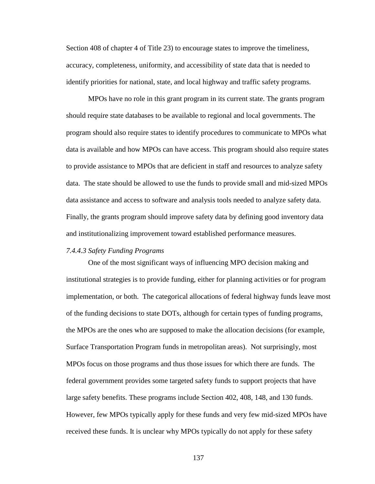Section 408 of chapter 4 of Title 23) to encourage states to improve the timeliness, accuracy, completeness, uniformity, and accessibility of state data that is needed to identify priorities for national, state, and local highway and traffic safety programs.

MPOs have no role in this grant program in its current state. The grants program should require state databases to be available to regional and local governments. The program should also require states to identify procedures to communicate to MPOs what data is available and how MPOs can have access. This program should also require states to provide assistance to MPOs that are deficient in staff and resources to analyze safety data. The state should be allowed to use the funds to provide small and mid-sized MPOs data assistance and access to software and analysis tools needed to analyze safety data. Finally, the grants program should improve safety data by defining good inventory data and institutionalizing improvement toward established performance measures.

### *7.4.4.3 Safety Funding Programs*

 One of the most significant ways of influencing MPO decision making and institutional strategies is to provide funding, either for planning activities or for program implementation, or both. The categorical allocations of federal highway funds leave most of the funding decisions to state DOTs, although for certain types of funding programs, the MPOs are the ones who are supposed to make the allocation decisions (for example, Surface Transportation Program funds in metropolitan areas). Not surprisingly, most MPOs focus on those programs and thus those issues for which there are funds. The federal government provides some targeted safety funds to support projects that have large safety benefits. These programs include Section 402, 408, 148, and 130 funds. However, few MPOs typically apply for these funds and very few mid-sized MPOs have received these funds. It is unclear why MPOs typically do not apply for these safety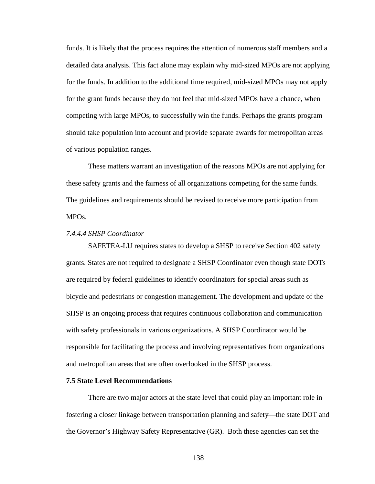funds. It is likely that the process requires the attention of numerous staff members and a detailed data analysis. This fact alone may explain why mid-sized MPOs are not applying for the funds. In addition to the additional time required, mid-sized MPOs may not apply for the grant funds because they do not feel that mid-sized MPOs have a chance, when competing with large MPOs, to successfully win the funds. Perhaps the grants program should take population into account and provide separate awards for metropolitan areas of various population ranges.

These matters warrant an investigation of the reasons MPOs are not applying for these safety grants and the fairness of all organizations competing for the same funds. The guidelines and requirements should be revised to receive more participation from MPOs.

## *7.4.4.4 SHSP Coordinator*

SAFETEA-LU requires states to develop a SHSP to receive Section 402 safety grants. States are not required to designate a SHSP Coordinator even though state DOTs are required by federal guidelines to identify coordinators for special areas such as bicycle and pedestrians or congestion management. The development and update of the SHSP is an ongoing process that requires continuous collaboration and communication with safety professionals in various organizations. A SHSP Coordinator would be responsible for facilitating the process and involving representatives from organizations and metropolitan areas that are often overlooked in the SHSP process.

### **7.5 State Level Recommendations**

There are two major actors at the state level that could play an important role in fostering a closer linkage between transportation planning and safety—the state DOT and the Governor's Highway Safety Representative (GR). Both these agencies can set the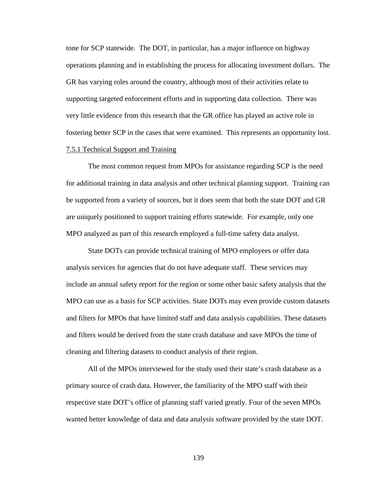tone for SCP statewide. The DOT, in particular, has a major influence on highway operations planning and in establishing the process for allocating investment dollars. The GR has varying roles around the country, although most of their activities relate to supporting targeted enforcement efforts and in supporting data collection. There was very little evidence from this research that the GR office has played an active role in fostering better SCP in the cases that were examined. This represents an opportunity lost.

### 7.5.1 Technical Support and Training

 The most common request from MPOs for assistance regarding SCP is the need for additional training in data analysis and other technical planning support. Training can be supported from a variety of sources, but it does seem that both the state DOT and GR are uniquely positioned to support training efforts statewide. For example, only one MPO analyzed as part of this research employed a full-time safety data analyst.

 State DOTs can provide technical training of MPO employees or offer data analysis services for agencies that do not have adequate staff. These services may include an annual safety report for the region or some other basic safety analysis that the MPO can use as a basis for SCP activities. State DOTs may even provide custom datasets and filters for MPOs that have limited staff and data analysis capabilities. These datasets and filters would be derived from the state crash database and save MPOs the time of cleaning and filtering datasets to conduct analysis of their region.

 All of the MPOs interviewed for the study used their state's crash database as a primary source of crash data. However, the familiarity of the MPO staff with their respective state DOT's office of planning staff varied greatly. Four of the seven MPOs wanted better knowledge of data and data analysis software provided by the state DOT.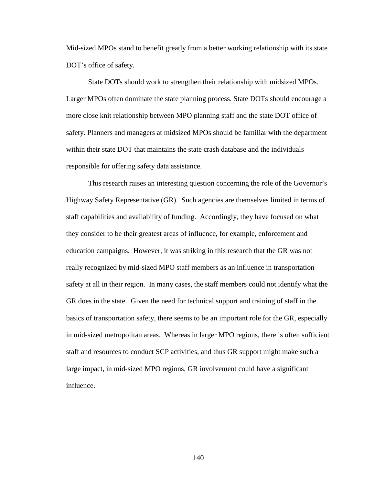Mid-sized MPOs stand to benefit greatly from a better working relationship with its state DOT's office of safety.

 State DOTs should work to strengthen their relationship with midsized MPOs. Larger MPOs often dominate the state planning process. State DOTs should encourage a more close knit relationship between MPO planning staff and the state DOT office of safety. Planners and managers at midsized MPOs should be familiar with the department within their state DOT that maintains the state crash database and the individuals responsible for offering safety data assistance.

This research raises an interesting question concerning the role of the Governor's Highway Safety Representative (GR). Such agencies are themselves limited in terms of staff capabilities and availability of funding. Accordingly, they have focused on what they consider to be their greatest areas of influence, for example, enforcement and education campaigns. However, it was striking in this research that the GR was not really recognized by mid-sized MPO staff members as an influence in transportation safety at all in their region. In many cases, the staff members could not identify what the GR does in the state. Given the need for technical support and training of staff in the basics of transportation safety, there seems to be an important role for the GR, especially in mid-sized metropolitan areas. Whereas in larger MPO regions, there is often sufficient staff and resources to conduct SCP activities, and thus GR support might make such a large impact, in mid-sized MPO regions, GR involvement could have a significant influence.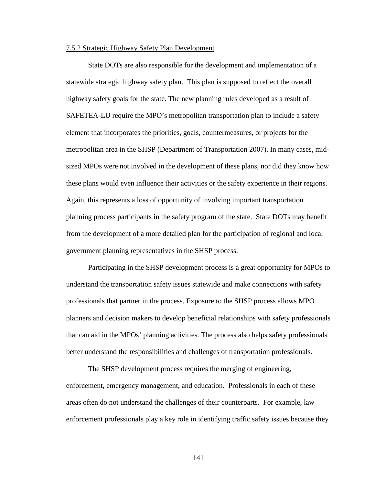#### 7.5.2 Strategic Highway Safety Plan Development

State DOTs are also responsible for the development and implementation of a statewide strategic highway safety plan. This plan is supposed to reflect the overall highway safety goals for the state. The new planning rules developed as a result of SAFETEA-LU require the MPO's metropolitan transportation plan to include a safety element that incorporates the priorities, goals, countermeasures, or projects for the metropolitan area in the SHSP (Department of Transportation 2007). In many cases, midsized MPOs were not involved in the development of these plans, nor did they know how these plans would even influence their activities or the safety experience in their regions. Again, this represents a loss of opportunity of involving important transportation planning process participants in the safety program of the state. State DOTs may benefit from the development of a more detailed plan for the participation of regional and local government planning representatives in the SHSP process.

Participating in the SHSP development process is a great opportunity for MPOs to understand the transportation safety issues statewide and make connections with safety professionals that partner in the process. Exposure to the SHSP process allows MPO planners and decision makers to develop beneficial relationships with safety professionals that can aid in the MPOs' planning activities. The process also helps safety professionals better understand the responsibilities and challenges of transportation professionals.

The SHSP development process requires the merging of engineering, enforcement, emergency management, and education. Professionals in each of these areas often do not understand the challenges of their counterparts. For example, law enforcement professionals play a key role in identifying traffic safety issues because they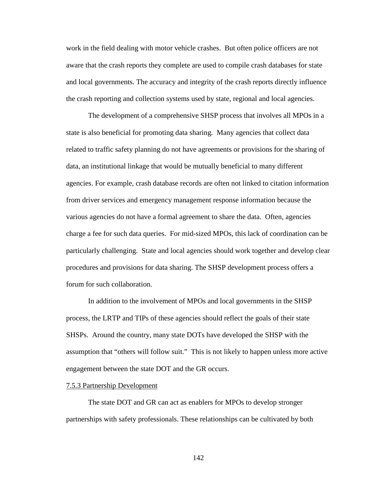work in the field dealing with motor vehicle crashes. But often police officers are not aware that the crash reports they complete are used to compile crash databases for state and local governments. The accuracy and integrity of the crash reports directly influence the crash reporting and collection systems used by state, regional and local agencies.

The development of a comprehensive SHSP process that involves all MPOs in a state is also beneficial for promoting data sharing. Many agencies that collect data related to traffic safety planning do not have agreements or provisions for the sharing of data, an institutional linkage that would be mutually beneficial to many different agencies. For example, crash database records are often not linked to citation information from driver services and emergency management response information because the various agencies do not have a formal agreement to share the data. Often, agencies charge a fee for such data queries. For mid-sized MPOs, this lack of coordination can be particularly challenging. State and local agencies should work together and develop clear procedures and provisions for data sharing. The SHSP development process offers a forum for such collaboration.

 In addition to the involvement of MPOs and local governments in the SHSP process, the LRTP and TIPs of these agencies should reflect the goals of their state SHSPs. Around the country, many state DOTs have developed the SHSP with the assumption that "others will follow suit." This is not likely to happen unless more active engagement between the state DOT and the GR occurs.

#### 7.5.3 Partnership Development

 The state DOT and GR can act as enablers for MPOs to develop stronger partnerships with safety professionals. These relationships can be cultivated by both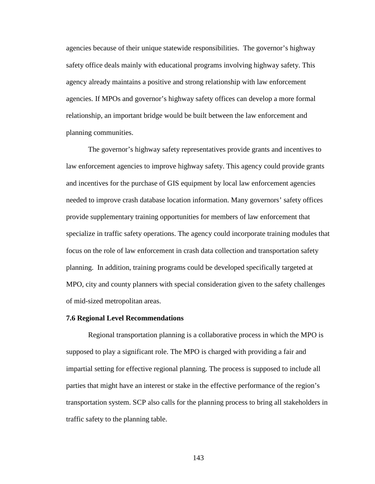agencies because of their unique statewide responsibilities. The governor's highway safety office deals mainly with educational programs involving highway safety. This agency already maintains a positive and strong relationship with law enforcement agencies. If MPOs and governor's highway safety offices can develop a more formal relationship, an important bridge would be built between the law enforcement and planning communities.

 The governor's highway safety representatives provide grants and incentives to law enforcement agencies to improve highway safety. This agency could provide grants and incentives for the purchase of GIS equipment by local law enforcement agencies needed to improve crash database location information. Many governors' safety offices provide supplementary training opportunities for members of law enforcement that specialize in traffic safety operations. The agency could incorporate training modules that focus on the role of law enforcement in crash data collection and transportation safety planning. In addition, training programs could be developed specifically targeted at MPO, city and county planners with special consideration given to the safety challenges of mid-sized metropolitan areas.

#### **7.6 Regional Level Recommendations**

Regional transportation planning is a collaborative process in which the MPO is supposed to play a significant role. The MPO is charged with providing a fair and impartial setting for effective regional planning. The process is supposed to include all parties that might have an interest or stake in the effective performance of the region's transportation system. SCP also calls for the planning process to bring all stakeholders in traffic safety to the planning table.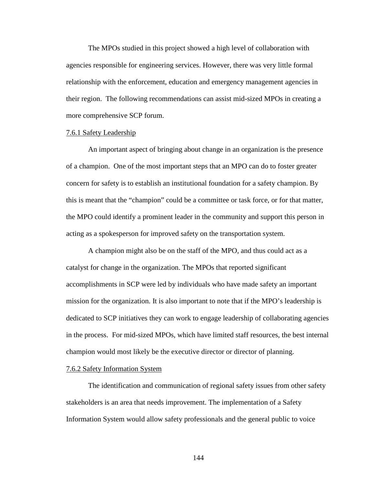The MPOs studied in this project showed a high level of collaboration with agencies responsible for engineering services. However, there was very little formal relationship with the enforcement, education and emergency management agencies in their region. The following recommendations can assist mid-sized MPOs in creating a more comprehensive SCP forum.

#### 7.6.1 Safety Leadership

 An important aspect of bringing about change in an organization is the presence of a champion. One of the most important steps that an MPO can do to foster greater concern for safety is to establish an institutional foundation for a safety champion. By this is meant that the "champion" could be a committee or task force, or for that matter, the MPO could identify a prominent leader in the community and support this person in acting as a spokesperson for improved safety on the transportation system.

A champion might also be on the staff of the MPO, and thus could act as a catalyst for change in the organization. The MPOs that reported significant accomplishments in SCP were led by individuals who have made safety an important mission for the organization. It is also important to note that if the MPO's leadership is dedicated to SCP initiatives they can work to engage leadership of collaborating agencies in the process. For mid-sized MPOs, which have limited staff resources, the best internal champion would most likely be the executive director or director of planning.

#### 7.6.2 Safety Information System

The identification and communication of regional safety issues from other safety stakeholders is an area that needs improvement. The implementation of a Safety Information System would allow safety professionals and the general public to voice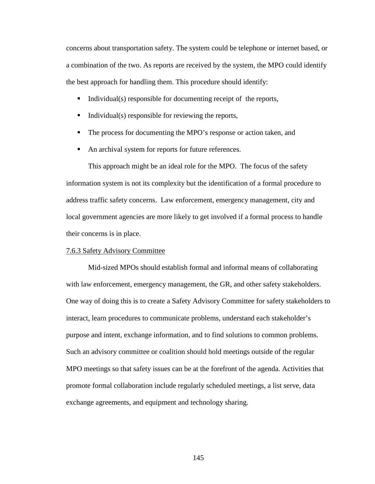concerns about transportation safety. The system could be telephone or internet based, or a combination of the two. As reports are received by the system, the MPO could identify the best approach for handling them. This procedure should identify:

- Individual(s) responsible for documenting receipt of the reports,
- $\blacksquare$  Individual(s) responsible for reviewing the reports,
- The process for documenting the MPO's response or action taken, and
- An archival system for reports for future references.

This approach might be an ideal role for the MPO. The focus of the safety information system is not its complexity but the identification of a formal procedure to address traffic safety concerns. Law enforcement, emergency management, city and local government agencies are more likely to get involved if a formal process to handle their concerns is in place.

## 7.6.3 Safety Advisory Committee

Mid-sized MPOs should establish formal and informal means of collaborating with law enforcement, emergency management, the GR, and other safety stakeholders. One way of doing this is to create a Safety Advisory Committee for safety stakeholders to interact, learn procedures to communicate problems, understand each stakeholder's purpose and intent, exchange information, and to find solutions to common problems. Such an advisory committee or coalition should hold meetings outside of the regular MPO meetings so that safety issues can be at the forefront of the agenda. Activities that promote formal collaboration include regularly scheduled meetings, a list serve, data exchange agreements, and equipment and technology sharing.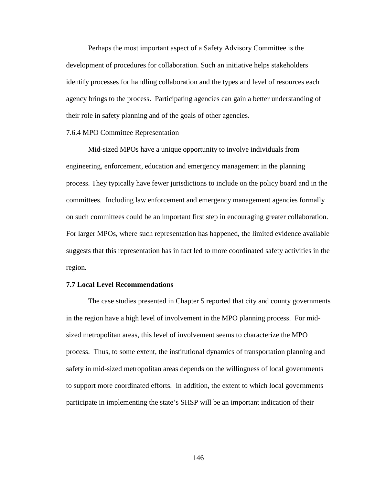Perhaps the most important aspect of a Safety Advisory Committee is the development of procedures for collaboration. Such an initiative helps stakeholders identify processes for handling collaboration and the types and level of resources each agency brings to the process. Participating agencies can gain a better understanding of their role in safety planning and of the goals of other agencies.

#### 7.6.4 MPO Committee Representation

 Mid-sized MPOs have a unique opportunity to involve individuals from engineering, enforcement, education and emergency management in the planning process. They typically have fewer jurisdictions to include on the policy board and in the committees. Including law enforcement and emergency management agencies formally on such committees could be an important first step in encouraging greater collaboration. For larger MPOs, where such representation has happened, the limited evidence available suggests that this representation has in fact led to more coordinated safety activities in the region.

### **7.7 Local Level Recommendations**

 The case studies presented in Chapter 5 reported that city and county governments in the region have a high level of involvement in the MPO planning process. For midsized metropolitan areas, this level of involvement seems to characterize the MPO process. Thus, to some extent, the institutional dynamics of transportation planning and safety in mid-sized metropolitan areas depends on the willingness of local governments to support more coordinated efforts. In addition, the extent to which local governments participate in implementing the state's SHSP will be an important indication of their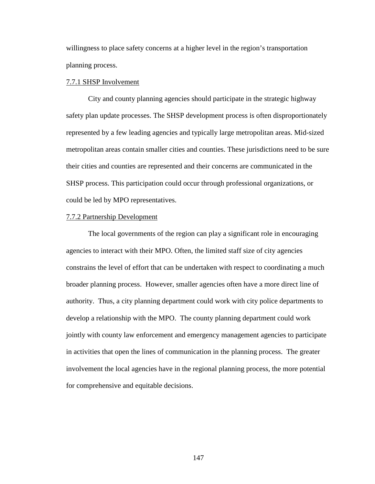willingness to place safety concerns at a higher level in the region's transportation planning process.

### 7.7.1 SHSP Involvement

 City and county planning agencies should participate in the strategic highway safety plan update processes. The SHSP development process is often disproportionately represented by a few leading agencies and typically large metropolitan areas. Mid-sized metropolitan areas contain smaller cities and counties. These jurisdictions need to be sure their cities and counties are represented and their concerns are communicated in the SHSP process. This participation could occur through professional organizations, or could be led by MPO representatives.

### 7.7.2 Partnership Development

 The local governments of the region can play a significant role in encouraging agencies to interact with their MPO. Often, the limited staff size of city agencies constrains the level of effort that can be undertaken with respect to coordinating a much broader planning process. However, smaller agencies often have a more direct line of authority. Thus, a city planning department could work with city police departments to develop a relationship with the MPO. The county planning department could work jointly with county law enforcement and emergency management agencies to participate in activities that open the lines of communication in the planning process. The greater involvement the local agencies have in the regional planning process, the more potential for comprehensive and equitable decisions.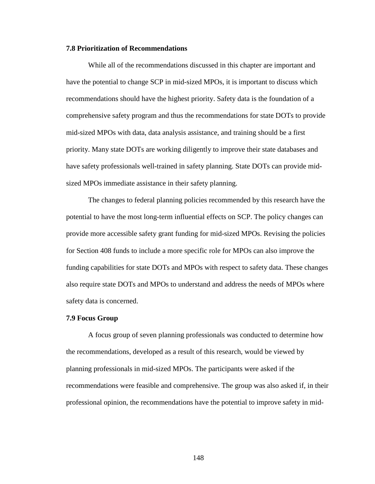### **7.8 Prioritization of Recommendations**

While all of the recommendations discussed in this chapter are important and have the potential to change SCP in mid-sized MPOs, it is important to discuss which recommendations should have the highest priority. Safety data is the foundation of a comprehensive safety program and thus the recommendations for state DOTs to provide mid-sized MPOs with data, data analysis assistance, and training should be a first priority. Many state DOTs are working diligently to improve their state databases and have safety professionals well-trained in safety planning. State DOTs can provide midsized MPOs immediate assistance in their safety planning.

The changes to federal planning policies recommended by this research have the potential to have the most long-term influential effects on SCP. The policy changes can provide more accessible safety grant funding for mid-sized MPOs. Revising the policies for Section 408 funds to include a more specific role for MPOs can also improve the funding capabilities for state DOTs and MPOs with respect to safety data. These changes also require state DOTs and MPOs to understand and address the needs of MPOs where safety data is concerned.

### **7.9 Focus Group**

A focus group of seven planning professionals was conducted to determine how the recommendations, developed as a result of this research, would be viewed by planning professionals in mid-sized MPOs. The participants were asked if the recommendations were feasible and comprehensive. The group was also asked if, in their professional opinion, the recommendations have the potential to improve safety in mid-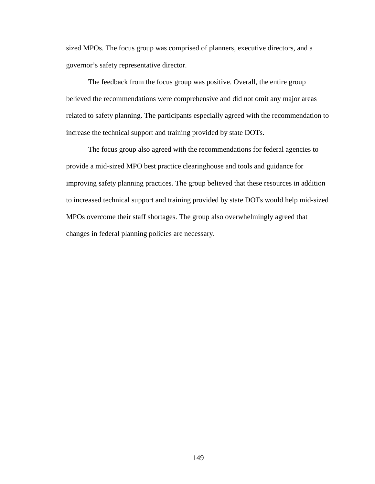sized MPOs. The focus group was comprised of planners, executive directors, and a governor's safety representative director.

The feedback from the focus group was positive. Overall, the entire group believed the recommendations were comprehensive and did not omit any major areas related to safety planning. The participants especially agreed with the recommendation to increase the technical support and training provided by state DOTs.

The focus group also agreed with the recommendations for federal agencies to provide a mid-sized MPO best practice clearinghouse and tools and guidance for improving safety planning practices. The group believed that these resources in addition to increased technical support and training provided by state DOTs would help mid-sized MPOs overcome their staff shortages. The group also overwhelmingly agreed that changes in federal planning policies are necessary.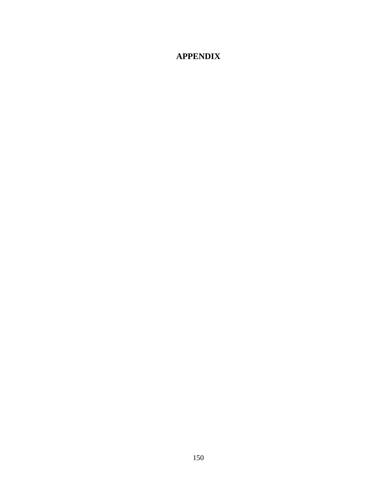# **APPENDIX**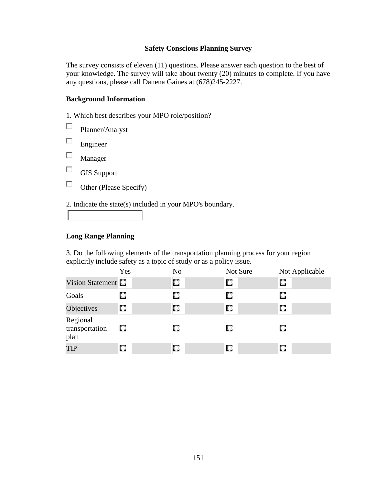## **Safety Conscious Planning Survey**

The survey consists of eleven (11) questions. Please answer each question to the best of your knowledge. The survey will take about twenty (20) minutes to complete. If you have any questions, please call Danena Gaines at (678)245-2227.

## **Background Information**

1. Which best describes your MPO role/position?

 $\Box$ Planner/Analyst

 $\Box$ Engineer

 $\Box$ Manager

 $\Box$ GIS Support

 $\Box$ Other (Please Specify)

2. Indicate the state(s) included in your MPO's boundary.

## **Long Range Planning**

3. Do the following elements of the transportation planning process for your region explicitly include safety as a topic of study or as a policy issue.

|                                    | Yes | N <sub>o</sub> | Not Sure | Not Applicable |
|------------------------------------|-----|----------------|----------|----------------|
| Vision Statement $\square$         |     | О              | О        | О              |
| Goals                              | О   |                | О        | О              |
| Objectives                         | О   | О              | О        | О              |
| Regional<br>transportation<br>plan | O   | О              | О        | О              |
| <b>TIP</b>                         | О   |                | О        | О              |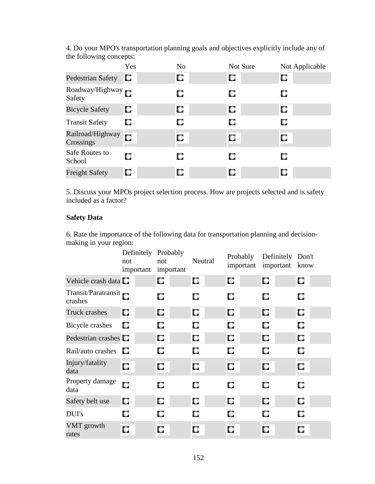4. Do your MPO's transportation planning goals and objectives explicitly include any of the following concepts:

|                               | Yes | N <sub>o</sub> | Not Sure | Not Applicable |
|-------------------------------|-----|----------------|----------|----------------|
| <b>Pedestrian Safety</b>      | O   | О              | О        | О              |
| Roadway/Highway<br>Safety     |     | О              | О        |                |
| <b>Bicycle Safety</b>         | O   | O              | О        | О              |
| <b>Transit Safety</b>         | O   | О              |          |                |
| Railroad/Highway<br>Crossings | O   | О              | О        | О              |
| Safe Routes to<br>School      | О   | О              | О        | О              |
| <b>Freight Safety</b>         | О   | О              | О        | О              |

5. Discuss your MPOs project selection process. How are projects selected and is safety included as a factor?

# **Safety Data**

6. Rate the importance of the following data for transportation planning and decisionmaking in your region:

|                                | Definitely Probably<br>not<br>important | not<br>important | Neutral | Probably<br>important | Definitely Don't<br>important know |   |
|--------------------------------|-----------------------------------------|------------------|---------|-----------------------|------------------------------------|---|
| Vehicle crash data             |                                         | О                | О       | О                     | О                                  | О |
| Transit/Paratransit<br>crashes |                                         | О                | О       | О                     | O                                  | О |
| <b>Truck crashes</b>           | О                                       | О                | О       | О                     | О                                  | О |
| Bicycle crashes                | О                                       | О                | О       | О                     | О                                  | О |
| Pedestrian crashes $\square$   |                                         | О                | О       | О                     | О                                  | О |
| Rail/auto crashes              | D.                                      | О                | О       | О                     | О                                  | О |
| Injury/fatality<br>data        | О                                       | О                | О       | О                     | О                                  | О |
| Property damage<br>data        | О                                       | О                | О       | О                     | О                                  | О |
| Safety belt use                | О                                       | О                | О       | О                     | О                                  | О |
| <b>DUI's</b>                   | О                                       | О                | О       | О                     | о                                  | О |
| VMT growth<br>rates            | О                                       | О                | О       | О                     | О                                  | О |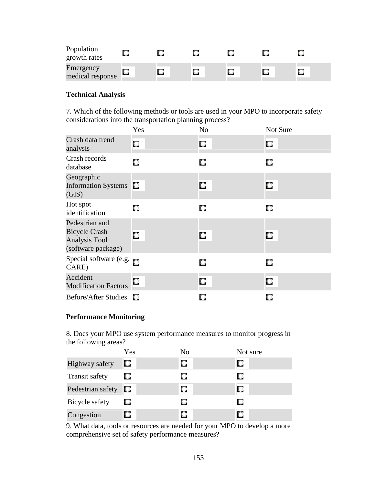| Population<br>growth rates    |  |   |  |  |
|-------------------------------|--|---|--|--|
| Emergency<br>medical response |  | О |  |  |

# **Technical Analysis**

7. Which of the following methods or tools are used in your MPO to incorporate safety considerations into the transportation planning process?

|                                                                                      | Yes | N <sub>o</sub> | Not Sure |
|--------------------------------------------------------------------------------------|-----|----------------|----------|
| Crash data trend<br>analysis                                                         | О   | О              | О        |
| Crash records<br>database                                                            | О   | О              | О        |
| Geographic<br><b>Information Systems</b><br>(GIS)                                    | O   | О              | О        |
| Hot spot<br>identification                                                           | О   | О              | О        |
| Pedestrian and<br><b>Bicycle Crash</b><br><b>Analysis Tool</b><br>(software package) | О   | О              | О        |
| Special software (e.g.<br>CARE)                                                      |     | О              | O        |
| Accident<br><b>Modification Factors</b>                                              | О   | О              | О        |
| Before/After Studies $\Box$                                                          |     | о              | О        |

# **Performance Monitoring**

8. Does your MPO use system performance measures to monitor progress in the following areas?

|                       | Yes | No | Not sure |
|-----------------------|-----|----|----------|
| Highway safety        | О   | О  | О        |
| <b>Transit safety</b> | Ω   | О  | О        |
| Pedestrian safety     | О   | О  | О        |
| Bicycle safety        | О   | О  | О        |
| Congestion            | О   | О  | О        |

9. What data, tools or resources are needed for your MPO to develop a more comprehensive set of safety performance measures?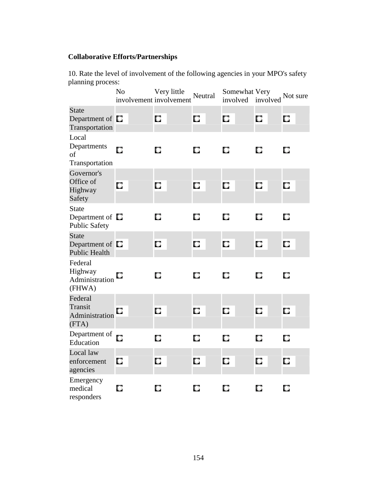# **Collaborative Efforts/Partnerships**

10. Rate the level of involvement of the following agencies in your MPO's safety planning process:

|                                                              | N <sub>o</sub> | Very little<br>involvement involvement | Neutral | Somewhat Very<br>involved | involved | Not sure |
|--------------------------------------------------------------|----------------|----------------------------------------|---------|---------------------------|----------|----------|
| <b>State</b><br>Department of <b>C</b><br>Transportation     |                | О                                      | О       | О                         | О        | О        |
| Local<br>Departments<br>of<br>Transportation                 | О              | О                                      | O       | О                         | О        | О        |
| Governor's<br>Office of<br>Highway<br>Safety                 | O              | О                                      | О       | О                         | О        | О        |
| <b>State</b><br>Department of $\Box$<br>Public Safety        |                | О                                      | О       | О                         | О        | О        |
| <b>State</b><br>Department of $\Box$<br><b>Public Health</b> |                | О                                      | О       | О                         | О        | O        |
| Federal<br>Highway<br>Administration<br>(FHWA)               | O              | О                                      | О       | О                         | О        | О        |
| Federal<br>Transit<br>Administration<br>(FTA)                | О              | О                                      | О       | О                         | О        | О        |
| Department of<br>Education                                   | О              | О                                      | О       | О                         | О        | О        |
| Local law<br>enforcement<br>agencies                         | О              | О                                      | О       | О                         | О        | О        |
| Emergency<br>medical<br>responders                           | О              | О                                      | О       | О                         | О        | О        |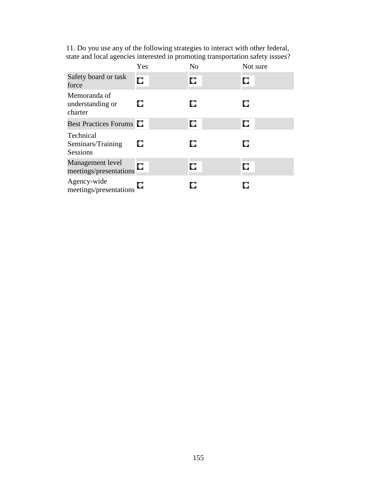| 11. Do you use any of the following strategies to interact with other federal, |  |
|--------------------------------------------------------------------------------|--|
| state and local agencies interested in promoting transportation safety issues? |  |

|                                                   | Yes | N <sub>0</sub> | Not sure |
|---------------------------------------------------|-----|----------------|----------|
| Safety board or task<br>force                     | O   | О              | О        |
| Memoranda of<br>understanding or<br>charter       | O   | О              | o        |
| <b>Best Practices Forums C</b>                    |     | О              | О        |
| Technical<br>Seminars/Training<br><b>Sessions</b> | О   | о              | О        |
| Management level<br>meetings/presentations        | О   | О              | О        |
| Agency-wide<br>meetings/presentations             | u   |                |          |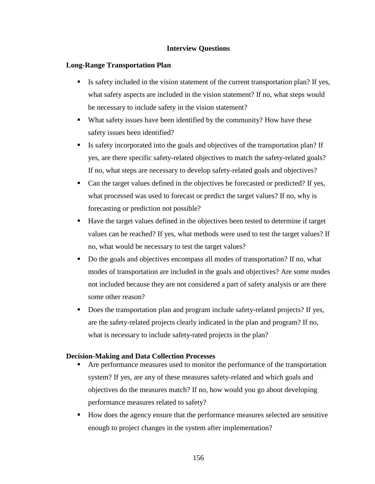## **Interview Questions**

## **Long-Range Transportation Plan**

- Is safety included in the vision statement of the current transportation plan? If yes, what safety aspects are included in the vision statement? If no, what steps would be necessary to include safety in the vision statement?
- What safety issues have been identified by the community? How have these safety issues been identified?
- Is safety incorporated into the goals and objectives of the transportation plan? If yes, are there specific safety-related objectives to match the safety-related goals? If no, what steps are necessary to develop safety-related goals and objectives?
- Can the target values defined in the objectives be forecasted or predicted? If yes, what processed was used to forecast or predict the target values? If no, why is forecasting or prediction not possible?
- Have the target values defined in the objectives been tested to determine if target values can be reached? If yes, what methods were used to test the target values? If no, what would be necessary to test the target values?
- Do the goals and objectives encompass all modes of transportation? If no, what modes of transportation are included in the goals and objectives? Are some modes not included because they are not considered a part of safety analysis or are there some other reason?
- Does the transportation plan and program include safety-related projects? If yes, are the safety-related projects clearly indicated in the plan and program? If no, what is necessary to include safety-rated projects in the plan?

### **Decision-Making and Data Collection Processes**

- Are performance measures used to monitor the performance of the transportation system? If yes, are any of these measures safety-related and which goals and objectives do the measures match? If no, how would you go about developing performance measures related to safety?
- How does the agency ensure that the performance measures selected are sensitive enough to project changes in the system after implementation?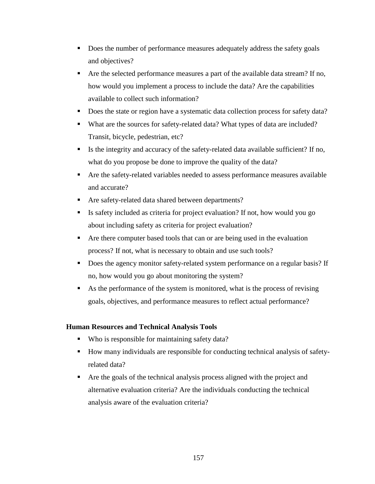- Does the number of performance measures adequately address the safety goals and objectives?
- Are the selected performance measures a part of the available data stream? If no, how would you implement a process to include the data? Are the capabilities available to collect such information?
- Does the state or region have a systematic data collection process for safety data?
- What are the sources for safety-related data? What types of data are included? Transit, bicycle, pedestrian, etc?
- Is the integrity and accuracy of the safety-related data available sufficient? If no, what do you propose be done to improve the quality of the data?
- Are the safety-related variables needed to assess performance measures available and accurate?
- Are safety-related data shared between departments?
- Is safety included as criteria for project evaluation? If not, how would you go about including safety as criteria for project evaluation?
- Are there computer based tools that can or are being used in the evaluation process? If not, what is necessary to obtain and use such tools?
- Does the agency monitor safety-related system performance on a regular basis? If no, how would you go about monitoring the system?
- As the performance of the system is monitored, what is the process of revising goals, objectives, and performance measures to reflect actual performance?

# **Human Resources and Technical Analysis Tools**

- Who is responsible for maintaining safety data?
- How many individuals are responsible for conducting technical analysis of safetyrelated data?
- Are the goals of the technical analysis process aligned with the project and alternative evaluation criteria? Are the individuals conducting the technical analysis aware of the evaluation criteria?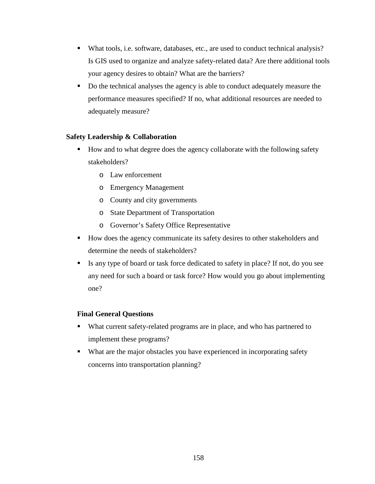- What tools, i.e. software, databases, etc., are used to conduct technical analysis? Is GIS used to organize and analyze safety-related data? Are there additional tools your agency desires to obtain? What are the barriers?
- Do the technical analyses the agency is able to conduct adequately measure the performance measures specified? If no, what additional resources are needed to adequately measure?

# **Safety Leadership & Collaboration**

- How and to what degree does the agency collaborate with the following safety stakeholders?
	- o Law enforcement
	- o Emergency Management
	- o County and city governments
	- o State Department of Transportation
	- o Governor's Safety Office Representative
- How does the agency communicate its safety desires to other stakeholders and determine the needs of stakeholders?
- Is any type of board or task force dedicated to safety in place? If not, do you see any need for such a board or task force? How would you go about implementing one?

# **Final General Questions**

- What current safety-related programs are in place, and who has partnered to implement these programs?
- What are the major obstacles you have experienced in incorporating safety concerns into transportation planning?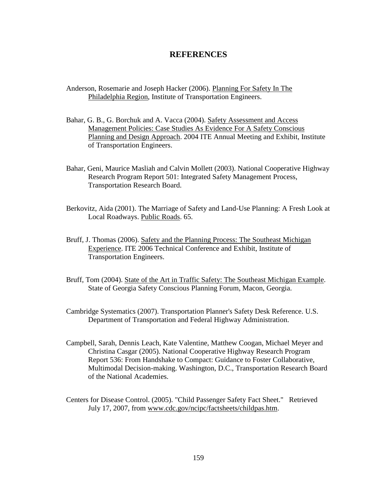# **REFERENCES**

- Anderson, Rosemarie and Joseph Hacker (2006). Planning For Safety In The Philadelphia Region, Institute of Transportation Engineers.
- Bahar, G. B., G. Borchuk and A. Vacca (2004). Safety Assessment and Access Management Policies: Case Studies As Evidence For A Safety Conscious Planning and Design Approach. 2004 ITE Annual Meeting and Exhibit, Institute of Transportation Engineers.
- Bahar, Geni, Maurice Masliah and Calvin Mollett (2003). National Cooperative Highway Research Program Report 501: Integrated Safety Management Process, Transportation Research Board.
- Berkovitz, Aida (2001). The Marriage of Safety and Land-Use Planning: A Fresh Look at Local Roadways. Public Roads. 65.
- Bruff, J. Thomas (2006). Safety and the Planning Process: The Southeast Michigan Experience. ITE 2006 Technical Conference and Exhibit, Institute of Transportation Engineers.
- Bruff, Tom (2004). State of the Art in Traffic Safety: The Southeast Michigan Example. State of Georgia Safety Conscious Planning Forum, Macon, Georgia.
- Cambridge Systematics (2007). Transportation Planner's Safety Desk Reference. U.S. Department of Transportation and Federal Highway Administration.
- Campbell, Sarah, Dennis Leach, Kate Valentine, Matthew Coogan, Michael Meyer and Christina Casgar (2005). National Cooperative Highway Research Program Report 536: From Handshake to Compact: Guidance to Foster Collaborative, Multimodal Decision-making. Washington, D.C., Transportation Research Board of the National Academies.
- Centers for Disease Control. (2005). "Child Passenger Safety Fact Sheet." Retrieved July 17, 2007, from www.cdc.gov/ncipc/factsheets/childpas.htm.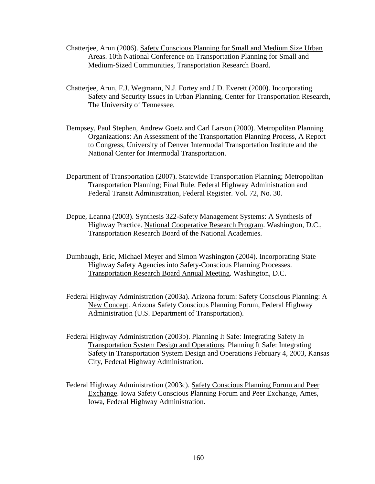- Chatterjee, Arun (2006). Safety Conscious Planning for Small and Medium Size Urban Areas. 10th National Conference on Transportation Planning for Small and Medium-Sized Communities, Transportation Research Board.
- Chatterjee, Arun, F.J. Wegmann, N.J. Fortey and J.D. Everett (2000). Incorporating Safety and Security Issues in Urban Planning, Center for Transportation Research, The University of Tennessee.
- Dempsey, Paul Stephen, Andrew Goetz and Carl Larson (2000). Metropolitan Planning Organizations: An Assessment of the Transportation Planning Process, A Report to Congress, University of Denver Intermodal Transportation Institute and the National Center for Intermodal Transportation.
- Department of Transportation (2007). Statewide Transportation Planning; Metropolitan Transportation Planning; Final Rule. Federal Highway Administration and Federal Transit Administration, Federal Register. Vol. 72, No. 30.
- Depue, Leanna (2003). Synthesis 322-Safety Management Systems: A Synthesis of Highway Practice. National Cooperative Research Program. Washington, D.C., Transportation Research Board of the National Academies.
- Dumbaugh, Eric, Michael Meyer and Simon Washington (2004). Incorporating State Highway Safety Agencies into Safety-Conscious Planning Processes. Transportation Research Board Annual Meeting. Washington, D.C.
- Federal Highway Administration (2003a). Arizona forum: Safety Conscious Planning: A New Concept. Arizona Safety Conscious Planning Forum, Federal Highway Administration (U.S. Department of Transportation).
- Federal Highway Administration (2003b). Planning It Safe: Integrating Safety In Transportation System Design and Operations. Planning It Safe: Integrating Safety in Transportation System Design and Operations February 4, 2003, Kansas City, Federal Highway Administration.
- Federal Highway Administration (2003c). Safety Conscious Planning Forum and Peer Exchange. Iowa Safety Conscious Planning Forum and Peer Exchange, Ames, Iowa, Federal Highway Administration.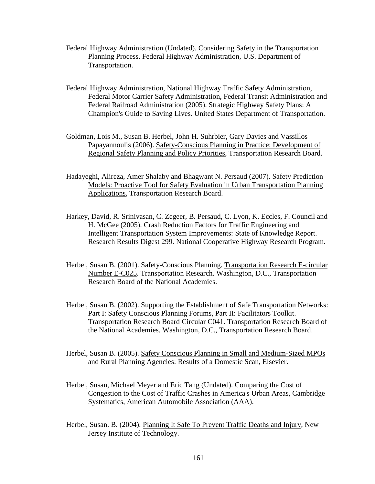- Federal Highway Administration (Undated). Considering Safety in the Transportation Planning Process. Federal Highway Administration, U.S. Department of Transportation.
- Federal Highway Administration, National Highway Traffic Safety Administration, Federal Motor Carrier Safety Administration, Federal Transit Administration and Federal Railroad Administration (2005). Strategic Highway Safety Plans: A Champion's Guide to Saving Lives. United States Department of Transportation.
- Goldman, Lois M., Susan B. Herbel, John H. Suhrbier, Gary Davies and Vassillos Papayannoulis (2006). Safety-Conscious Planning in Practice: Development of Regional Safety Planning and Policy Priorities, Transportation Research Board.
- Hadayeghi, Alireza, Amer Shalaby and Bhagwant N. Persaud (2007). Safety Prediction Models: Proactive Tool for Safety Evaluation in Urban Transportation Planning Applications, Transportation Research Board.
- Harkey, David, R. Srinivasan, C. Zegeer, B. Persaud, C. Lyon, K. Eccles, F. Council and H. McGee (2005). Crash Reduction Factors for Traffic Engineering and Intelligent Transportation System Improvements: State of Knowledge Report. Research Results Digest 299. National Cooperative Highway Research Program.
- Herbel, Susan B. (2001). Safety-Conscious Planning. Transportation Research E-circular Number E-C025. Transportation Research. Washington, D.C., Transportation Research Board of the National Academies.
- Herbel, Susan B. (2002). Supporting the Establishment of Safe Transportation Networks: Part I: Safety Conscious Planning Forums, Part II: Facilitators Toolkit. Transportation Research Board Circular C041. Transportation Research Board of the National Academies. Washington, D.C., Transportation Research Board.
- Herbel, Susan B. (2005). Safety Conscious Planning in Small and Medium-Sized MPOs and Rural Planning Agencies: Results of a Domestic Scan, Elsevier.
- Herbel, Susan, Michael Meyer and Eric Tang (Undated). Comparing the Cost of Congestion to the Cost of Traffic Crashes in America's Urban Areas, Cambridge Systematics, American Automobile Association (AAA).
- Herbel, Susan. B. (2004). Planning It Safe To Prevent Traffic Deaths and Injury, New Jersey Institute of Technology.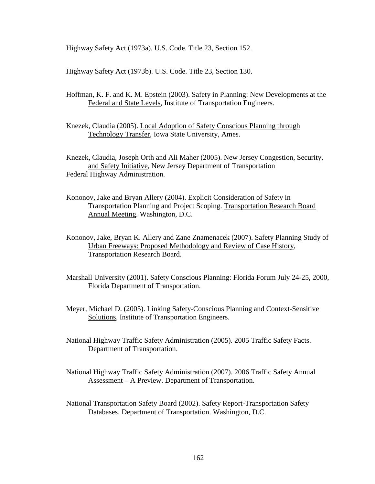Highway Safety Act (1973a). U.S. Code. Title 23, Section 152.

Highway Safety Act (1973b). U.S. Code. Title 23, Section 130.

Hoffman, K. F. and K. M. Epstein (2003). Safety in Planning: New Developments at the Federal and State Levels, Institute of Transportation Engineers.

Knezek, Claudia (2005). Local Adoption of Safety Conscious Planning through Technology Transfer, Iowa State University, Ames.

Knezek, Claudia, Joseph Orth and Ali Maher (2005). New Jersey Congestion, Security, and Safety Initiative, New Jersey Department of Transportation Federal Highway Administration.

- Kononov, Jake and Bryan Allery (2004). Explicit Consideration of Safety in Transportation Planning and Project Scoping. Transportation Research Board Annual Meeting. Washington, D.C.
- Kononov, Jake, Bryan K. Allery and Zane Znamenacek (2007). Safety Planning Study of Urban Freeways: Proposed Methodology and Review of Case History, Transportation Research Board.
- Marshall University (2001). Safety Conscious Planning: Florida Forum July 24-25, 2000, Florida Department of Transportation.
- Meyer, Michael D. (2005). Linking Safety-Conscious Planning and Context-Sensitive Solutions, Institute of Transportation Engineers.
- National Highway Traffic Safety Administration (2005). 2005 Traffic Safety Facts. Department of Transportation.
- National Highway Traffic Safety Administration (2007). 2006 Traffic Safety Annual Assessment – A Preview. Department of Transportation.
- National Transportation Safety Board (2002). Safety Report-Transportation Safety Databases. Department of Transportation. Washington, D.C.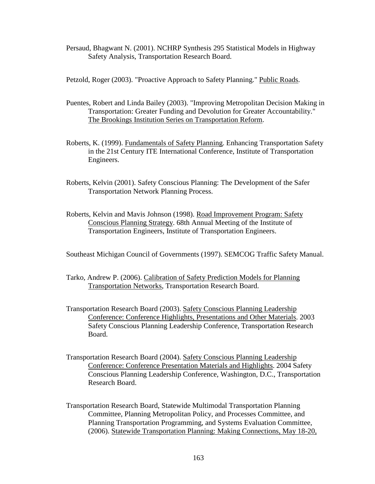Persaud, Bhagwant N. (2001). NCHRP Synthesis 295 Statistical Models in Highway Safety Analysis, Transportation Research Board.

Petzold, Roger (2003). "Proactive Approach to Safety Planning." Public Roads.

- Puentes, Robert and Linda Bailey (2003). "Improving Metropolitan Decision Making in Transportation: Greater Funding and Devolution for Greater Accountability." The Brookings Institution Series on Transportation Reform.
- Roberts, K. (1999). Fundamentals of Safety Planning. Enhancing Transportation Safety in the 21st Century ITE International Conference, Institute of Transportation Engineers.
- Roberts, Kelvin (2001). Safety Conscious Planning: The Development of the Safer Transportation Network Planning Process.
- Roberts, Kelvin and Mavis Johnson (1998). Road Improvement Program: Safety Conscious Planning Strategy. 68th Annual Meeting of the Institute of Transportation Engineers, Institute of Transportation Engineers.

Southeast Michigan Council of Governments (1997). SEMCOG Traffic Safety Manual.

- Tarko, Andrew P. (2006). Calibration of Safety Prediction Models for Planning Transportation Networks, Transportation Research Board.
- Transportation Research Board (2003). Safety Conscious Planning Leadership Conference: Conference Highlights, Presentations and Other Materials. 2003 Safety Conscious Planning Leadership Conference, Transportation Research Board.
- Transportation Research Board (2004). Safety Conscious Planning Leadership Conference: Conference Presentation Materials and Highlights. 2004 Safety Conscious Planning Leadership Conference, Washington, D.C., Transportation Research Board.
- Transportation Research Board, Statewide Multimodal Transportation Planning Committee, Planning Metropolitan Policy, and Processes Committee, and Planning Transportation Programming, and Systems Evaluation Committee, (2006). Statewide Transportation Planning: Making Connections, May 18-20,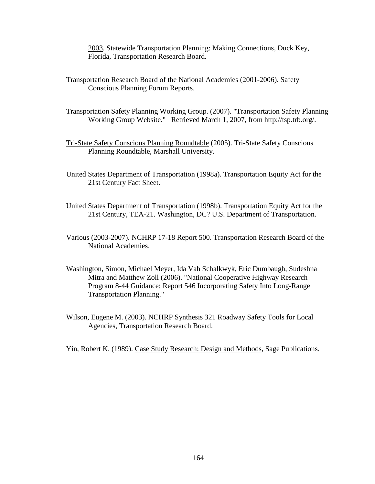2003. Statewide Transportation Planning: Making Connections, Duck Key, Florida, Transportation Research Board.

- Transportation Research Board of the National Academies (2001-2006). Safety Conscious Planning Forum Reports.
- Transportation Safety Planning Working Group. (2007). "Transportation Safety Planning Working Group Website." Retrieved March 1, 2007, from http://tsp.trb.org/.
- Tri-State Safety Conscious Planning Roundtable (2005). Tri-State Safety Conscious Planning Roundtable, Marshall University.
- United States Department of Transportation (1998a). Transportation Equity Act for the 21st Century Fact Sheet.
- United States Department of Transportation (1998b). Transportation Equity Act for the 21st Century, TEA-21. Washington, DC? U.S. Department of Transportation.
- Various (2003-2007). NCHRP 17-18 Report 500. Transportation Research Board of the National Academies.
- Washington, Simon, Michael Meyer, Ida Vah Schalkwyk, Eric Dumbaugh, Sudeshna Mitra and Matthew Zoll (2006). "National Cooperative Highway Research Program 8-44 Guidance: Report 546 Incorporating Safety Into Long-Range Transportation Planning."
- Wilson, Eugene M. (2003). NCHRP Synthesis 321 Roadway Safety Tools for Local Agencies, Transportation Research Board.

Yin, Robert K. (1989). Case Study Research: Design and Methods, Sage Publications.